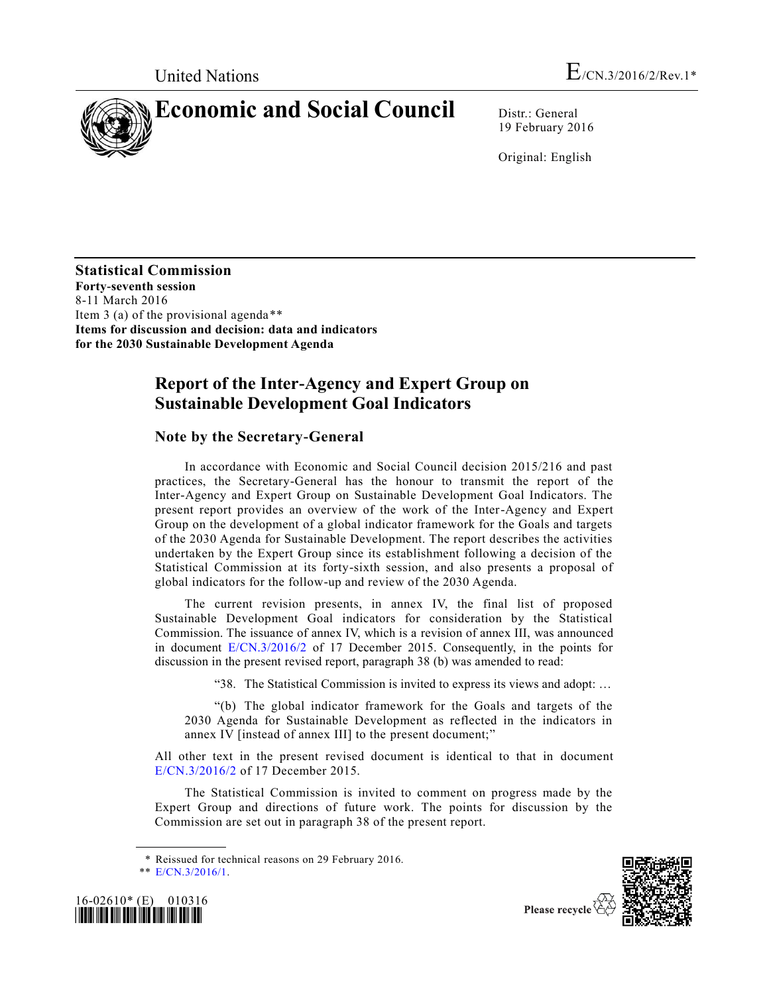

19 February 2016

Original: English

**Statistical Commission Forty-seventh session** 8-11 March 2016 Item 3 (a) of the provisional agenda\*\* **Items for discussion and decision: data and indicators for the 2030 Sustainable Development Agenda**

# **Report of the Inter-Agency and Expert Group on Sustainable Development Goal Indicators**

# **Note by the Secretary-General**

In accordance with Economic and Social Council decision 2015/216 and past practices, the Secretary-General has the honour to transmit the report of the Inter-Agency and Expert Group on Sustainable Development Goal Indicators. The present report provides an overview of the work of the Inter-Agency and Expert Group on the development of a global indicator framework for the Goals and targets of the 2030 Agenda for Sustainable Development. The report describes the activities undertaken by the Expert Group since its establishment following a decision of the Statistical Commission at its forty-sixth session, and also presents a proposal of global indicators for the follow-up and review of the 2030 Agenda.

The current revision presents, in annex IV, the final list of proposed Sustainable Development Goal indicators for consideration by the Statistical Commission. The issuance of annex IV, which is a revision of annex III, was announced in document [E/CN.3/2016/2](http://undocs.org/E/CN.3/2016/2) of 17 December 2015. Consequently, in the points for discussion in the present revised report, paragraph 38 (b) was amended to read:

"38. The Statistical Commission is invited to express its views and adopt: …

"(b) The global indicator framework for the Goals and targets of the 2030 Agenda for Sustainable Development as reflected in the indicators in annex IV [instead of annex III] to the present document;"

All other text in the present revised document is identical to that in document [E/CN.3/2016/2](http://undocs.org/E/CN.3/2016/2) of 17 December 2015.

The Statistical Commission is invited to comment on progress made by the Expert Group and directions of future work. The points for discussion by the Commission are set out in paragraph 38 of the present report.

<sup>\*\*</sup> [E/CN.3/2016/1.](http://undocs.org/E/CN.3/2016/1)





Please recycle

<sup>\*</sup> Reissued for technical reasons on 29 February 2016.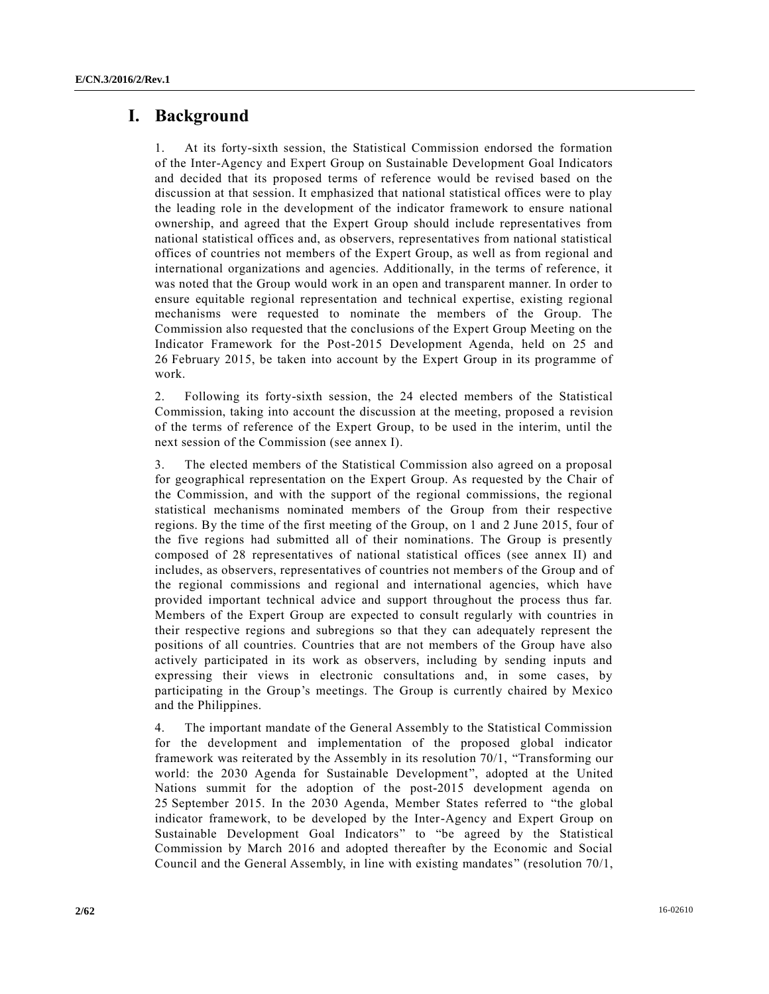# **I. Background**

1. At its forty-sixth session, the Statistical Commission endorsed the formation of the Inter-Agency and Expert Group on Sustainable Development Goal Indicators and decided that its proposed terms of reference would be revised based on the discussion at that session. It emphasized that national statistical offices were to play the leading role in the development of the indicator framework to ensure national ownership, and agreed that the Expert Group should include representatives from national statistical offices and, as observers, representatives from national statistical offices of countries not members of the Expert Group, as well as from regional and international organizations and agencies. Additionally, in the terms of reference, it was noted that the Group would work in an open and transparent manner. In order to ensure equitable regional representation and technical expertise, existing regional mechanisms were requested to nominate the members of the Group. The Commission also requested that the conclusions of the Expert Group Meeting on the Indicator Framework for the Post-2015 Development Agenda, held on 25 and 26 February 2015, be taken into account by the Expert Group in its programme of work.

2. Following its forty-sixth session, the 24 elected members of the Statistical Commission, taking into account the discussion at the meeting, proposed a revision of the terms of reference of the Expert Group, to be used in the interim, until the next session of the Commission (see annex I).

3. The elected members of the Statistical Commission also agreed on a proposal for geographical representation on the Expert Group. As requested by the Chair of the Commission, and with the support of the regional commissions, the regional statistical mechanisms nominated members of the Group from their respective regions. By the time of the first meeting of the Group, on 1 and 2 June 2015, four of the five regions had submitted all of their nominations. The Group is presently composed of 28 representatives of national statistical offices (see annex II) and includes, as observers, representatives of countries not members of the Group and of the regional commissions and regional and international agencies, which have provided important technical advice and support throughout the process thus far. Members of the Expert Group are expected to consult regularly with countries in their respective regions and subregions so that they can adequately represent the positions of all countries. Countries that are not members of the Group have also actively participated in its work as observers, including by sending inputs and expressing their views in electronic consultations and, in some cases, by participating in the Group's meetings. The Group is currently chaired by Mexico and the Philippines.

4. The important mandate of the General Assembly to the Statistical Commission for the development and implementation of the proposed global indicator framework was reiterated by the Assembly in its resolution 70/1, "Transforming our world: the 2030 Agenda for Sustainable Development", adopted at the United Nations summit for the adoption of the post-2015 development agenda on 25 September 2015. In the 2030 Agenda, Member States referred to "the global indicator framework, to be developed by the Inter-Agency and Expert Group on Sustainable Development Goal Indicators" to "be agreed by the Statistical Commission by March 2016 and adopted thereafter by the Economic and Social Council and the General Assembly, in line with existing mandates" (resolution 70/1,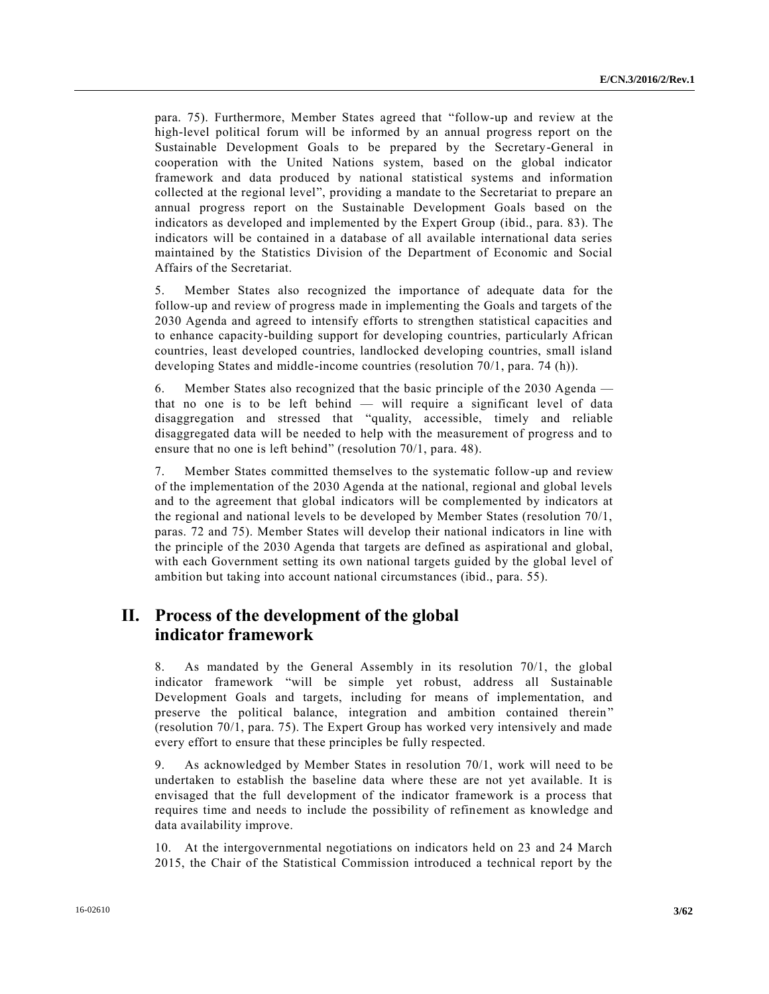para. 75). Furthermore, Member States agreed that "follow-up and review at the high-level political forum will be informed by an annual progress report on the Sustainable Development Goals to be prepared by the Secretary-General in cooperation with the United Nations system, based on the global indicator framework and data produced by national statistical systems and information collected at the regional level", providing a mandate to the Secretariat to prepare an annual progress report on the Sustainable Development Goals based on the indicators as developed and implemented by the Expert Group (ibid., para. 83). The indicators will be contained in a database of all available international data series maintained by the Statistics Division of the Department of Economic and Social Affairs of the Secretariat.

5. Member States also recognized the importance of adequate data for the follow-up and review of progress made in implementing the Goals and targets of the 2030 Agenda and agreed to intensify efforts to strengthen statistical capacities and to enhance capacity-building support for developing countries, particularly African countries, least developed countries, landlocked developing countries, small island developing States and middle-income countries (resolution 70/1, para. 74 (h)).

6. Member States also recognized that the basic principle of the 2030 Agenda that no one is to be left behind — will require a significant level of data disaggregation and stressed that "quality, accessible, timely and reliable disaggregated data will be needed to help with the measurement of progress and to ensure that no one is left behind" (resolution 70/1, para. 48).

7. Member States committed themselves to the systematic follow-up and review of the implementation of the 2030 Agenda at the national, regional and global levels and to the agreement that global indicators will be complemented by indicators at the regional and national levels to be developed by Member States (resolution 70/1, paras. 72 and 75). Member States will develop their national indicators in line with the principle of the 2030 Agenda that targets are defined as aspirational and global, with each Government setting its own national targets guided by the global level of ambition but taking into account national circumstances (ibid., para. 55).

# **II. Process of the development of the global indicator framework**

8. As mandated by the General Assembly in its resolution 70/1, the global indicator framework "will be simple yet robust, address all Sustainable Development Goals and targets, including for means of implementation, and preserve the political balance, integration and ambition contained therein" (resolution 70/1, para. 75). The Expert Group has worked very intensively and made every effort to ensure that these principles be fully respected.

9. As acknowledged by Member States in resolution 70/1, work will need to be undertaken to establish the baseline data where these are not yet available. It is envisaged that the full development of the indicator framework is a process that requires time and needs to include the possibility of refinement as knowledge and data availability improve.

10. At the intergovernmental negotiations on indicators held on 23 and 24 March 2015, the Chair of the Statistical Commission introduced a technical report by the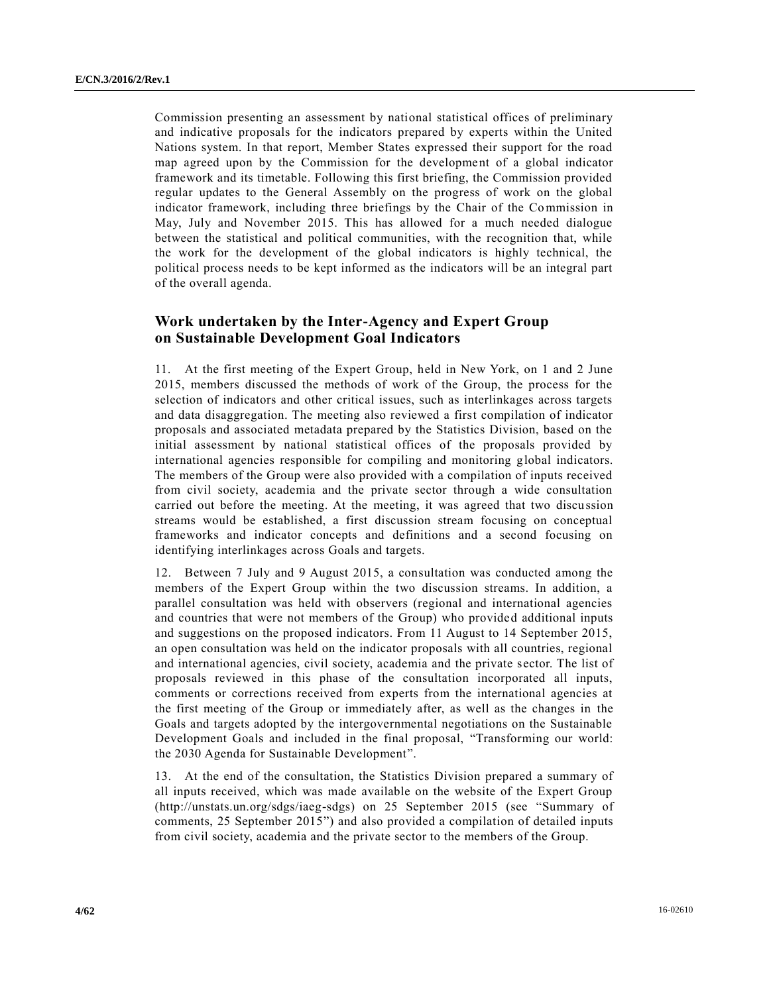Commission presenting an assessment by national statistical offices of preliminary and indicative proposals for the indicators prepared by experts within the United Nations system. In that report, Member States expressed their support for the road map agreed upon by the Commission for the development of a global indicator framework and its timetable. Following this first briefing, the Commission provided regular updates to the General Assembly on the progress of work on the global indicator framework, including three briefings by the Chair of the Commission in May, July and November 2015. This has allowed for a much needed dialogue between the statistical and political communities, with the recognition that, while the work for the development of the global indicators is highly technical, the political process needs to be kept informed as the indicators will be an integral part of the overall agenda.

# **Work undertaken by the Inter-Agency and Expert Group on Sustainable Development Goal Indicators**

11. At the first meeting of the Expert Group, held in New York, on 1 and 2 June 2015, members discussed the methods of work of the Group, the process for the selection of indicators and other critical issues, such as interlinkages across targets and data disaggregation. The meeting also reviewed a first compilation of indicator proposals and associated metadata prepared by the Statistics Division, based on the initial assessment by national statistical offices of the proposals provided by international agencies responsible for compiling and monitoring global indicators. The members of the Group were also provided with a compilation of inputs received from civil society, academia and the private sector through a wide consultation carried out before the meeting. At the meeting, it was agreed that two discussion streams would be established, a first discussion stream focusing on conceptual frameworks and indicator concepts and definitions and a second focusing on identifying interlinkages across Goals and targets.

12. Between 7 July and 9 August 2015, a consultation was conducted among the members of the Expert Group within the two discussion streams. In addition, a parallel consultation was held with observers (regional and international agencies and countries that were not members of the Group) who provided additional inputs and suggestions on the proposed indicators. From 11 August to 14 September 2015, an open consultation was held on the indicator proposals with all countries, regional and international agencies, civil society, academia and the private s ector. The list of proposals reviewed in this phase of the consultation incorporated all inputs, comments or corrections received from experts from the international agencies at the first meeting of the Group or immediately after, as well as the changes in the Goals and targets adopted by the intergovernmental negotiations on the Sustainable Development Goals and included in the final proposal, "Transforming our world: the 2030 Agenda for Sustainable Development".

13. At the end of the consultation, the Statistics Division prepared a summary of all inputs received, which was made available on the website of the Expert Group (http://unstats.un.org/sdgs/iaeg-sdgs) on 25 September 2015 (see "Summary of comments, 25 September 2015") and also provided a compilation of detailed inputs from civil society, academia and the private sector to the members of the Group.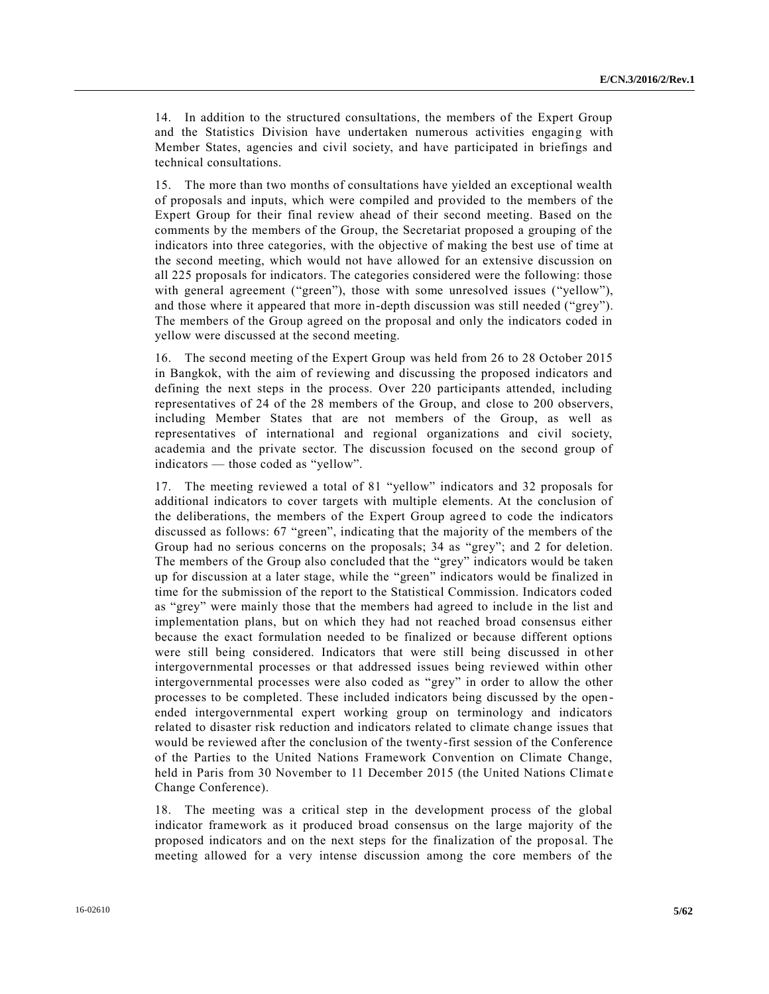14. In addition to the structured consultations, the members of the Expert Group and the Statistics Division have undertaken numerous activities engaging with Member States, agencies and civil society, and have participated in briefings and technical consultations.

15. The more than two months of consultations have yielded an exceptional wealth of proposals and inputs, which were compiled and provided to the members of the Expert Group for their final review ahead of their second meeting. Based on the comments by the members of the Group, the Secretariat proposed a grouping of the indicators into three categories, with the objective of making the best use of time at the second meeting, which would not have allowed for an extensive discussion on all 225 proposals for indicators. The categories considered were the following: those with general agreement ("green"), those with some unresolved issues ("yellow"), and those where it appeared that more in-depth discussion was still needed ("grey"). The members of the Group agreed on the proposal and only the indicators coded in yellow were discussed at the second meeting.

16. The second meeting of the Expert Group was held from 26 to 28 October 2015 in Bangkok, with the aim of reviewing and discussing the proposed indicators and defining the next steps in the process. Over 220 participants attended, including representatives of 24 of the 28 members of the Group, and close to 200 observers, including Member States that are not members of the Group, as well as representatives of international and regional organizations and civil society, academia and the private sector. The discussion focused on the second group of indicators — those coded as "yellow".

17. The meeting reviewed a total of 81 "yellow" indicators and 32 proposals for additional indicators to cover targets with multiple elements. At the conclusion of the deliberations, the members of the Expert Group agreed to code the indicators discussed as follows: 67 "green", indicating that the majority of the members of the Group had no serious concerns on the proposals; 34 as "grey"; and 2 for deletion. The members of the Group also concluded that the "grey" indicators would be taken up for discussion at a later stage, while the "green" indicators would be finalized in time for the submission of the report to the Statistical Commission. Indicators coded as "grey" were mainly those that the members had agreed to include in the list and implementation plans, but on which they had not reached broad consensus either because the exact formulation needed to be finalized or because different options were still being considered. Indicators that were still being discussed in other intergovernmental processes or that addressed issues being reviewed within other intergovernmental processes were also coded as "grey" in order to allow the other processes to be completed. These included indicators being discussed by the open ended intergovernmental expert working group on terminology and indicators related to disaster risk reduction and indicators related to climate change issues that would be reviewed after the conclusion of the twenty-first session of the Conference of the Parties to the United Nations Framework Convention on Climate Change, held in Paris from 30 November to 11 December 2015 (the United Nations Climate Change Conference).

18. The meeting was a critical step in the development process of the global indicator framework as it produced broad consensus on the large majority of the proposed indicators and on the next steps for the finalization of the propos al. The meeting allowed for a very intense discussion among the core members of the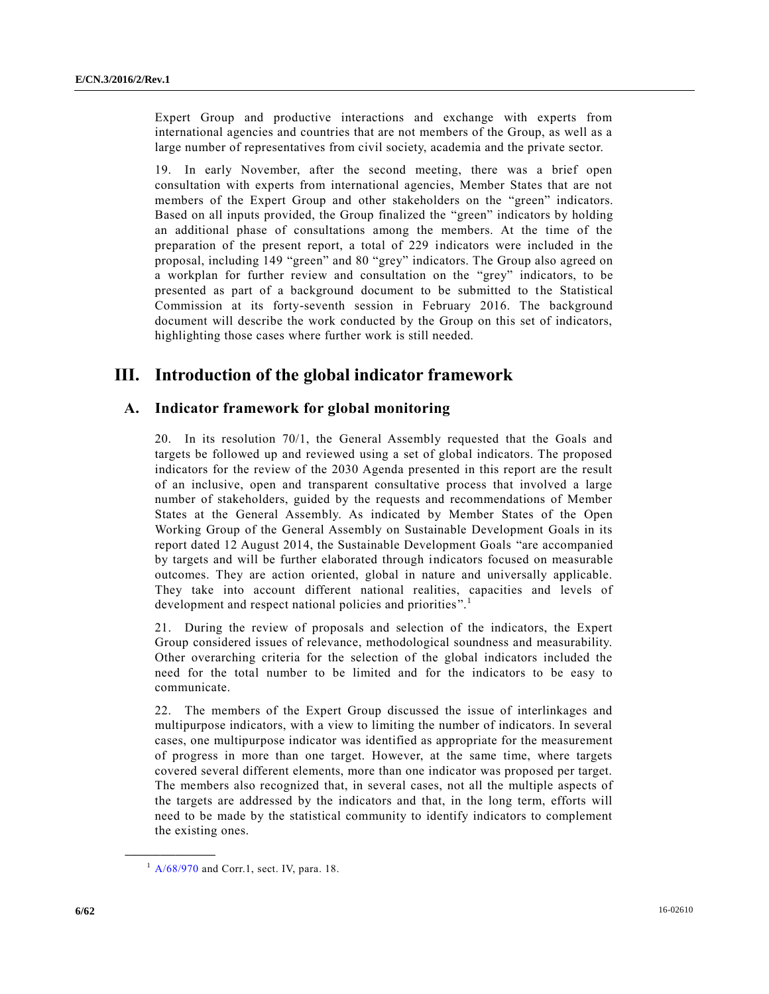Expert Group and productive interactions and exchange with experts from international agencies and countries that are not members of the Group, as well as a large number of representatives from civil society, academia and the private sector.

19. In early November, after the second meeting, there was a brief open consultation with experts from international agencies, Member States that are not members of the Expert Group and other stakeholders on the "green" indicators. Based on all inputs provided, the Group finalized the "green" indicators by holding an additional phase of consultations among the members. At the time of the preparation of the present report, a total of 229 indicators were included in the proposal, including 149 "green" and 80 "grey" indicators. The Group also agreed on a workplan for further review and consultation on the "grey" indicators, to be presented as part of a background document to be submitted to the Statistical Commission at its forty-seventh session in February 2016. The background document will describe the work conducted by the Group on this set of indicators, highlighting those cases where further work is still needed.

# **III. Introduction of the global indicator framework**

# **A. Indicator framework for global monitoring**

20. In its resolution 70/1, the General Assembly requested that the Goals and targets be followed up and reviewed using a set of global indicators. The proposed indicators for the review of the 2030 Agenda presented in this report are the result of an inclusive, open and transparent consultative process that involved a large number of stakeholders, guided by the requests and recommendations of Member States at the General Assembly. As indicated by Member States of the Open Working Group of the General Assembly on Sustainable Development Goals in its report dated 12 August 2014, the Sustainable Development Goals "are accompanied by targets and will be further elaborated through indicators focused on measurable outcomes. They are action oriented, global in nature and universally applicable. They take into account different national realities, capacities and levels of development and respect national policies and priorities".<sup>1</sup>

21. During the review of proposals and selection of the indicators, the Expert Group considered issues of relevance, methodological soundness and measurability. Other overarching criteria for the selection of the global indicators included the need for the total number to be limited and for the indicators to be easy to communicate.

22. The members of the Expert Group discussed the issue of interlinkages and multipurpose indicators, with a view to limiting the number of indicators. In several cases, one multipurpose indicator was identified as appropriate for the measurement of progress in more than one target. However, at the same time, where targets covered several different elements, more than one indicator was proposed per target. The members also recognized that, in several cases, not all the multiple aspects of the targets are addressed by the indicators and that, in the long term, efforts will need to be made by the statistical community to identify indicators to complement the existing ones.

**\_\_\_\_\_\_\_\_\_\_\_\_\_\_\_\_\_\_**

 $1$  [A/68/970](http://undocs.org/A/68/970) and Corr.1, sect. IV, para. 18.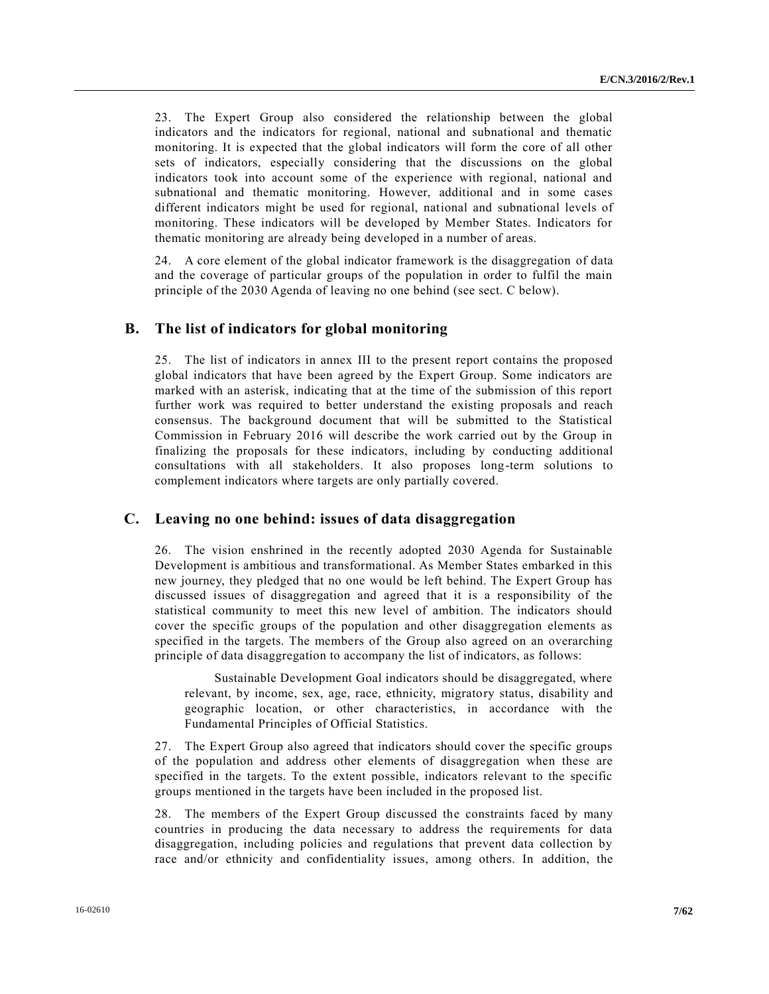23. The Expert Group also considered the relationship between the global indicators and the indicators for regional, national and subnational and thematic monitoring. It is expected that the global indicators will form the core of all other sets of indicators, especially considering that the discussions on the global indicators took into account some of the experience with regional, national and subnational and thematic monitoring. However, additional and in some cases different indicators might be used for regional, national and subnational levels of monitoring. These indicators will be developed by Member States. Indicators for thematic monitoring are already being developed in a number of areas.

24. A core element of the global indicator framework is the disaggregation of data and the coverage of particular groups of the population in order to fulfil the main principle of the 2030 Agenda of leaving no one behind (see sect. C below).

# **B. The list of indicators for global monitoring**

25. The list of indicators in annex III to the present report contains the proposed global indicators that have been agreed by the Expert Group. Some indicators are marked with an asterisk, indicating that at the time of the submission of this report further work was required to better understand the existing proposals and reach consensus. The background document that will be submitted to the Statistical Commission in February 2016 will describe the work carried out by the Group in finalizing the proposals for these indicators, including by conducting additional consultations with all stakeholders. It also proposes long-term solutions to complement indicators where targets are only partially covered.

# **C. Leaving no one behind: issues of data disaggregation**

26. The vision enshrined in the recently adopted 2030 Agenda for Sustainable Development is ambitious and transformational. As Member States embarked in this new journey, they pledged that no one would be left behind. The Expert Group has discussed issues of disaggregation and agreed that it is a responsibility of the statistical community to meet this new level of ambition. The indicators should cover the specific groups of the population and other disaggregation elements as specified in the targets. The members of the Group also agreed on an overarching principle of data disaggregation to accompany the list of indicators, as follows:

Sustainable Development Goal indicators should be disaggregated, where relevant, by income, sex, age, race, ethnicity, migratory status, disability and geographic location, or other characteristics, in accordance with the Fundamental Principles of Official Statistics.

27. The Expert Group also agreed that indicators should cover the specific groups of the population and address other elements of disaggregation when these are specified in the targets. To the extent possible, indicators relevant to the specific groups mentioned in the targets have been included in the proposed list.

28. The members of the Expert Group discussed the constraints faced by many countries in producing the data necessary to address the requirements for data disaggregation, including policies and regulations that prevent data collection by race and/or ethnicity and confidentiality issues, among others. In addition, the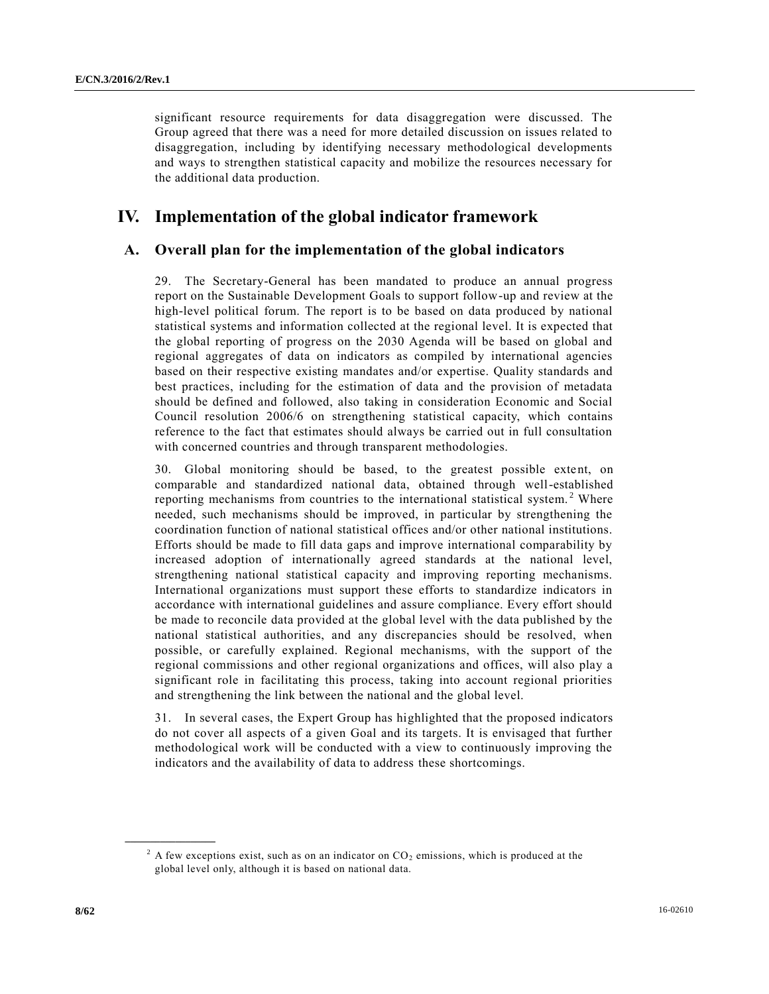significant resource requirements for data disaggregation were discussed. The Group agreed that there was a need for more detailed discussion on issues related to disaggregation, including by identifying necessary methodological developments and ways to strengthen statistical capacity and mobilize the resources necessary for the additional data production.

# **IV. Implementation of the global indicator framework**

# **A. Overall plan for the implementation of the global indicators**

29. The Secretary-General has been mandated to produce an annual progress report on the Sustainable Development Goals to support follow-up and review at the high-level political forum. The report is to be based on data produced by national statistical systems and information collected at the regional level. It is expected that the global reporting of progress on the 2030 Agenda will be based on global and regional aggregates of data on indicators as compiled by international agencies based on their respective existing mandates and/or expertise. Quality standards and best practices, including for the estimation of data and the provision of metadata should be defined and followed, also taking in consideration Economic and Social Council resolution 2006/6 on strengthening statistical capacity, which contains reference to the fact that estimates should always be carried out in full consultation with concerned countries and through transparent methodologies.

30. Global monitoring should be based, to the greatest possible extent, on comparable and standardized national data, obtained through well-established reporting mechanisms from countries to the international statistical system.<sup>2</sup> Where needed, such mechanisms should be improved, in particular by strengthening the coordination function of national statistical offices and/or other national institutions. Efforts should be made to fill data gaps and improve international comparability by increased adoption of internationally agreed standards at the national level, strengthening national statistical capacity and improving reporting mechanisms. International organizations must support these efforts to standardize indicators in accordance with international guidelines and assure compliance. Every effort should be made to reconcile data provided at the global level with the data published by the national statistical authorities, and any discrepancies should be resolved, when possible, or carefully explained. Regional mechanisms, with the support of the regional commissions and other regional organizations and offices, will also play a significant role in facilitating this process, taking into account regional priorities and strengthening the link between the national and the global level.

31. In several cases, the Expert Group has highlighted that the proposed indicators do not cover all aspects of a given Goal and its targets. It is envisaged that further methodological work will be conducted with a view to continuously improving the indicators and the availability of data to address these shortcomings.

**\_\_\_\_\_\_\_\_\_\_\_\_\_\_\_\_\_\_**

 $2$  A few exceptions exist, such as on an indicator on CO<sub>2</sub> emissions, which is produced at the global level only, although it is based on national data.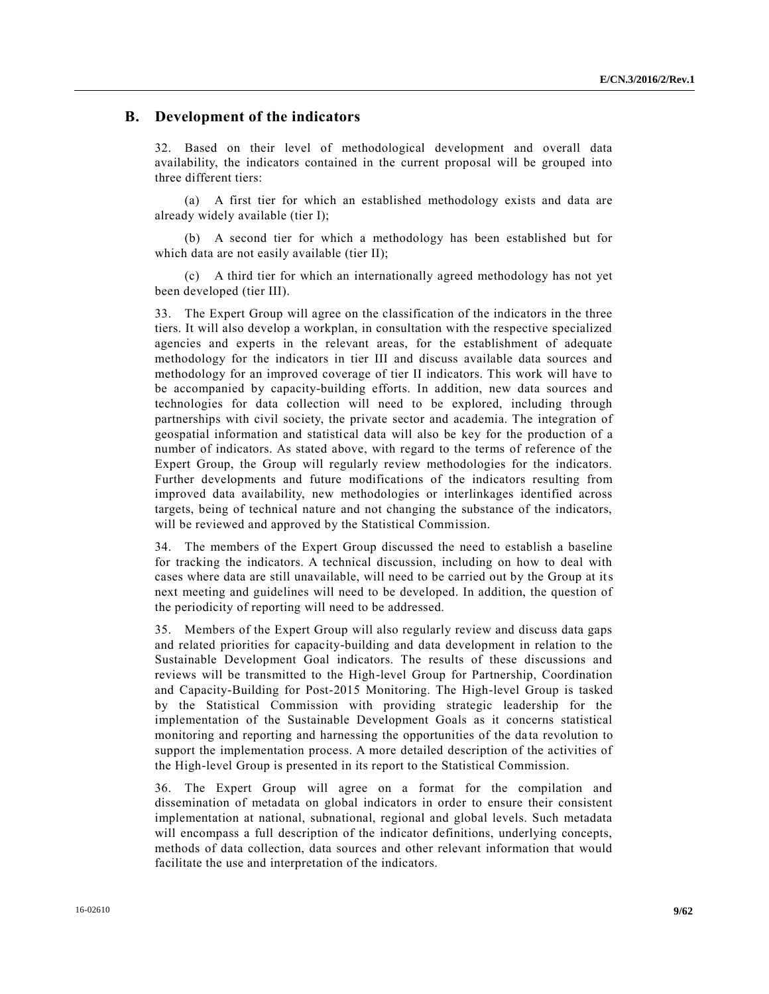# **B. Development of the indicators**

32. Based on their level of methodological development and overall data availability, the indicators contained in the current proposal will be grouped into three different tiers:

(a) A first tier for which an established methodology exists and data are already widely available (tier I);

(b) A second tier for which a methodology has been established but for which data are not easily available (tier II);

(c) A third tier for which an internationally agreed methodology has not yet been developed (tier III).

33. The Expert Group will agree on the classification of the indicators in the three tiers. It will also develop a workplan, in consultation with the respective specialized agencies and experts in the relevant areas, for the establishment of adequate methodology for the indicators in tier III and discuss available data sources and methodology for an improved coverage of tier II indicators. This work will have to be accompanied by capacity-building efforts. In addition, new data sources and technologies for data collection will need to be explored, including through partnerships with civil society, the private sector and academia. The integration of geospatial information and statistical data will also be key for the production of a number of indicators. As stated above, with regard to the terms of reference of the Expert Group, the Group will regularly review methodologies for the indicators. Further developments and future modifications of the indicators resulting from improved data availability, new methodologies or interlinkages identified across targets, being of technical nature and not changing the substance of the indicators, will be reviewed and approved by the Statistical Commission.

34. The members of the Expert Group discussed the need to establish a baseline for tracking the indicators. A technical discussion, including on how to deal with cases where data are still unavailable, will need to be carried out by the Group at its next meeting and guidelines will need to be developed. In addition, the question of the periodicity of reporting will need to be addressed.

35. Members of the Expert Group will also regularly review and discuss data gaps and related priorities for capacity-building and data development in relation to the Sustainable Development Goal indicators. The results of these discussions and reviews will be transmitted to the High-level Group for Partnership, Coordination and Capacity-Building for Post-2015 Monitoring. The High-level Group is tasked by the Statistical Commission with providing strategic leadership for the implementation of the Sustainable Development Goals as it concerns statistical monitoring and reporting and harnessing the opportunities of the data revolution to support the implementation process. A more detailed description of the activities of the High-level Group is presented in its report to the Statistical Commission.

36. The Expert Group will agree on a format for the compilation and dissemination of metadata on global indicators in order to ensure their consistent implementation at national, subnational, regional and global levels. Such metadata will encompass a full description of the indicator definitions, underlying concepts, methods of data collection, data sources and other relevant information that would facilitate the use and interpretation of the indicators.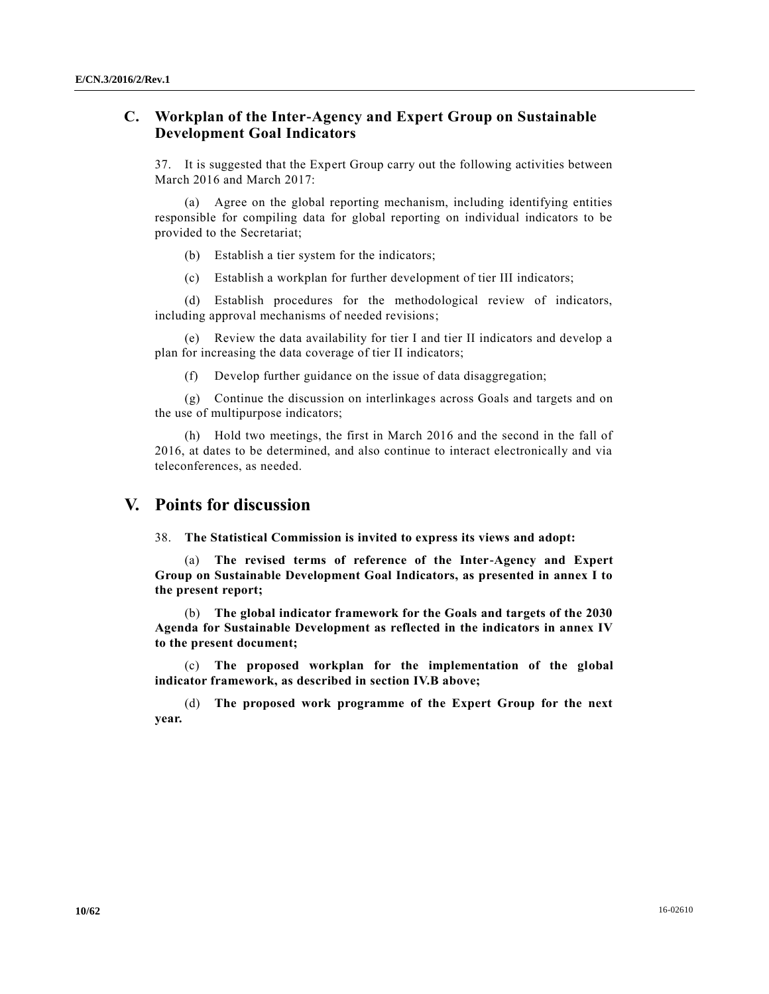# **C. Workplan of the Inter-Agency and Expert Group on Sustainable Development Goal Indicators**

37. It is suggested that the Expert Group carry out the following activities between March 2016 and March 2017:

(a) Agree on the global reporting mechanism, including identifying entities responsible for compiling data for global reporting on individual indicators to be provided to the Secretariat;

(b) Establish a tier system for the indicators;

(c) Establish a workplan for further development of tier III indicators;

(d) Establish procedures for the methodological review of indicators, including approval mechanisms of needed revisions;

(e) Review the data availability for tier I and tier II indicators and develop a plan for increasing the data coverage of tier II indicators;

(f) Develop further guidance on the issue of data disaggregation;

(g) Continue the discussion on interlinkages across Goals and targets and on the use of multipurpose indicators;

(h) Hold two meetings, the first in March 2016 and the second in the fall of 2016, at dates to be determined, and also continue to interact electronically and via teleconferences, as needed.

# **V. Points for discussion**

38. **The Statistical Commission is invited to express its views and adopt:**

(a) **The revised terms of reference of the Inter-Agency and Expert Group on Sustainable Development Goal Indicators, as presented in annex I to the present report;**

(b) **The global indicator framework for the Goals and targets of the 2030 Agenda for Sustainable Development as reflected in the indicators in annex IV to the present document;**

(c) **The proposed workplan for the implementation of the global indicator framework, as described in section IV.B above;**

(d) **The proposed work programme of the Expert Group for the next year.**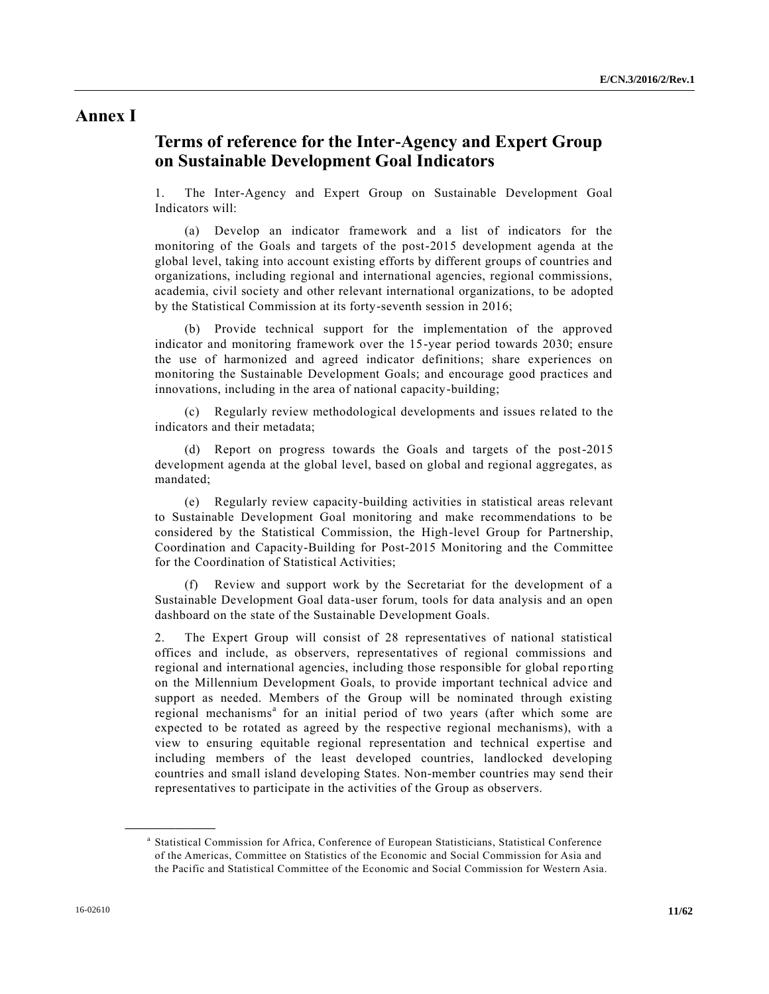# **Annex I**

# **Terms of reference for the Inter-Agency and Expert Group on Sustainable Development Goal Indicators**

1. The Inter-Agency and Expert Group on Sustainable Development Goal Indicators will:

(a) Develop an indicator framework and a list of indicators for the monitoring of the Goals and targets of the post-2015 development agenda at the global level, taking into account existing efforts by different groups of countries and organizations, including regional and international agencies, regional commissions, academia, civil society and other relevant international organizations, to be adopted by the Statistical Commission at its forty-seventh session in 2016;

(b) Provide technical support for the implementation of the approved indicator and monitoring framework over the 15-year period towards 2030; ensure the use of harmonized and agreed indicator definitions; share experiences on monitoring the Sustainable Development Goals; and encourage good practices and innovations, including in the area of national capacity-building;

(c) Regularly review methodological developments and issues related to the indicators and their metadata;

(d) Report on progress towards the Goals and targets of the post-2015 development agenda at the global level, based on global and regional aggregates, as mandated;

(e) Regularly review capacity-building activities in statistical areas relevant to Sustainable Development Goal monitoring and make recommendations to be considered by the Statistical Commission, the High-level Group for Partnership, Coordination and Capacity-Building for Post-2015 Monitoring and the Committee for the Coordination of Statistical Activities;

(f) Review and support work by the Secretariat for the development of a Sustainable Development Goal data-user forum, tools for data analysis and an open dashboard on the state of the Sustainable Development Goals.

2. The Expert Group will consist of 28 representatives of national statistical offices and include, as observers, representatives of regional commissions and regional and international agencies, including those responsible for global repo rting on the Millennium Development Goals, to provide important technical advice and support as needed. Members of the Group will be nominated through existing regional mechanisms<sup>a</sup> for an initial period of two years (after which some are expected to be rotated as agreed by the respective regional mechanisms), with a view to ensuring equitable regional representation and technical expertise and including members of the least developed countries, landlocked developing countries and small island developing States. Non-member countries may send their representatives to participate in the activities of the Group as observers.

**\_\_\_\_\_\_\_\_\_\_\_\_\_\_\_\_\_\_**

a Statistical Commission for Africa, Conference of European Statisticians, Statistical Conference of the Americas, Committee on Statistics of the Economic and Social Commission for Asia and the Pacific and Statistical Committee of the Economic and Social Commission for Western Asia.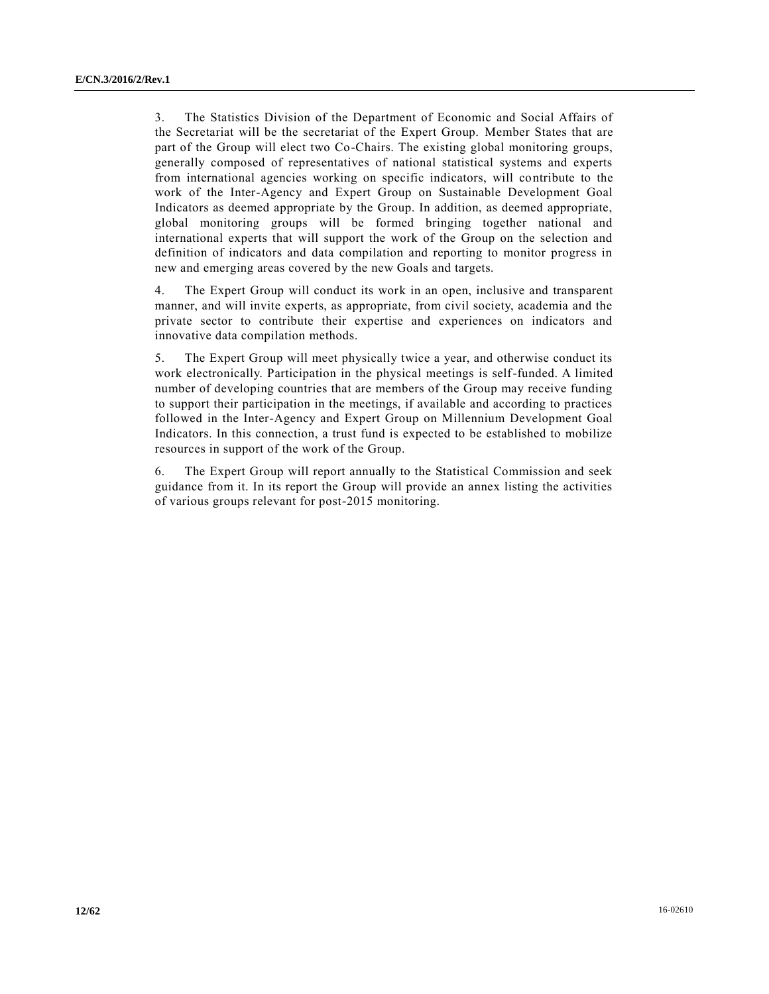3. The Statistics Division of the Department of Economic and Social Affairs of the Secretariat will be the secretariat of the Expert Group. Member States that are part of the Group will elect two Co-Chairs. The existing global monitoring groups, generally composed of representatives of national statistical systems and experts from international agencies working on specific indicators, will contribute to the work of the Inter-Agency and Expert Group on Sustainable Development Goal Indicators as deemed appropriate by the Group. In addition, as deemed appropriate, global monitoring groups will be formed bringing together national and international experts that will support the work of the Group on the selection and definition of indicators and data compilation and reporting to monitor progress in new and emerging areas covered by the new Goals and targets.

4. The Expert Group will conduct its work in an open, inclusive and transparent manner, and will invite experts, as appropriate, from civil society, academia and the private sector to contribute their expertise and experiences on indicators and innovative data compilation methods.

5. The Expert Group will meet physically twice a year, and otherwise conduct its work electronically. Participation in the physical meetings is self-funded. A limited number of developing countries that are members of the Group may receive funding to support their participation in the meetings, if available and according to practices followed in the Inter-Agency and Expert Group on Millennium Development Goal Indicators. In this connection, a trust fund is expected to be established to mobilize resources in support of the work of the Group.

6. The Expert Group will report annually to the Statistical Commission and seek guidance from it. In its report the Group will provide an annex listing the activities of various groups relevant for post-2015 monitoring.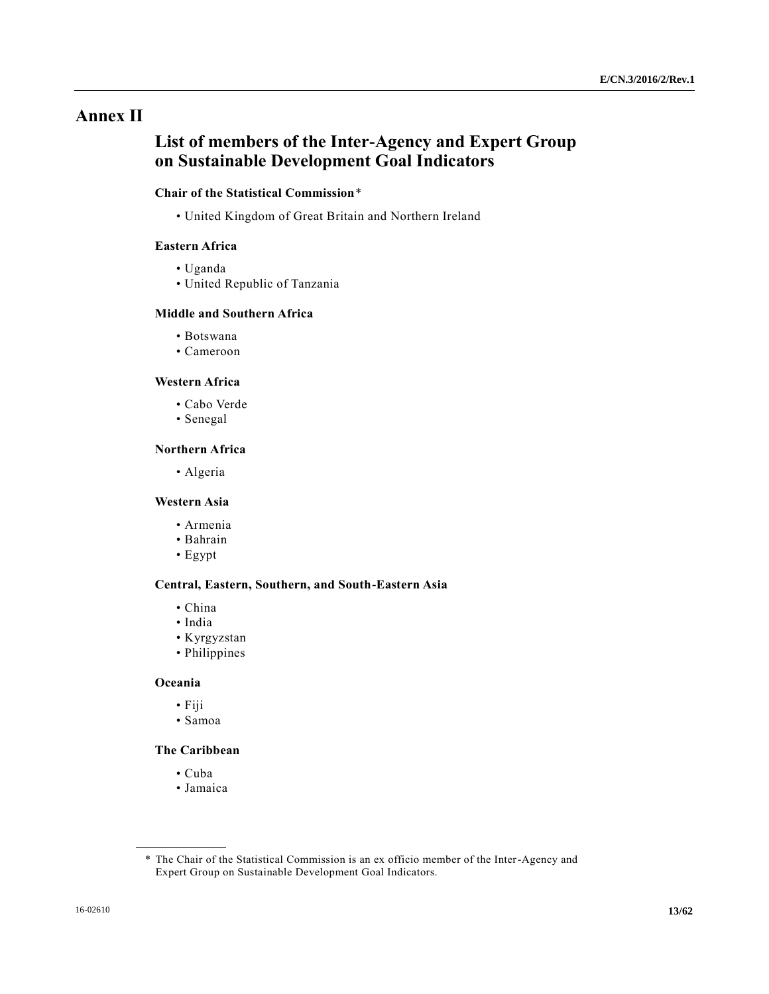# **Annex II**

# **List of members of the Inter-Agency and Expert Group on Sustainable Development Goal Indicators**

# **Chair of the Statistical Commission**\*

• United Kingdom of Great Britain and Northern Ireland

## **Eastern Africa**

- Uganda
- United Republic of Tanzania

# **Middle and Southern Africa**

- Botswana
- Cameroon

# **Western Africa**

- Cabo Verde
- Senegal

#### **Northern Africa**

• Algeria

#### **Western Asia**

- Armenia
- Bahrain
- Egypt

#### **Central, Eastern, Southern, and South-Eastern Asia**

- China
- India
- Kyrgyzstan
- Philippines

## **Oceania**

- Fiji
- Samoa

# **The Caribbean**

- Cuba
- Jamaica

<sup>\*</sup> The Chair of the Statistical Commission is an ex officio member of the Inter-Agency and Expert Group on Sustainable Development Goal Indicators.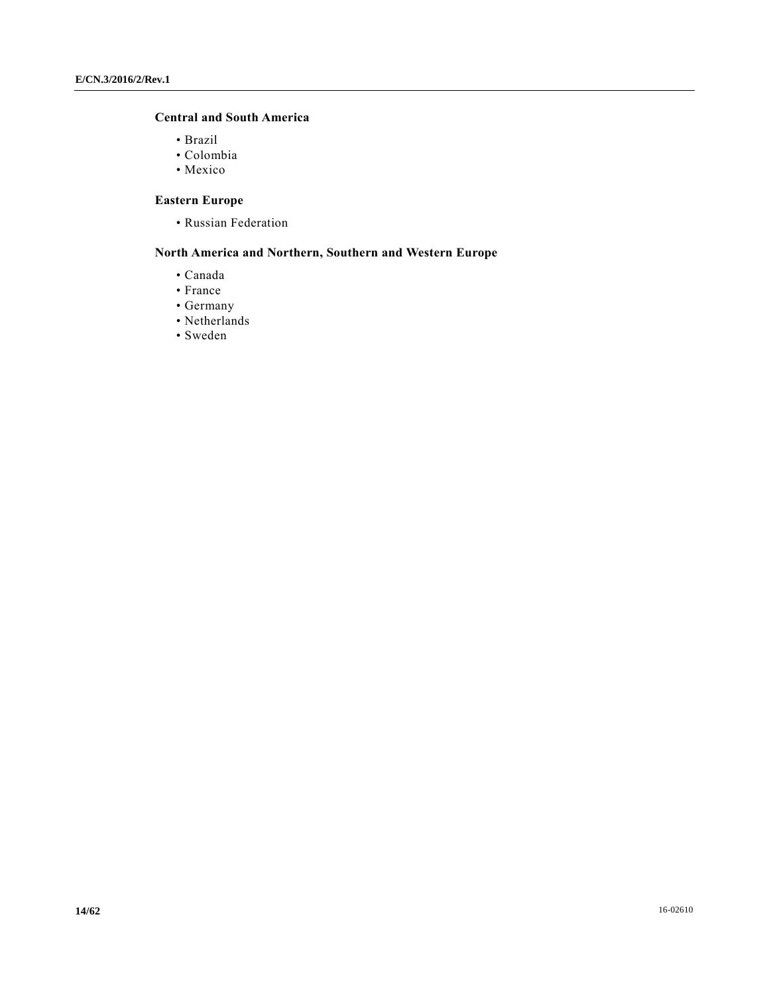# **Central and South America**

- Brazil
- Colombia
- Mexico

# **Eastern Europe**

• Russian Federation

# **North America and Northern, Southern and Western Europe**

- Canada
- France
- Germany
- Netherlands
- Sweden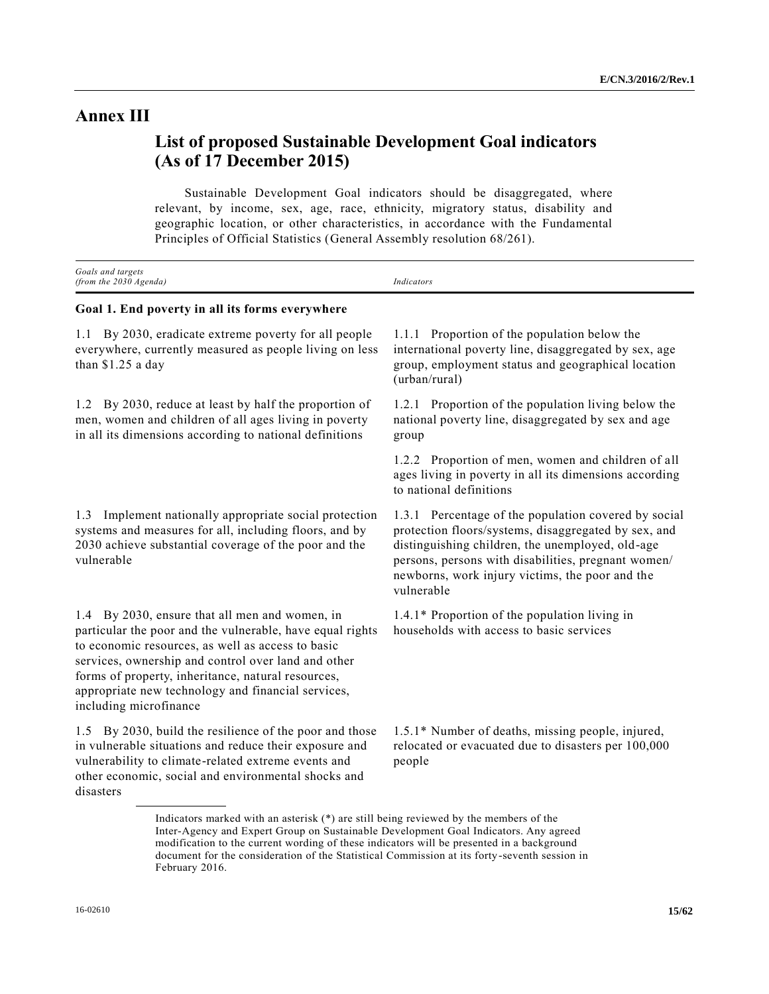# **Annex III**

# **List of proposed Sustainable Development Goal indicators (As of 17 December 2015)**

Sustainable Development Goal indicators should be disaggregated, where relevant, by income, sex, age, race, ethnicity, migratory status, disability and geographic location, or other characteristics, in accordance with the Fundamental Principles of Official Statistics (General Assembly resolution 68/261).

| Goals and targets<br>(from the 2030 Agenda)                                                                                                                                                                                                                                                                                                                   | Indicators                                                                                                                                                                                                                                                                               |
|---------------------------------------------------------------------------------------------------------------------------------------------------------------------------------------------------------------------------------------------------------------------------------------------------------------------------------------------------------------|------------------------------------------------------------------------------------------------------------------------------------------------------------------------------------------------------------------------------------------------------------------------------------------|
| Goal 1. End poverty in all its forms everywhere                                                                                                                                                                                                                                                                                                               |                                                                                                                                                                                                                                                                                          |
| By 2030, eradicate extreme poverty for all people<br>1.1<br>everywhere, currently measured as people living on less<br>than $$1.25$ a day                                                                                                                                                                                                                     | Proportion of the population below the<br>1.1.1<br>international poverty line, disaggregated by sex, age<br>group, employment status and geographical location<br>(urban/rural)                                                                                                          |
| By 2030, reduce at least by half the proportion of<br>1.2<br>men, women and children of all ages living in poverty<br>in all its dimensions according to national definitions                                                                                                                                                                                 | 1.2.1 Proportion of the population living below the<br>national poverty line, disaggregated by sex and age<br>group                                                                                                                                                                      |
|                                                                                                                                                                                                                                                                                                                                                               | 1.2.2 Proportion of men, women and children of all<br>ages living in poverty in all its dimensions according<br>to national definitions                                                                                                                                                  |
| Implement nationally appropriate social protection<br>1.3<br>systems and measures for all, including floors, and by<br>2030 achieve substantial coverage of the poor and the<br>vulnerable                                                                                                                                                                    | 1.3.1 Percentage of the population covered by social<br>protection floors/systems, disaggregated by sex, and<br>distinguishing children, the unemployed, old-age<br>persons, persons with disabilities, pregnant women/<br>newborns, work injury victims, the poor and the<br>vulnerable |
| 1.4 By 2030, ensure that all men and women, in<br>particular the poor and the vulnerable, have equal rights<br>to economic resources, as well as access to basic<br>services, ownership and control over land and other<br>forms of property, inheritance, natural resources,<br>appropriate new technology and financial services,<br>including microfinance | 1.4.1* Proportion of the population living in<br>households with access to basic services                                                                                                                                                                                                |
| 1.5 By 2030, build the resilience of the poor and those<br>in vulnerable situations and reduce their exposure and<br>vulnerability to climate-related extreme events and<br>other economic, social and environmental shocks and<br>disasters                                                                                                                  | 1.5.1* Number of deaths, missing people, injured,<br>relocated or evacuated due to disasters per 100,000<br>people                                                                                                                                                                       |

Indicators marked with an asterisk (\*) are still being reviewed by the members of the Inter-Agency and Expert Group on Sustainable Development Goal Indicators. Any agreed modification to the current wording of these indicators will be presented in a background document for the consideration of the Statistical Commission at its forty-seventh session in February 2016.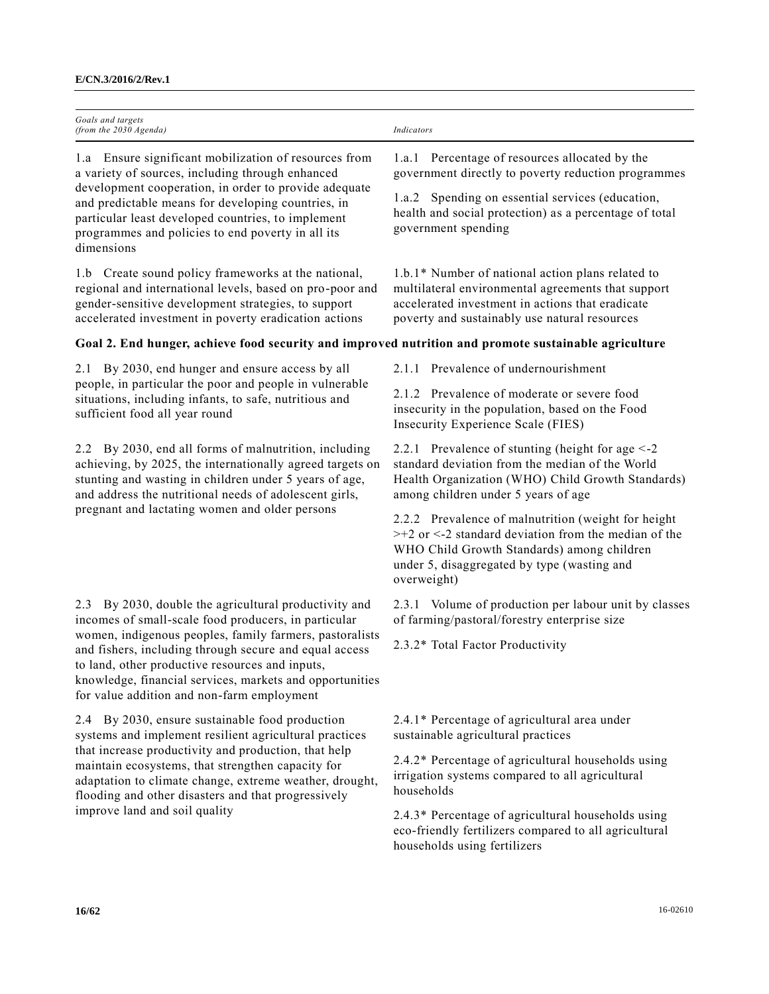| Indicators                                                                                                                                                                                                                   |
|------------------------------------------------------------------------------------------------------------------------------------------------------------------------------------------------------------------------------|
|                                                                                                                                                                                                                              |
| 1.a.1 Percentage of resources allocated by the<br>government directly to poverty reduction programmes                                                                                                                        |
| 1.a.2 Spending on essential services (education,<br>health and social protection) as a percentage of total<br>government spending                                                                                            |
| 1.b.1* Number of national action plans related to<br>multilateral environmental agreements that support<br>accelerated investment in actions that eradicate<br>poverty and sustainably use natural resources                 |
| Goal 2. End hunger, achieve food security and improved nutrition and promote sustainable agriculture                                                                                                                         |
| 2.1.1 Prevalence of undernourishment                                                                                                                                                                                         |
| 2.1.2 Prevalence of moderate or severe food<br>insecurity in the population, based on the Food<br>Insecurity Experience Scale (FIES)                                                                                         |
| 2.2.1 Prevalence of stunting (height for age $\leq$ -2<br>standard deviation from the median of the World<br>Health Organization (WHO) Child Growth Standards)<br>among children under 5 years of age                        |
| 2.2.2 Prevalence of malnutrition (weight for height<br>$>+2$ or $<$ -2 standard deviation from the median of the<br>WHO Child Growth Standards) among children<br>under 5, disaggregated by type (wasting and<br>overweight) |
| 2.3.1 Volume of production per labour unit by classes<br>of farming/pastoral/forestry enterprise size<br>2.3.2* Total Factor Productivity                                                                                    |
|                                                                                                                                                                                                                              |
| 2.4.1* Percentage of agricultural area under<br>sustainable agricultural practices                                                                                                                                           |
| 2.4.2* Percentage of agricultural households using<br>irrigation systems compared to all agricultural<br>households                                                                                                          |
| 2.4.3* Percentage of agricultural households using<br>eco-friendly fertilizers compared to all agricultural<br>households using fertilizers                                                                                  |
|                                                                                                                                                                                                                              |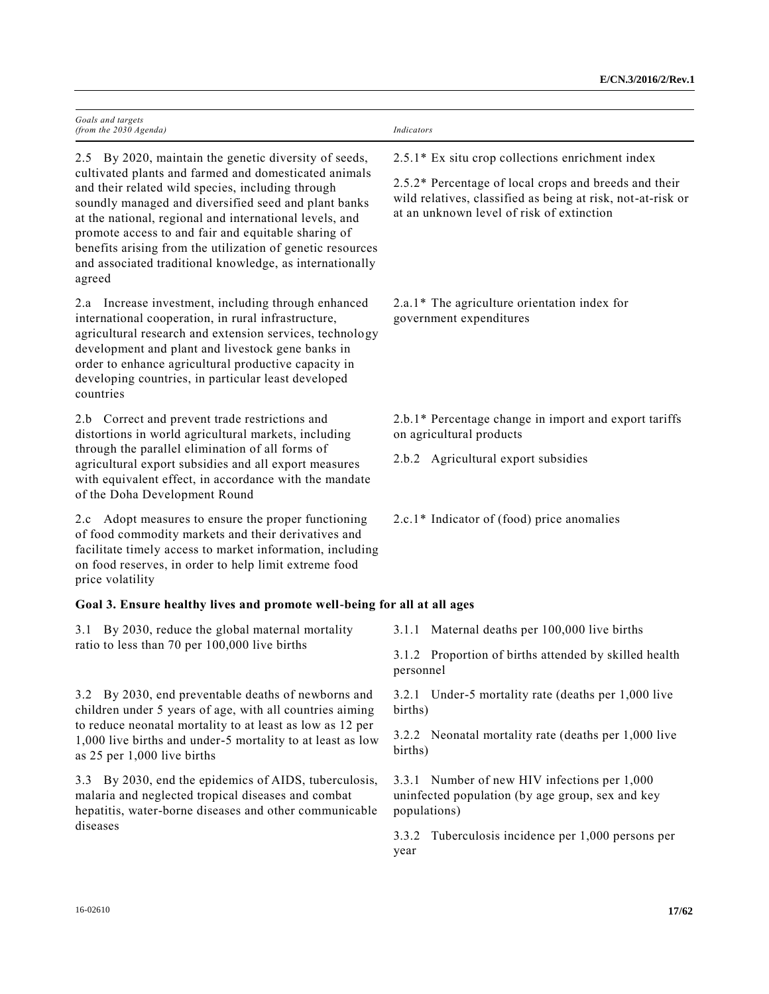| Goals and targets<br>(from the 2030 Agenda)                                                                                                                                                                                                                                                                                                                                                                              | Indicators                                                                                                                                                        |
|--------------------------------------------------------------------------------------------------------------------------------------------------------------------------------------------------------------------------------------------------------------------------------------------------------------------------------------------------------------------------------------------------------------------------|-------------------------------------------------------------------------------------------------------------------------------------------------------------------|
| 2.5 By 2020, maintain the genetic diversity of seeds,                                                                                                                                                                                                                                                                                                                                                                    | $2.5.1*$ Ex situ crop collections enrichment index                                                                                                                |
| cultivated plants and farmed and domesticated animals<br>and their related wild species, including through<br>soundly managed and diversified seed and plant banks<br>at the national, regional and international levels, and<br>promote access to and fair and equitable sharing of<br>benefits arising from the utilization of genetic resources<br>and associated traditional knowledge, as internationally<br>agreed | 2.5.2* Percentage of local crops and breeds and their<br>wild relatives, classified as being at risk, not-at-risk or<br>at an unknown level of risk of extinction |
| 2.a Increase investment, including through enhanced<br>international cooperation, in rural infrastructure,<br>agricultural research and extension services, technology<br>development and plant and livestock gene banks in<br>order to enhance agricultural productive capacity in<br>developing countries, in particular least developed<br>countries                                                                  | $2.a.1*$ The agriculture orientation index for<br>government expenditures                                                                                         |
| 2.b Correct and prevent trade restrictions and<br>distortions in world agricultural markets, including                                                                                                                                                                                                                                                                                                                   | 2.b.1* Percentage change in import and export tariffs<br>on agricultural products                                                                                 |
| through the parallel elimination of all forms of<br>agricultural export subsidies and all export measures<br>with equivalent effect, in accordance with the mandate<br>of the Doha Development Round                                                                                                                                                                                                                     | 2.b.2 Agricultural export subsidies                                                                                                                               |
| Adopt measures to ensure the proper functioning<br>2.c<br>of food commodity markets and their derivatives and<br>facilitate timely access to market information, including<br>on food reserves, in order to help limit extreme food<br>price volatility                                                                                                                                                                  | 2.c.1* Indicator of (food) price anomalies                                                                                                                        |
| Goal 3. Ensure healthy lives and promote well-being for all at all ages                                                                                                                                                                                                                                                                                                                                                  |                                                                                                                                                                   |
| By 2030, reduce the global maternal mortality<br>3.1                                                                                                                                                                                                                                                                                                                                                                     | 3.1.1 Maternal deaths per 100,000 live births                                                                                                                     |
| ratio to less than 70 per 100,000 live births                                                                                                                                                                                                                                                                                                                                                                            | 3.1.2 Proportion of births attended by skilled health<br>personnel                                                                                                |
| 3.2 By 2030, end preventable deaths of newborns and<br>children under 5 years of age, with all countries aiming<br>to reduce neonatal mortality to at least as low as 12 per<br>1,000 live births and under-5 mortality to at least as low<br>as 25 per 1,000 live births                                                                                                                                                | 3.2.1 Under-5 mortality rate (deaths per 1,000 live<br>births)                                                                                                    |
|                                                                                                                                                                                                                                                                                                                                                                                                                          | 3.2.2 Neonatal mortality rate (deaths per 1,000 live<br>births)                                                                                                   |
| By 2030, end the epidemics of AIDS, tuberculosis,<br>3.3<br>malaria and neglected tropical diseases and combat<br>hepatitis, water-borne diseases and other communicable<br>diseases                                                                                                                                                                                                                                     | 3.3.1 Number of new HIV infections per 1,000<br>uninfected population (by age group, sex and key<br>populations)                                                  |
|                                                                                                                                                                                                                                                                                                                                                                                                                          | Tuberculosis incidence per 1,000 persons per<br>3.3.2<br>year                                                                                                     |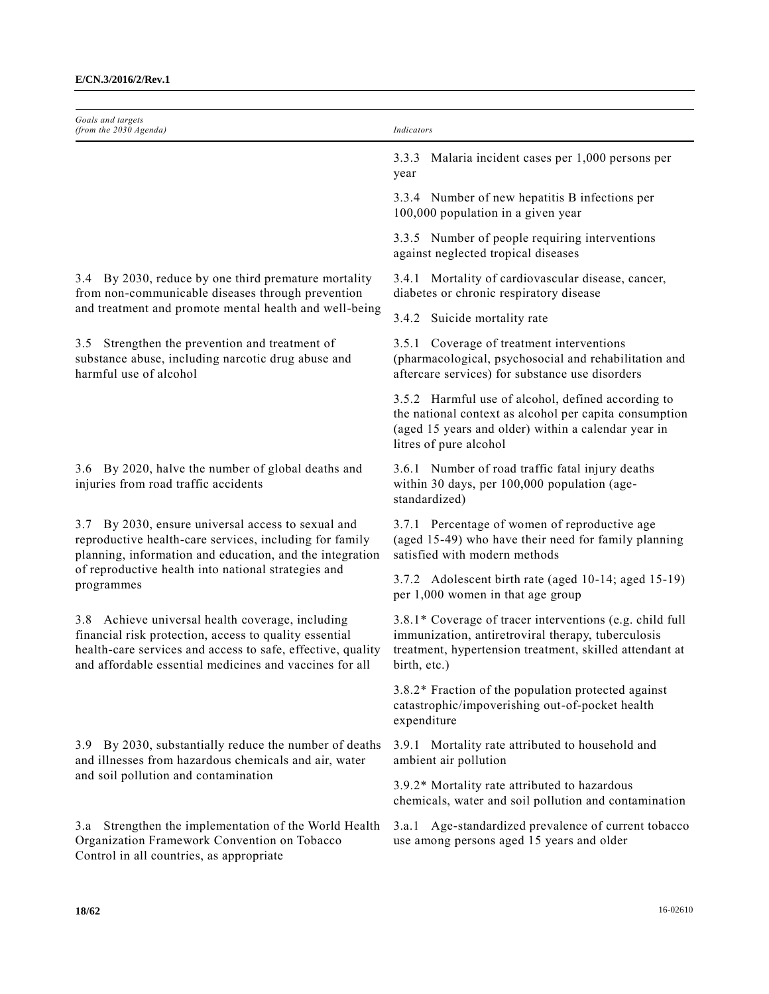| Goals and targets<br>(from the 2030 Agenda)                                                                                                                                                                                                       | Indicators                                                                                                                                                                                    |
|---------------------------------------------------------------------------------------------------------------------------------------------------------------------------------------------------------------------------------------------------|-----------------------------------------------------------------------------------------------------------------------------------------------------------------------------------------------|
|                                                                                                                                                                                                                                                   | Malaria incident cases per 1,000 persons per<br>3.3.3<br>year                                                                                                                                 |
|                                                                                                                                                                                                                                                   | 3.3.4 Number of new hepatitis B infections per<br>100,000 population in a given year                                                                                                          |
|                                                                                                                                                                                                                                                   | 3.3.5 Number of people requiring interventions<br>against neglected tropical diseases                                                                                                         |
| 3.4 By 2030, reduce by one third premature mortality<br>from non-communicable diseases through prevention                                                                                                                                         | 3.4.1 Mortality of cardiovascular disease, cancer,<br>diabetes or chronic respiratory disease                                                                                                 |
| and treatment and promote mental health and well-being                                                                                                                                                                                            | 3.4.2 Suicide mortality rate                                                                                                                                                                  |
| Strengthen the prevention and treatment of<br>3.5<br>substance abuse, including narcotic drug abuse and<br>harmful use of alcohol                                                                                                                 | 3.5.1 Coverage of treatment interventions<br>(pharmacological, psychosocial and rehabilitation and<br>aftercare services) for substance use disorders                                         |
|                                                                                                                                                                                                                                                   | 3.5.2 Harmful use of alcohol, defined according to<br>the national context as alcohol per capita consumption<br>(aged 15 years and older) within a calendar year in<br>litres of pure alcohol |
| 3.6 By 2020, halve the number of global deaths and<br>injuries from road traffic accidents                                                                                                                                                        | 3.6.1 Number of road traffic fatal injury deaths<br>within 30 days, per 100,000 population (age-<br>standardized)                                                                             |
| By 2030, ensure universal access to sexual and<br>3.7<br>reproductive health-care services, including for family<br>planning, information and education, and the integration<br>of reproductive health into national strategies and<br>programmes | 3.7.1 Percentage of women of reproductive age<br>(aged 15-49) who have their need for family planning<br>satisfied with modern methods                                                        |
|                                                                                                                                                                                                                                                   | 3.7.2 Adolescent birth rate (aged 10-14; aged 15-19)<br>per 1,000 women in that age group                                                                                                     |
| 3.8 Achieve universal health coverage, including<br>financial risk protection, access to quality essential<br>health-care services and access to safe, effective, quality<br>and affordable essential medicines and vaccines for all              | 3.8.1* Coverage of tracer interventions (e.g. child full<br>immunization, antiretroviral therapy, tuberculosis<br>treatment, hypertension treatment, skilled attendant at<br>birth, etc.)     |
|                                                                                                                                                                                                                                                   | 3.8.2* Fraction of the population protected against<br>catastrophic/impoverishing out-of-pocket health<br>expenditure                                                                         |
| 3.9 By 2030, substantially reduce the number of deaths<br>and illnesses from hazardous chemicals and air, water<br>and soil pollution and contamination                                                                                           | 3.9.1 Mortality rate attributed to household and<br>ambient air pollution                                                                                                                     |
|                                                                                                                                                                                                                                                   | 3.9.2* Mortality rate attributed to hazardous<br>chemicals, water and soil pollution and contamination                                                                                        |
| Strengthen the implementation of the World Health<br>3.a<br>Organization Framework Convention on Tobacco<br>Control in all countries, as appropriate                                                                                              | 3.a.1 Age-standardized prevalence of current tobacco<br>use among persons aged 15 years and older                                                                                             |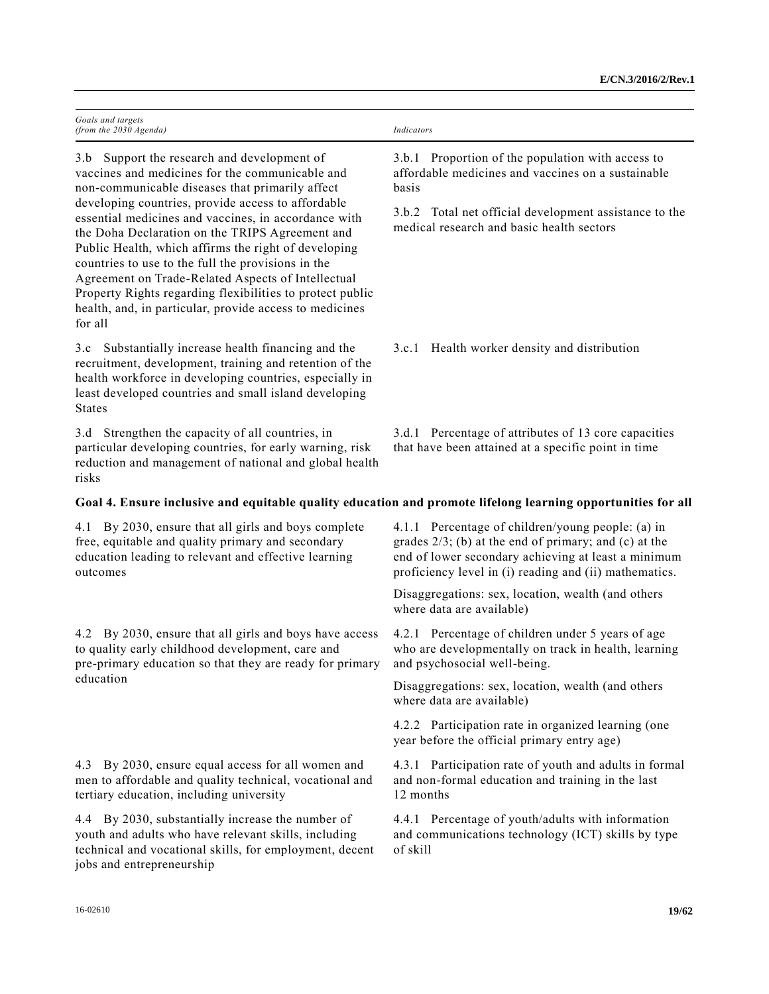| Goals and targets        |            |
|--------------------------|------------|
| (from the $2030$ Agenda) | Indicators |

3.b Support the research and development of vaccines and medicines for the communicable and non-communicable diseases that primarily affect developing countries, provide access to affordable essential medicines and vaccines, in accordance with the Doha Declaration on the TRIPS Agreement and Public Health, which affirms the right of developing countries to use to the full the provisions in the Agreement on Trade-Related Aspects of Intellectual Property Rights regarding flexibilities to protect public health, and, in particular, provide access to medicines for all

3.c Substantially increase health financing and the recruitment, development, training and retention of the health workforce in developing countries, especially in least developed countries and small island developing States

3.d Strengthen the capacity of all countries, in particular developing countries, for early warning, risk reduction and management of national and global health risks

3.b.1 Proportion of the population with access to affordable medicines and vaccines on a sustainable basis

3.b.2 Total net official development assistance to the medical research and basic health sectors

3.c.1 Health worker density and distribution

3.d.1 Percentage of attributes of 13 core capacities that have been attained at a specific point in time

# **Goal 4. Ensure inclusive and equitable quality education and promote lifelong learning opportunities for all**

4.1 By 2030, ensure that all girls and boys complete free, equitable and quality primary and secondary education leading to relevant and effective learning outcomes

4.2 By 2030, ensure that all girls and boys have access to quality early childhood development, care and pre-primary education so that they are ready for primary education

4.3 By 2030, ensure equal access for all women and men to affordable and quality technical, vocational and tertiary education, including university

4.4 By 2030, substantially increase the number of youth and adults who have relevant skills, including technical and vocational skills, for employment, decent jobs and entrepreneurship

4.1.1 Percentage of children/young people: (a) in grades 2/3; (b) at the end of primary; and (c) at the end of lower secondary achieving at least a minimum proficiency level in (i) reading and (ii) mathematics.

Disaggregations: sex, location, wealth (and others where data are available)

4.2.1 Percentage of children under 5 years of age who are developmentally on track in health, learning and psychosocial well-being.

Disaggregations: sex, location, wealth (and others where data are available)

4.2.2 Participation rate in organized learning (one year before the official primary entry age)

4.3.1 Participation rate of youth and adults in formal and non-formal education and training in the last 12 months

4.4.1 Percentage of youth/adults with information and communications technology (ICT) skills by type of skill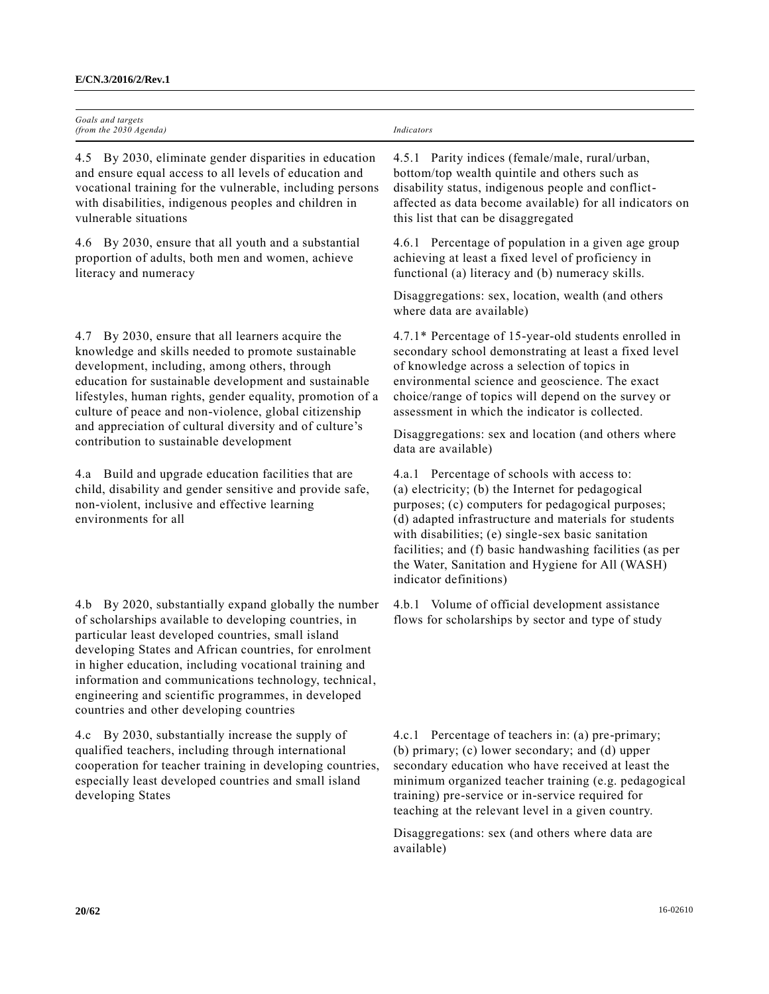| Goals and targets<br>(from the $2030$ Agenda)          | Indicators                                      |
|--------------------------------------------------------|-------------------------------------------------|
| 4.5 By 2030, eliminate gender disparities in education | 4.5.1 Parity indices (female/male, rural/urban, |
| and ensure equal access to all levels of education and | hottom/ton wealth quintile and others such as   |

and ensure equal access to all levels of education and vocational training for the vulnerable, including persons with disabilities, indigenous peoples and children in vulnerable situations

4.6 By 2030, ensure that all youth and a substantial proportion of adults, both men and women, achieve literacy and numeracy

4.7 By 2030, ensure that all learners acquire the knowledge and skills needed to promote sustainable development, including, among others, through education for sustainable development and sustainable lifestyles, human rights, gender equality, promotion of a culture of peace and non-violence, global citizenship and appreciation of cultural diversity and of culture's contribution to sustainable development

4.a Build and upgrade education facilities that are child, disability and gender sensitive and provide safe, non-violent, inclusive and effective learning environments for all

4.b By 2020, substantially expand globally the number of scholarships available to developing countries, in particular least developed countries, small island developing States and African countries, for enrolment in higher education, including vocational training and information and communications technology, technical, engineering and scientific programmes, in developed countries and other developing countries

4.c By 2030, substantially increase the supply of qualified teachers, including through international cooperation for teacher training in developing countries, especially least developed countries and small island developing States

bottom/top wealth quintile and others such as disability status, indigenous people and conflictaffected as data become available) for all indicators on this list that can be disaggregated

4.6.1 Percentage of population in a given age group achieving at least a fixed level of proficiency in functional (a) literacy and (b) numeracy skills.

Disaggregations: sex, location, wealth (and others where data are available)

4.7.1\* Percentage of 15-year-old students enrolled in secondary school demonstrating at least a fixed level of knowledge across a selection of topics in environmental science and geoscience. The exact choice/range of topics will depend on the survey or assessment in which the indicator is collected.

Disaggregations: sex and location (and others where data are available)

4.a.1 Percentage of schools with access to: (a) electricity; (b) the Internet for pedagogical purposes; (c) computers for pedagogical purposes; (d) adapted infrastructure and materials for students with disabilities; (e) single-sex basic sanitation facilities; and (f) basic handwashing facilities (as per the Water, Sanitation and Hygiene for All (WASH) indicator definitions)

4.b.1 Volume of official development assistance flows for scholarships by sector and type of study

4.c.1 Percentage of teachers in: (a) pre-primary; (b) primary; (c) lower secondary; and (d) upper secondary education who have received at least the minimum organized teacher training (e.g. pedagogical training) pre-service or in-service required for teaching at the relevant level in a given country.

Disaggregations: sex (and others where data are available)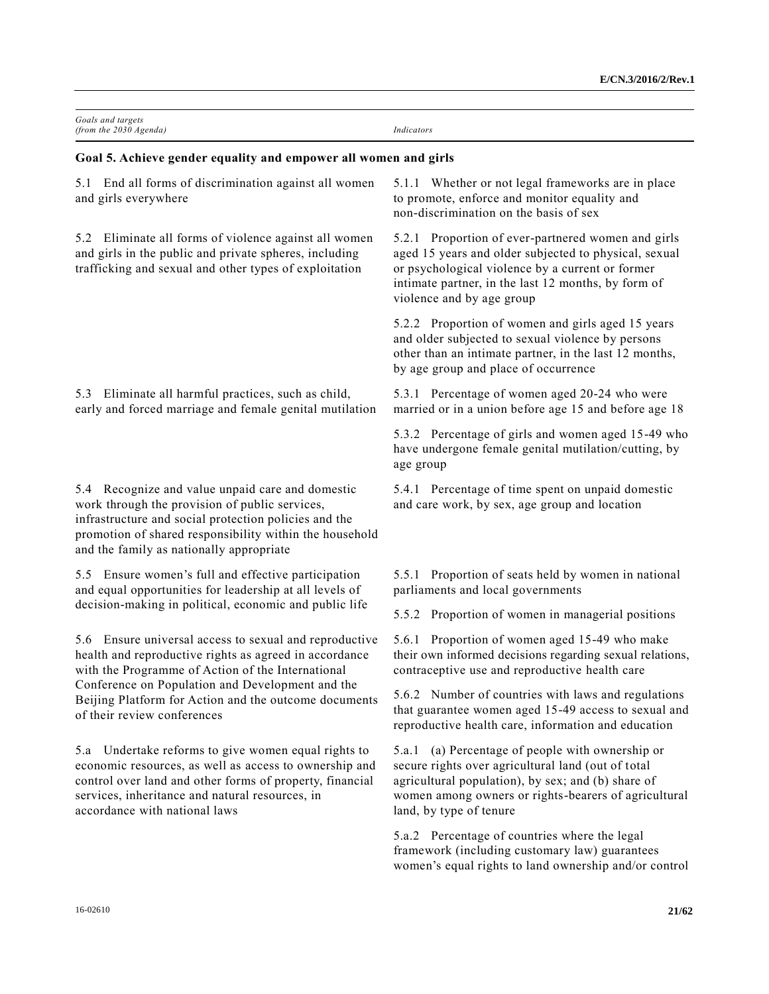| Goals and targets<br>(from the 2030 Agenda)                                                                                                                                                                                                                                                                          | Indicators                                                                                                                                                                                                                                          |
|----------------------------------------------------------------------------------------------------------------------------------------------------------------------------------------------------------------------------------------------------------------------------------------------------------------------|-----------------------------------------------------------------------------------------------------------------------------------------------------------------------------------------------------------------------------------------------------|
| Goal 5. Achieve gender equality and empower all women and girls                                                                                                                                                                                                                                                      |                                                                                                                                                                                                                                                     |
| End all forms of discrimination against all women<br>5.1<br>and girls everywhere                                                                                                                                                                                                                                     | 5.1.1 Whether or not legal frameworks are in place<br>to promote, enforce and monitor equality and<br>non-discrimination on the basis of sex                                                                                                        |
| Eliminate all forms of violence against all women<br>5.2<br>and girls in the public and private spheres, including<br>trafficking and sexual and other types of exploitation                                                                                                                                         | 5.2.1 Proportion of ever-partnered women and girls<br>aged 15 years and older subjected to physical, sexual<br>or psychological violence by a current or former<br>intimate partner, in the last 12 months, by form of<br>violence and by age group |
|                                                                                                                                                                                                                                                                                                                      | 5.2.2 Proportion of women and girls aged 15 years<br>and older subjected to sexual violence by persons<br>other than an intimate partner, in the last 12 months,<br>by age group and place of occurrence                                            |
| Eliminate all harmful practices, such as child,<br>5.3<br>early and forced marriage and female genital mutilation                                                                                                                                                                                                    | 5.3.1 Percentage of women aged 20-24 who were<br>married or in a union before age 15 and before age 18                                                                                                                                              |
|                                                                                                                                                                                                                                                                                                                      | 5.3.2 Percentage of girls and women aged 15-49 who<br>have undergone female genital mutilation/cutting, by<br>age group                                                                                                                             |
| 5.4 Recognize and value unpaid care and domestic<br>work through the provision of public services,<br>infrastructure and social protection policies and the<br>promotion of shared responsibility within the household<br>and the family as nationally appropriate                                                   | 5.4.1 Percentage of time spent on unpaid domestic<br>and care work, by sex, age group and location                                                                                                                                                  |
| 5.5 Ensure women's full and effective participation<br>and equal opportunities for leadership at all levels of                                                                                                                                                                                                       | 5.5.1 Proportion of seats held by women in national<br>parliaments and local governments                                                                                                                                                            |
| decision-making in political, economic and public life                                                                                                                                                                                                                                                               | 5.5.2 Proportion of women in managerial positions                                                                                                                                                                                                   |
| Ensure universal access to sexual and reproductive<br>5.6<br>health and reproductive rights as agreed in accordance<br>with the Programme of Action of the International<br>Conference on Population and Development and the<br>Beijing Platform for Action and the outcome documents<br>of their review conferences | Proportion of women aged 15-49 who make<br>5.6.1<br>their own informed decisions regarding sexual relations,<br>contraceptive use and reproductive health care                                                                                      |
|                                                                                                                                                                                                                                                                                                                      | 5.6.2 Number of countries with laws and regulations<br>that guarantee women aged 15-49 access to sexual and<br>reproductive health care, information and education                                                                                  |
| 5.a Undertake reforms to give women equal rights to<br>economic resources, as well as access to ownership and<br>control over land and other forms of property, financial<br>services, inheritance and natural resources, in<br>accordance with national laws                                                        | (a) Percentage of people with ownership or<br>5.a.1<br>secure rights over agricultural land (out of total<br>agricultural population), by sex; and (b) share of<br>women among owners or rights-bearers of agricultural<br>land, by type of tenure  |
|                                                                                                                                                                                                                                                                                                                      | 5.a.2 Percentage of countries where the legal<br>framework (including customary law) guarantees                                                                                                                                                     |

women's equal rights to land ownership and/or control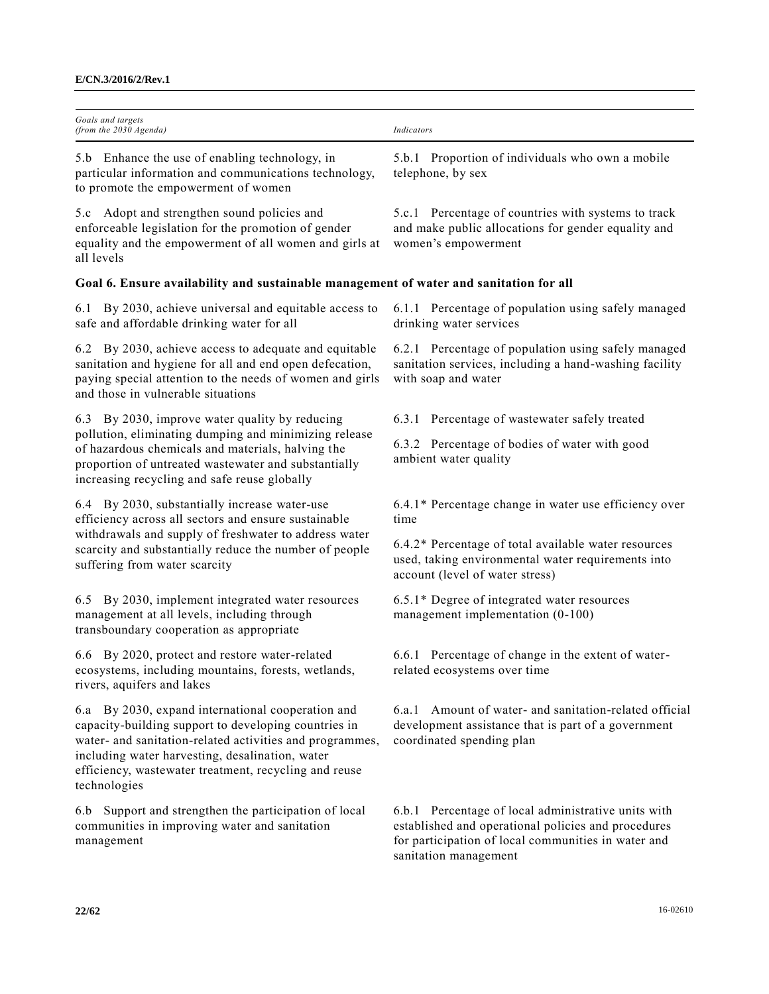| Goals and targets<br>(from the 2030 Agenda)                                                                                                                                                                                                                                                       | Indicators                                                                                                                                                                                 |
|---------------------------------------------------------------------------------------------------------------------------------------------------------------------------------------------------------------------------------------------------------------------------------------------------|--------------------------------------------------------------------------------------------------------------------------------------------------------------------------------------------|
| 5.b Enhance the use of enabling technology, in<br>particular information and communications technology,<br>to promote the empowerment of women                                                                                                                                                    | 5.b.1 Proportion of individuals who own a mobile<br>telephone, by sex                                                                                                                      |
| Adopt and strengthen sound policies and<br>5.c<br>enforceable legislation for the promotion of gender<br>equality and the empowerment of all women and girls at<br>all levels                                                                                                                     | 5.c.1 Percentage of countries with systems to track<br>and make public allocations for gender equality and<br>women's empowerment                                                          |
| Goal 6. Ensure availability and sustainable management of water and sanitation for all                                                                                                                                                                                                            |                                                                                                                                                                                            |
| By 2030, achieve universal and equitable access to<br>6.1<br>safe and affordable drinking water for all                                                                                                                                                                                           | 6.1.1 Percentage of population using safely managed<br>drinking water services                                                                                                             |
| 6.2 By 2030, achieve access to adequate and equitable<br>sanitation and hygiene for all and end open defecation,<br>paying special attention to the needs of women and girls<br>and those in vulnerable situations                                                                                | 6.2.1 Percentage of population using safely managed<br>sanitation services, including a hand-washing facility<br>with soap and water                                                       |
| 6.3 By 2030, improve water quality by reducing                                                                                                                                                                                                                                                    | 6.3.1 Percentage of wastewater safely treated                                                                                                                                              |
| pollution, eliminating dumping and minimizing release<br>of hazardous chemicals and materials, halving the<br>proportion of untreated wastewater and substantially<br>increasing recycling and safe reuse globally                                                                                | 6.3.2 Percentage of bodies of water with good<br>ambient water quality                                                                                                                     |
| 6.4 By 2030, substantially increase water-use<br>efficiency across all sectors and ensure sustainable                                                                                                                                                                                             | 6.4.1* Percentage change in water use efficiency over<br>time                                                                                                                              |
| withdrawals and supply of freshwater to address water<br>scarcity and substantially reduce the number of people<br>suffering from water scarcity                                                                                                                                                  | 6.4.2* Percentage of total available water resources<br>used, taking environmental water requirements into<br>account (level of water stress)                                              |
| 6.5 By 2030, implement integrated water resources<br>management at all levels, including through<br>transboundary cooperation as appropriate                                                                                                                                                      | 6.5.1* Degree of integrated water resources<br>management implementation (0-100)                                                                                                           |
| 6.6 By 2020, protect and restore water-related<br>ecosystems, including mountains, forests, wetlands,<br>rivers, aquifers and lakes                                                                                                                                                               | Percentage of change in the extent of water-<br>6.6.1<br>related ecosystems over time                                                                                                      |
| 6.a By 2030, expand international cooperation and<br>capacity-building support to developing countries in<br>water- and sanitation-related activities and programmes,<br>including water harvesting, desalination, water<br>efficiency, wastewater treatment, recycling and reuse<br>technologies | 6.a.1 Amount of water- and sanitation-related official<br>development assistance that is part of a government<br>coordinated spending plan                                                 |
| 6.b Support and strengthen the participation of local<br>communities in improving water and sanitation<br>management                                                                                                                                                                              | 6.b.1 Percentage of local administrative units with<br>established and operational policies and procedures<br>for participation of local communities in water and<br>sanitation management |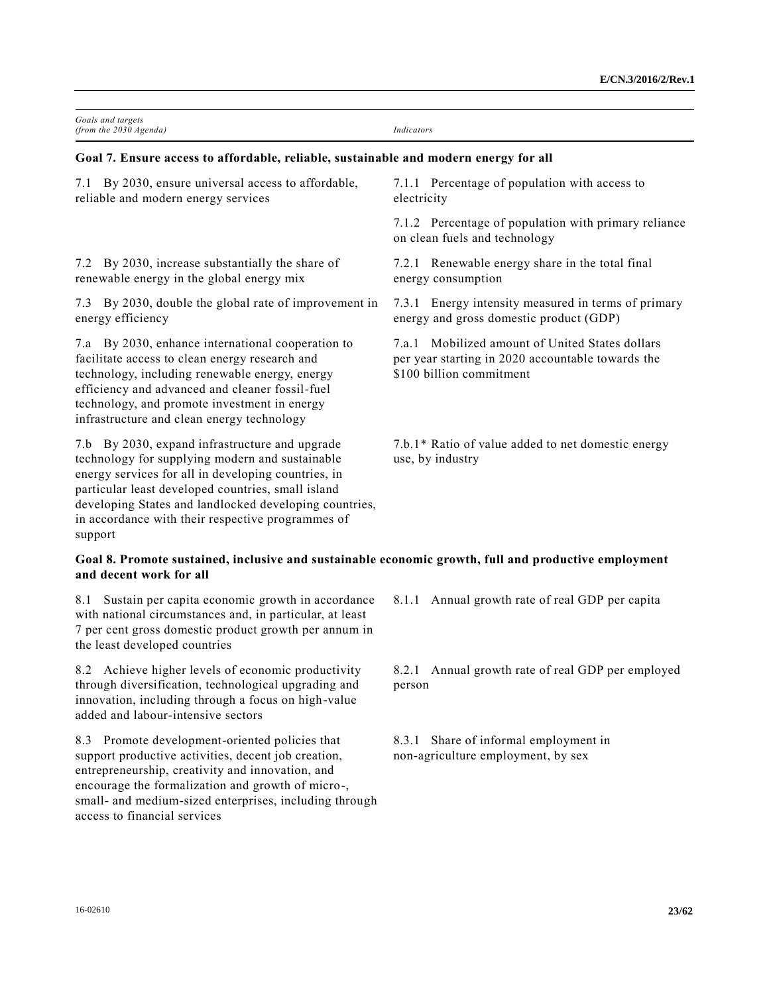| Goals and targets<br>(from the 2030 Agenda)                                                                                                                                                                                                                                                                                              | Indicators                                                                                                                          |
|------------------------------------------------------------------------------------------------------------------------------------------------------------------------------------------------------------------------------------------------------------------------------------------------------------------------------------------|-------------------------------------------------------------------------------------------------------------------------------------|
| Goal 7. Ensure access to affordable, reliable, sustainable and modern energy for all                                                                                                                                                                                                                                                     |                                                                                                                                     |
| By 2030, ensure universal access to affordable,<br>7.1<br>reliable and modern energy services                                                                                                                                                                                                                                            | 7.1.1 Percentage of population with access to<br>electricity                                                                        |
|                                                                                                                                                                                                                                                                                                                                          | 7.1.2 Percentage of population with primary reliance<br>on clean fuels and technology                                               |
| 7.2 By 2030, increase substantially the share of<br>renewable energy in the global energy mix                                                                                                                                                                                                                                            | 7.2.1 Renewable energy share in the total final<br>energy consumption                                                               |
| 7.3 By 2030, double the global rate of improvement in<br>energy efficiency                                                                                                                                                                                                                                                               | 7.3.1 Energy intensity measured in terms of primary<br>energy and gross domestic product (GDP)                                      |
| 7.a By 2030, enhance international cooperation to<br>facilitate access to clean energy research and<br>technology, including renewable energy, energy<br>efficiency and advanced and cleaner fossil-fuel<br>technology, and promote investment in energy<br>infrastructure and clean energy technology                                   | Mobilized amount of United States dollars<br>7.a.1<br>per year starting in 2020 accountable towards the<br>\$100 billion commitment |
| 7.b By 2030, expand infrastructure and upgrade<br>technology for supplying modern and sustainable<br>energy services for all in developing countries, in<br>particular least developed countries, small island<br>developing States and landlocked developing countries,<br>in accordance with their respective programmes of<br>support | 7.b.1* Ratio of value added to net domestic energy<br>use, by industry                                                              |
| Goal 8. Promote sustained, inclusive and sustainable economic growth, full and productive employment<br>and decent work for all                                                                                                                                                                                                          |                                                                                                                                     |
| 8.1 Sustain per capita economic growth in accordance<br>with national circumstances and, in particular, at least<br>7 per cent gross domestic product growth per annum in<br>the least developed countries                                                                                                                               | 8.1.1 Annual growth rate of real GDP per capita                                                                                     |
| 8.2 Achieve higher levels of economic productivity<br>through diversification, technological upgrading and<br>innovation, including through a focus on high-value<br>added and labour-intensive sectors                                                                                                                                  | 8.2.1 Annual growth rate of real GDP per employed<br>person                                                                         |
| $\mathcal{L}$ and the state of the state of the state of the state of the state of the state of the state of the state of the state of the state of the state of the state of the state of the state of the state of the state of                                                                                                        | $0.21$ $01$ $0.21$ $1$ $1$                                                                                                          |

8.3 Promote development-oriented policies that support productive activities, decent job creation, entrepreneurship, creativity and innovation, and encourage the formalization and growth of micro-, small- and medium-sized enterprises, including through access to financial services

8.3.1 Share of informal employment in non-agriculture employment, by sex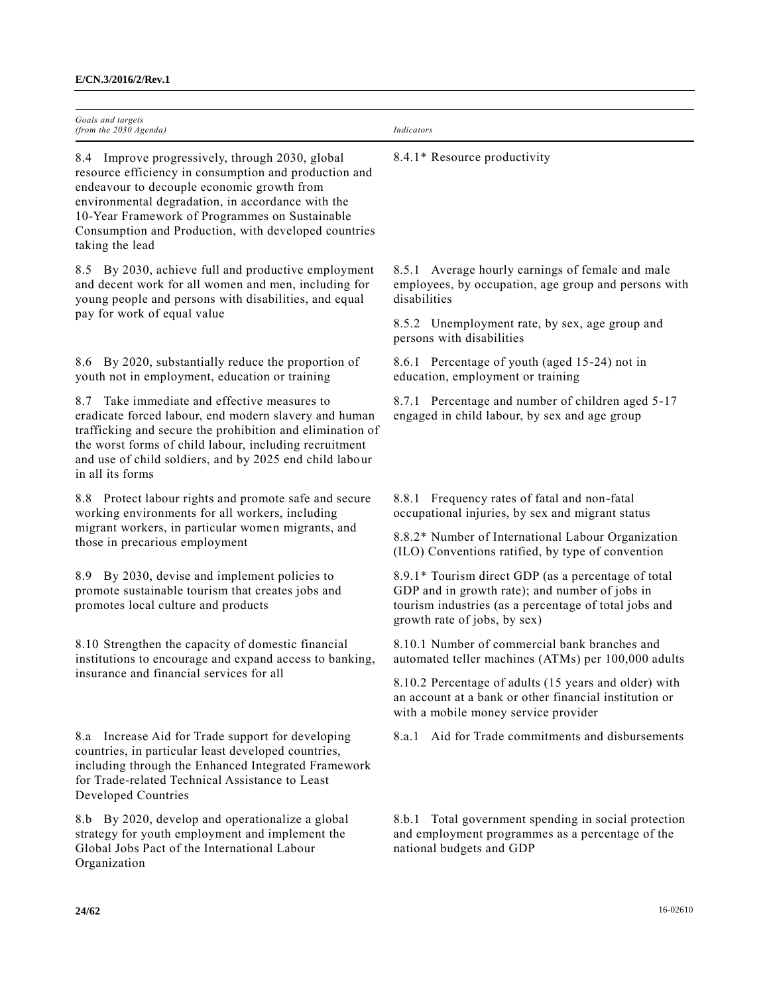| Goals and targets<br>(from the 2030 Agenda)                                                                                                                                                                                                                                                                                              | Indicators                                                                                                                                                                                     |
|------------------------------------------------------------------------------------------------------------------------------------------------------------------------------------------------------------------------------------------------------------------------------------------------------------------------------------------|------------------------------------------------------------------------------------------------------------------------------------------------------------------------------------------------|
| 8.4 Improve progressively, through 2030, global<br>resource efficiency in consumption and production and<br>endeavour to decouple economic growth from<br>environmental degradation, in accordance with the<br>10-Year Framework of Programmes on Sustainable<br>Consumption and Production, with developed countries<br>taking the lead | 8.4.1* Resource productivity                                                                                                                                                                   |
| 8.5 By 2030, achieve full and productive employment<br>and decent work for all women and men, including for<br>young people and persons with disabilities, and equal                                                                                                                                                                     | 8.5.1 Average hourly earnings of female and male<br>employees, by occupation, age group and persons with<br>disabilities                                                                       |
| pay for work of equal value                                                                                                                                                                                                                                                                                                              | 8.5.2 Unemployment rate, by sex, age group and<br>persons with disabilities                                                                                                                    |
| 8.6 By 2020, substantially reduce the proportion of<br>youth not in employment, education or training                                                                                                                                                                                                                                    | 8.6.1 Percentage of youth (aged 15-24) not in<br>education, employment or training                                                                                                             |
| Take immediate and effective measures to<br>8.7<br>eradicate forced labour, end modern slavery and human<br>trafficking and secure the prohibition and elimination of<br>the worst forms of child labour, including recruitment<br>and use of child soldiers, and by 2025 end child labour<br>in all its forms                           | 8.7.1 Percentage and number of children aged 5-17<br>engaged in child labour, by sex and age group                                                                                             |
| 8.8 Protect labour rights and promote safe and secure<br>working environments for all workers, including                                                                                                                                                                                                                                 | 8.8.1 Frequency rates of fatal and non-fatal<br>occupational injuries, by sex and migrant status                                                                                               |
| migrant workers, in particular women migrants, and<br>those in precarious employment                                                                                                                                                                                                                                                     | 8.8.2* Number of International Labour Organization<br>(ILO) Conventions ratified, by type of convention                                                                                        |
| 8.9 By 2030, devise and implement policies to<br>promote sustainable tourism that creates jobs and<br>promotes local culture and products                                                                                                                                                                                                | 8.9.1* Tourism direct GDP (as a percentage of total<br>GDP and in growth rate); and number of jobs in<br>tourism industries (as a percentage of total jobs and<br>growth rate of jobs, by sex) |
| 8.10 Strengthen the capacity of domestic financial<br>institutions to encourage and expand access to banking,<br>insurance and financial services for all                                                                                                                                                                                | 8.10.1 Number of commercial bank branches and<br>automated teller machines (ATMs) per 100,000 adults                                                                                           |
|                                                                                                                                                                                                                                                                                                                                          | 8.10.2 Percentage of adults (15 years and older) with<br>an account at a bank or other financial institution or<br>with a mobile money service provider                                        |
| 8.a Increase Aid for Trade support for developing<br>countries, in particular least developed countries,<br>including through the Enhanced Integrated Framework<br>for Trade-related Technical Assistance to Least<br>Developed Countries                                                                                                | 8.a.1 Aid for Trade commitments and disbursements                                                                                                                                              |
| 8.b By 2020, develop and operationalize a global<br>strategy for youth employment and implement the<br>Global Jobs Pact of the International Labour<br>Organization                                                                                                                                                                      | 8.b.1 Total government spending in social protection<br>and employment programmes as a percentage of the<br>national budgets and GDP                                                           |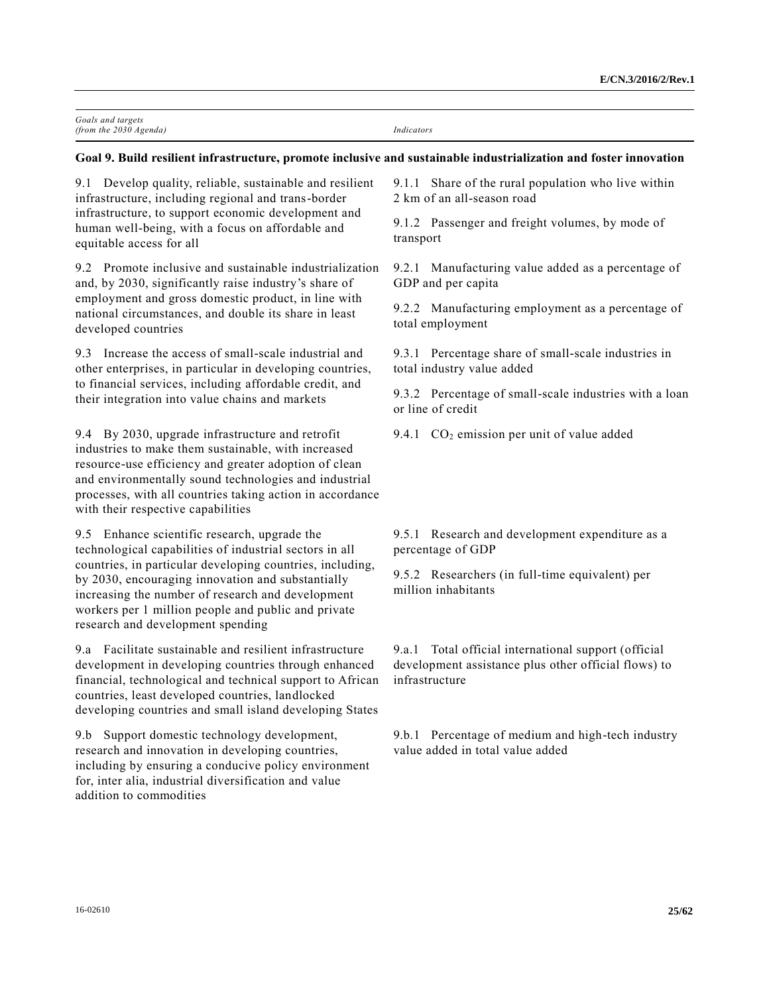| Goals and targets        |            |
|--------------------------|------------|
| (from the $2030$ Agenda) | Indicators |

#### **Goal 9. Build resilient infrastructure, promote inclusive and sustainable industrialization and foster innovation**

9.1 Develop quality, reliable, sustainable and resilient infrastructure, including regional and trans-border infrastructure, to support economic development and human well-being, with a focus on affordable and equitable access for all

9.2 Promote inclusive and sustainable industrialization and, by 2030, significantly raise industry's share of employment and gross domestic product, in line with national circumstances, and double its share in least developed countries

9.3 Increase the access of small-scale industrial and other enterprises, in particular in developing countries, to financial services, including affordable credit, and their integration into value chains and markets

9.4 By 2030, upgrade infrastructure and retrofit industries to make them sustainable, with increased resource-use efficiency and greater adoption of clean and environmentally sound technologies and industrial processes, with all countries taking action in accordance with their respective capabilities

9.5 Enhance scientific research, upgrade the technological capabilities of industrial sectors in all countries, in particular developing countries, including, by 2030, encouraging innovation and substantially increasing the number of research and development workers per 1 million people and public and private research and development spending

9.a Facilitate sustainable and resilient infrastructure development in developing countries through enhanced financial, technological and technical support to African countries, least developed countries, landlocked developing countries and small island developing States

9.b Support domestic technology development, research and innovation in developing countries, including by ensuring a conducive policy environment for, inter alia, industrial diversification and value addition to commodities

9.1.1 Share of the rural population who live within 2 km of an all-season road

9.1.2 Passenger and freight volumes, by mode of transport

9.2.1 Manufacturing value added as a percentage of GDP and per capita

9.2.2 Manufacturing employment as a percentage of total employment

9.3.1 Percentage share of small-scale industries in total industry value added

9.3.2 Percentage of small-scale industries with a loan or line of credit

9.4.1  $CO<sub>2</sub>$  emission per unit of value added

9.5.1 Research and development expenditure as a percentage of GDP

9.5.2 Researchers (in full-time equivalent) per million inhabitants

9.a.1 Total official international support (official development assistance plus other official flows) to infrastructure

9.b.1 Percentage of medium and high-tech industry value added in total value added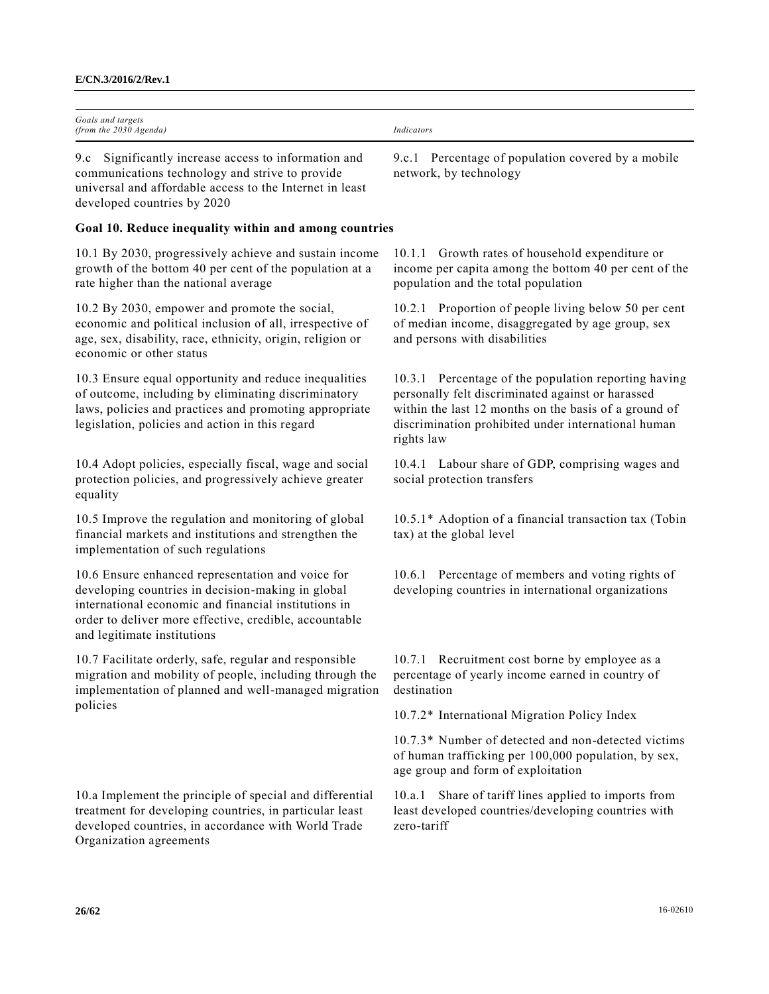| Goals and targets<br>(from the 2030 Agenda)                                                                                                                                                                                                             | Indicators                                                                                                                                                                                                                              |
|---------------------------------------------------------------------------------------------------------------------------------------------------------------------------------------------------------------------------------------------------------|-----------------------------------------------------------------------------------------------------------------------------------------------------------------------------------------------------------------------------------------|
| Significantly increase access to information and<br>9.c<br>communications technology and strive to provide<br>universal and affordable access to the Internet in least<br>developed countries by 2020                                                   | 9.c.1 Percentage of population covered by a mobile<br>network, by technology                                                                                                                                                            |
| Goal 10. Reduce inequality within and among countries                                                                                                                                                                                                   |                                                                                                                                                                                                                                         |
| 10.1 By 2030, progressively achieve and sustain income<br>growth of the bottom 40 per cent of the population at a<br>rate higher than the national average                                                                                              | 10.1.1 Growth rates of household expenditure or<br>income per capita among the bottom 40 per cent of the<br>population and the total population                                                                                         |
| 10.2 By 2030, empower and promote the social,<br>economic and political inclusion of all, irrespective of<br>age, sex, disability, race, ethnicity, origin, religion or<br>economic or other status                                                     | 10.2.1 Proportion of people living below 50 per cent<br>of median income, disaggregated by age group, sex<br>and persons with disabilities                                                                                              |
| 10.3 Ensure equal opportunity and reduce inequalities<br>of outcome, including by eliminating discriminatory<br>laws, policies and practices and promoting appropriate<br>legislation, policies and action in this regard                               | 10.3.1 Percentage of the population reporting having<br>personally felt discriminated against or harassed<br>within the last 12 months on the basis of a ground of<br>discrimination prohibited under international human<br>rights law |
| 10.4 Adopt policies, especially fiscal, wage and social<br>protection policies, and progressively achieve greater<br>equality                                                                                                                           | 10.4.1 Labour share of GDP, comprising wages and<br>social protection transfers                                                                                                                                                         |
| 10.5 Improve the regulation and monitoring of global<br>financial markets and institutions and strengthen the<br>implementation of such regulations                                                                                                     | 10.5.1* Adoption of a financial transaction tax (Tobin<br>tax) at the global level                                                                                                                                                      |
| 10.6 Ensure enhanced representation and voice for<br>developing countries in decision-making in global<br>international economic and financial institutions in<br>order to deliver more effective, credible, accountable<br>and legitimate institutions | 10.6.1 Percentage of members and voting rights of<br>developing countries in international organizations                                                                                                                                |
| 10.7 Facilitate orderly, safe, regular and responsible<br>migration and mobility of people, including through the<br>implementation of planned and well-managed migration<br>policies                                                                   | 10.7.1 Recruitment cost borne by employee as a<br>percentage of yearly income earned in country of<br>destination                                                                                                                       |
|                                                                                                                                                                                                                                                         | 10.7.2* International Migration Policy Index                                                                                                                                                                                            |
|                                                                                                                                                                                                                                                         | 10.7.3* Number of detected and non-detected victims<br>of human trafficking per 100,000 population, by sex,<br>age group and form of exploitation                                                                                       |
| 10.a Implement the principle of special and differential<br>treatment for developing countries, in particular least<br>developed countries, in accordance with World Trade<br>Organization agreements                                                   | Share of tariff lines applied to imports from<br>10.a.1<br>least developed countries/developing countries with<br>zero-tariff                                                                                                           |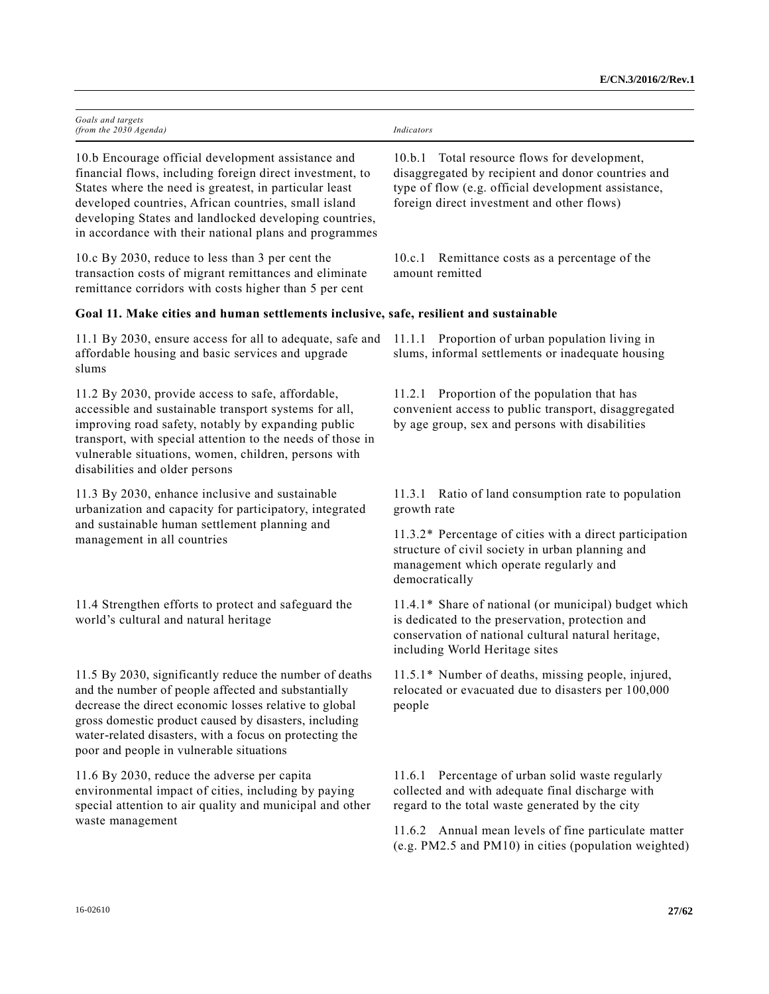| Goals and targets<br>(from the 2030 Agenda)                                                                                                                                                                                                                                                                                                          | Indicators                                                                                                                                                                                                 |
|------------------------------------------------------------------------------------------------------------------------------------------------------------------------------------------------------------------------------------------------------------------------------------------------------------------------------------------------------|------------------------------------------------------------------------------------------------------------------------------------------------------------------------------------------------------------|
| 10.b Encourage official development assistance and<br>financial flows, including foreign direct investment, to<br>States where the need is greatest, in particular least<br>developed countries, African countries, small island<br>developing States and landlocked developing countries,<br>in accordance with their national plans and programmes | Total resource flows for development,<br>10.b.1<br>disaggregated by recipient and donor countries and<br>type of flow (e.g. official development assistance,<br>foreign direct investment and other flows) |
| 10.c By 2030, reduce to less than 3 per cent the<br>transaction costs of migrant remittances and eliminate<br>remittance corridors with costs higher than 5 per cent                                                                                                                                                                                 | Remittance costs as a percentage of the<br>10.c.1<br>amount remitted                                                                                                                                       |
| Goal 11. Make cities and human settlements inclusive, safe, resilient and sustainable                                                                                                                                                                                                                                                                |                                                                                                                                                                                                            |
| 11.1 By 2030, ensure access for all to adequate, safe and<br>affordable housing and basic services and upgrade<br>slums                                                                                                                                                                                                                              | 11.1.1 Proportion of urban population living in<br>slums, informal settlements or inadequate housing                                                                                                       |
| 11.2 By 2030, provide access to safe, affordable,<br>accessible and sustainable transport systems for all,<br>improving road safety, notably by expanding public<br>transport, with special attention to the needs of those in<br>vulnerable situations, women, children, persons with<br>disabilities and older persons                             | 11.2.1 Proportion of the population that has<br>convenient access to public transport, disaggregated<br>by age group, sex and persons with disabilities                                                    |
| 11.3 By 2030, enhance inclusive and sustainable<br>urbanization and capacity for participatory, integrated                                                                                                                                                                                                                                           | Ratio of land consumption rate to population<br>11.3.1<br>growth rate                                                                                                                                      |
| and sustainable human settlement planning and<br>management in all countries                                                                                                                                                                                                                                                                         | 11.3.2* Percentage of cities with a direct participation<br>structure of civil society in urban planning and<br>management which operate regularly and<br>democratically                                   |
| 11.4 Strengthen efforts to protect and safeguard the<br>world's cultural and natural heritage                                                                                                                                                                                                                                                        | 11.4.1* Share of national (or municipal) budget which<br>is dedicated to the preservation, protection and<br>conservation of national cultural natural heritage,<br>including World Heritage sites         |
| 11.5 By 2030, significantly reduce the number of deaths<br>and the number of people affected and substantially<br>decrease the direct economic losses relative to global<br>gross domestic product caused by disasters, including<br>water-related disasters, with a focus on protecting the<br>poor and people in vulnerable situations             | 11.5.1* Number of deaths, missing people, injured,<br>relocated or evacuated due to disasters per 100,000<br>people                                                                                        |
| 11.6 By 2030, reduce the adverse per capita<br>environmental impact of cities, including by paying<br>special attention to air quality and municipal and other<br>waste management                                                                                                                                                                   | 11.6.1 Percentage of urban solid waste regularly<br>collected and with adequate final discharge with<br>regard to the total waste generated by the city                                                    |
|                                                                                                                                                                                                                                                                                                                                                      | 11.6.2 Annual mean levels of fine particulate matter<br>(e.g. PM2.5 and PM10) in cities (population weighted)                                                                                              |
| 16-02610                                                                                                                                                                                                                                                                                                                                             | 27/62                                                                                                                                                                                                      |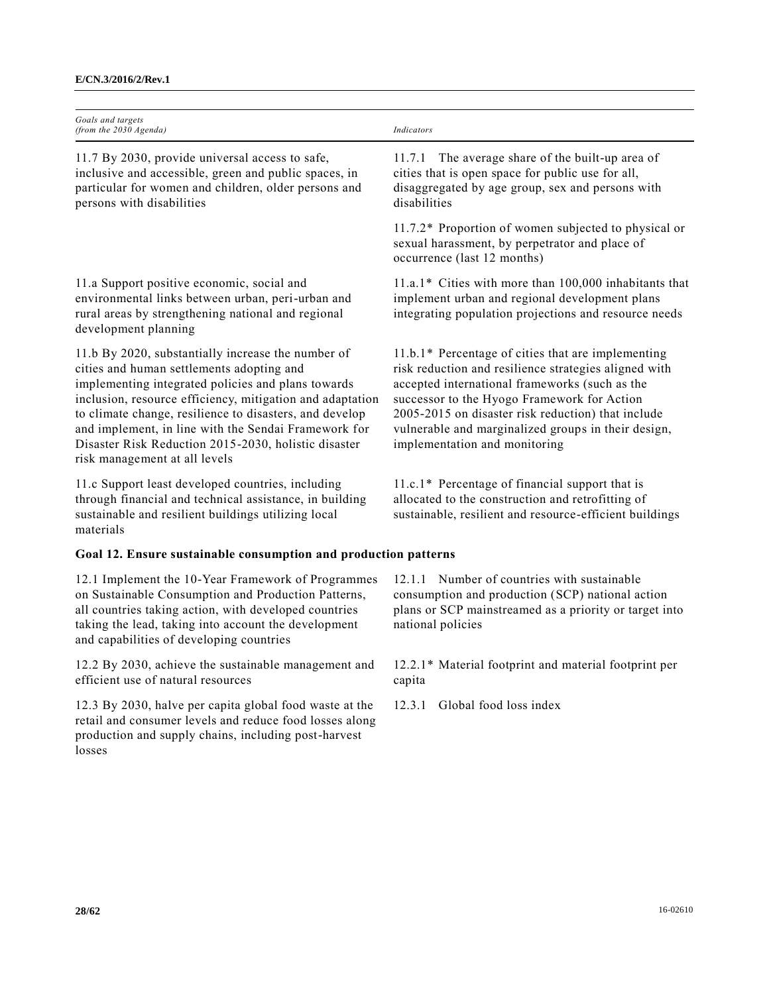| Goals and targets<br>(from the 2030 Agenda)                                                                                                                                                                                                                                                                                                                                                                                    | Indicators                                                                                                                                                                                                                                                                                                                                                 |
|--------------------------------------------------------------------------------------------------------------------------------------------------------------------------------------------------------------------------------------------------------------------------------------------------------------------------------------------------------------------------------------------------------------------------------|------------------------------------------------------------------------------------------------------------------------------------------------------------------------------------------------------------------------------------------------------------------------------------------------------------------------------------------------------------|
| 11.7 By 2030, provide universal access to safe,<br>inclusive and accessible, green and public spaces, in<br>particular for women and children, older persons and<br>persons with disabilities                                                                                                                                                                                                                                  | 11.7.1 The average share of the built-up area of<br>cities that is open space for public use for all,<br>disaggregated by age group, sex and persons with<br>disabilities                                                                                                                                                                                  |
|                                                                                                                                                                                                                                                                                                                                                                                                                                | 11.7.2* Proportion of women subjected to physical or<br>sexual harassment, by perpetrator and place of<br>occurrence (last 12 months)                                                                                                                                                                                                                      |
| 11.a Support positive economic, social and<br>environmental links between urban, peri-urban and<br>rural areas by strengthening national and regional<br>development planning                                                                                                                                                                                                                                                  | 11.a.1* Cities with more than 100,000 inhabitants that<br>implement urban and regional development plans<br>integrating population projections and resource needs                                                                                                                                                                                          |
| 11.b By 2020, substantially increase the number of<br>cities and human settlements adopting and<br>implementing integrated policies and plans towards<br>inclusion, resource efficiency, mitigation and adaptation<br>to climate change, resilience to disasters, and develop<br>and implement, in line with the Sendai Framework for<br>Disaster Risk Reduction 2015-2030, holistic disaster<br>risk management at all levels | 11.b.1* Percentage of cities that are implementing<br>risk reduction and resilience strategies aligned with<br>accepted international frameworks (such as the<br>successor to the Hyogo Framework for Action<br>2005-2015 on disaster risk reduction) that include<br>vulnerable and marginalized groups in their design,<br>implementation and monitoring |
| 11.c Support least developed countries, including<br>through financial and technical assistance, in building<br>sustainable and resilient buildings utilizing local<br>materials                                                                                                                                                                                                                                               | 11.c.1* Percentage of financial support that is<br>allocated to the construction and retrofitting of<br>sustainable, resilient and resource-efficient buildings                                                                                                                                                                                            |
| Goal 12. Ensure sustainable consumption and production patterns                                                                                                                                                                                                                                                                                                                                                                |                                                                                                                                                                                                                                                                                                                                                            |
| 12.1 Implement the 10-Year Framework of Programmes<br>on Sustainable Consumption and Production Patterns,<br>all countries taking action, with developed countries<br>taking the lead, taking into account the development<br>and capabilities of developing countries                                                                                                                                                         | 12.1.1 Number of countries with sustainable<br>consumption and production (SCP) national action<br>plans or SCP mainstreamed as a priority or target into<br>national policies                                                                                                                                                                             |
| 12.2 By 2030, achieve the sustainable management and<br>efficient use of natural resources                                                                                                                                                                                                                                                                                                                                     | 12.2.1* Material footprint and material footprint per<br>capita                                                                                                                                                                                                                                                                                            |
| 12.3 By 2030, halve per capita global food waste at the<br>retail and consumer levels and reduce food losses along<br>production and supply chains, including post-harvest                                                                                                                                                                                                                                                     | 12.3.1<br>Global food loss index                                                                                                                                                                                                                                                                                                                           |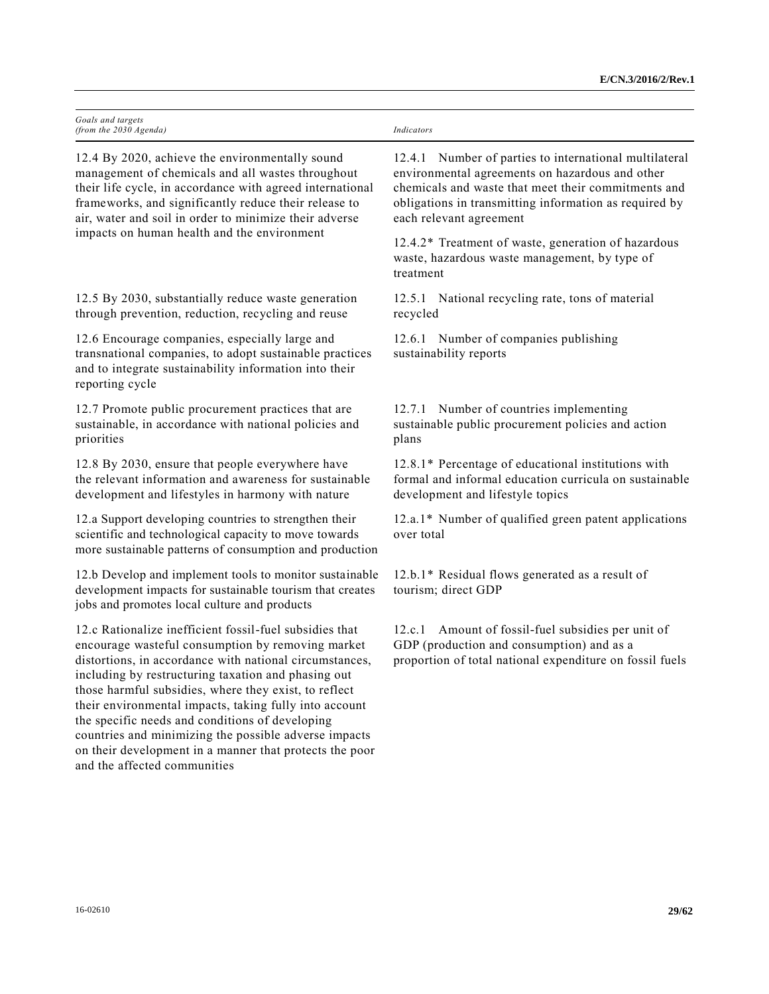| Goals and targets<br>(from the 2030 Agenda)                                                                                                                                                                                                                                                                                                                                                                                                                                                                                                              | Indicators                                                                                                                                                                                                                                            |
|----------------------------------------------------------------------------------------------------------------------------------------------------------------------------------------------------------------------------------------------------------------------------------------------------------------------------------------------------------------------------------------------------------------------------------------------------------------------------------------------------------------------------------------------------------|-------------------------------------------------------------------------------------------------------------------------------------------------------------------------------------------------------------------------------------------------------|
| 12.4 By 2020, achieve the environmentally sound<br>management of chemicals and all wastes throughout<br>their life cycle, in accordance with agreed international<br>frameworks, and significantly reduce their release to<br>air, water and soil in order to minimize their adverse<br>impacts on human health and the environment                                                                                                                                                                                                                      | 12.4.1 Number of parties to international multilateral<br>environmental agreements on hazardous and other<br>chemicals and waste that meet their commitments and<br>obligations in transmitting information as required by<br>each relevant agreement |
|                                                                                                                                                                                                                                                                                                                                                                                                                                                                                                                                                          | 12.4.2* Treatment of waste, generation of hazardous<br>waste, hazardous waste management, by type of<br>treatment                                                                                                                                     |
| 12.5 By 2030, substantially reduce waste generation<br>through prevention, reduction, recycling and reuse                                                                                                                                                                                                                                                                                                                                                                                                                                                | 12.5.1 National recycling rate, tons of material<br>recycled                                                                                                                                                                                          |
| 12.6 Encourage companies, especially large and<br>transnational companies, to adopt sustainable practices<br>and to integrate sustainability information into their<br>reporting cycle                                                                                                                                                                                                                                                                                                                                                                   | 12.6.1 Number of companies publishing<br>sustainability reports                                                                                                                                                                                       |
| 12.7 Promote public procurement practices that are<br>sustainable, in accordance with national policies and<br>priorities                                                                                                                                                                                                                                                                                                                                                                                                                                | 12.7.1 Number of countries implementing<br>sustainable public procurement policies and action<br>plans                                                                                                                                                |
| 12.8 By 2030, ensure that people everywhere have<br>the relevant information and awareness for sustainable<br>development and lifestyles in harmony with nature                                                                                                                                                                                                                                                                                                                                                                                          | 12.8.1* Percentage of educational institutions with<br>formal and informal education curricula on sustainable<br>development and lifestyle topics                                                                                                     |
| 12.a Support developing countries to strengthen their<br>scientific and technological capacity to move towards<br>more sustainable patterns of consumption and production                                                                                                                                                                                                                                                                                                                                                                                | 12.a.1* Number of qualified green patent applications<br>over total                                                                                                                                                                                   |
| 12.b Develop and implement tools to monitor sustainable<br>development impacts for sustainable tourism that creates<br>jobs and promotes local culture and products                                                                                                                                                                                                                                                                                                                                                                                      | 12.b.1* Residual flows generated as a result of<br>tourism; direct GDP                                                                                                                                                                                |
| 12.c Rationalize inefficient fossil-fuel subsidies that<br>encourage wasteful consumption by removing market<br>distortions, in accordance with national circumstances,<br>including by restructuring taxation and phasing out<br>those harmful subsidies, where they exist, to reflect<br>their environmental impacts, taking fully into account<br>the specific needs and conditions of developing<br>countries and minimizing the possible adverse impacts<br>on their development in a manner that protects the poor<br>and the affected communities | Amount of fossil-fuel subsidies per unit of<br>12.c.1<br>GDP (production and consumption) and as a<br>proportion of total national expenditure on fossil fuels                                                                                        |
|                                                                                                                                                                                                                                                                                                                                                                                                                                                                                                                                                          |                                                                                                                                                                                                                                                       |
|                                                                                                                                                                                                                                                                                                                                                                                                                                                                                                                                                          |                                                                                                                                                                                                                                                       |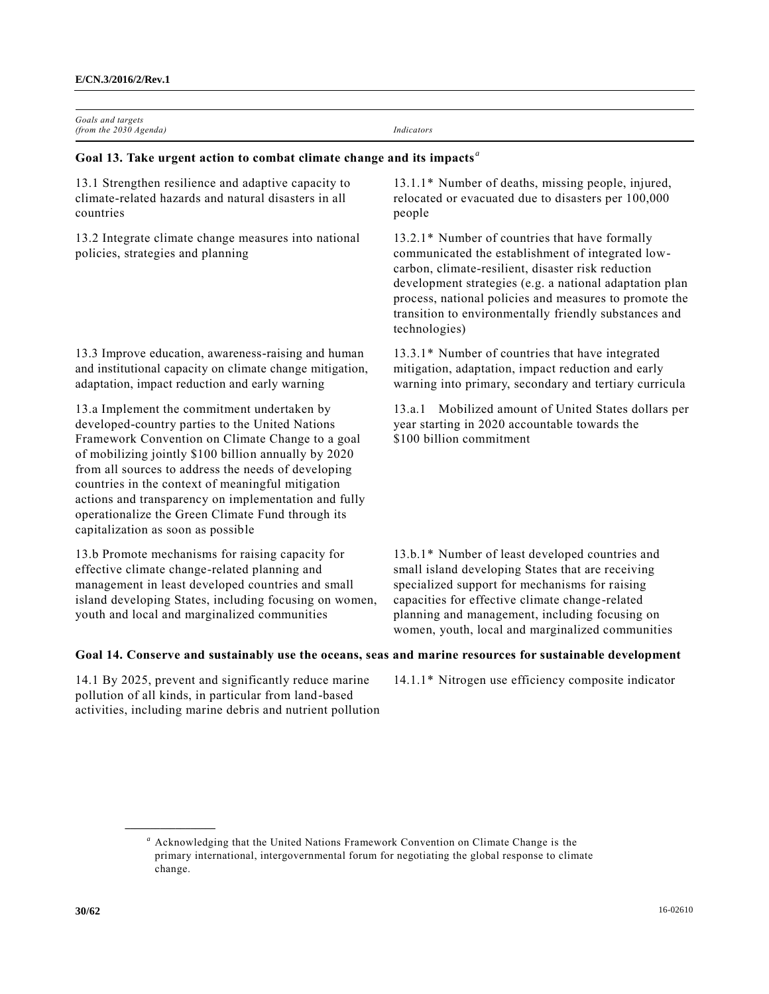| Goals and targets<br>(from the $2030$ Agenda)                                     | Indicators                                          |
|-----------------------------------------------------------------------------------|-----------------------------------------------------|
| Goal 13. Take urgent action to combat climate change and its impacts <sup>a</sup> |                                                     |
| 13.1 Strengthen resilience and adaptive capacity to                               | 13.1.1* Number of deaths, missing people, injured,  |
| climate-related hazards and natural disasters in all                              | relocated or evacuated due to disasters per 100,000 |
| countries                                                                         | people                                              |
| 13.2 Integrate climate change measures into national                              | 13.2.1* Number of countries that have formally      |
| policies, strategies and planning                                                 | communicated the establishment of integrated low-   |

13.3 Improve education, awareness-raising and human and institutional capacity on climate change mitigation, adaptation, impact reduction and early warning

13.a Implement the commitment undertaken by developed-country parties to the United Nations Framework Convention on Climate Change to a goal of mobilizing jointly \$100 billion annually by 2020 from all sources to address the needs of developing countries in the context of meaningful mitigation actions and transparency on implementation and fully operationalize the Green Climate Fund through its capitalization as soon as possible

13.b Promote mechanisms for raising capacity for effective climate change-related planning and management in least developed countries and small island developing States, including focusing on women, youth and local and marginalized communities

communicated the establishment of integrated lowcarbon, climate-resilient, disaster risk reduction development strategies (e.g. a national adaptation plan process, national policies and measures to promote the transition to environmentally friendly substances and technologies)

13.3.1\* Number of countries that have integrated mitigation, adaptation, impact reduction and early warning into primary, secondary and tertiary curricula

13.a.1 Mobilized amount of United States dollars per year starting in 2020 accountable towards the \$100 billion commitment

13.b.1\* Number of least developed countries and small island developing States that are receiving specialized support for mechanisms for raising capacities for effective climate change-related planning and management, including focusing on women, youth, local and marginalized communities

# **Goal 14. Conserve and sustainably use the oceans, seas and marine resources for sustainable development**

14.1 By 2025, prevent and significantly reduce marine pollution of all kinds, in particular from land-based activities, including marine debris and nutrient pollution

**\_\_\_\_\_\_\_\_\_\_\_\_\_\_\_\_\_\_**

14.1.1\* Nitrogen use efficiency composite indicator

*<sup>a</sup>* Acknowledging that the United Nations Framework Convention on Climate Change is the primary international, intergovernmental forum for negotiating the global response to climate change.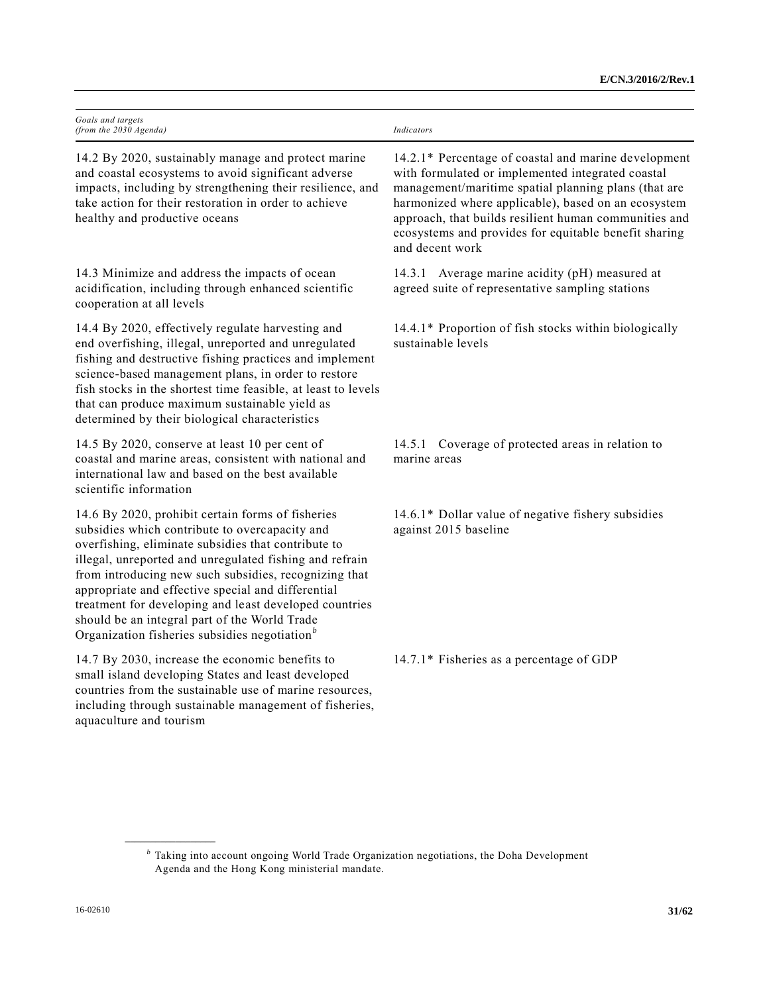| Goals and targets<br>(from the 2030 Agenda)                                                                                                                                                                                                                                                                                                                                                                                                                                                                  | Indicators                                                                                                                                                                                                                                                                                                                                                    |
|--------------------------------------------------------------------------------------------------------------------------------------------------------------------------------------------------------------------------------------------------------------------------------------------------------------------------------------------------------------------------------------------------------------------------------------------------------------------------------------------------------------|---------------------------------------------------------------------------------------------------------------------------------------------------------------------------------------------------------------------------------------------------------------------------------------------------------------------------------------------------------------|
| 14.2 By 2020, sustainably manage and protect marine<br>and coastal ecosystems to avoid significant adverse<br>impacts, including by strengthening their resilience, and<br>take action for their restoration in order to achieve<br>healthy and productive oceans                                                                                                                                                                                                                                            | 14.2.1* Percentage of coastal and marine development<br>with formulated or implemented integrated coastal<br>management/maritime spatial planning plans (that are<br>harmonized where applicable), based on an ecosystem<br>approach, that builds resilient human communities and<br>ecosystems and provides for equitable benefit sharing<br>and decent work |
| 14.3 Minimize and address the impacts of ocean<br>acidification, including through enhanced scientific<br>cooperation at all levels                                                                                                                                                                                                                                                                                                                                                                          | Average marine acidity (pH) measured at<br>14.3.1<br>agreed suite of representative sampling stations                                                                                                                                                                                                                                                         |
| 14.4 By 2020, effectively regulate harvesting and<br>end overfishing, illegal, unreported and unregulated<br>fishing and destructive fishing practices and implement<br>science-based management plans, in order to restore<br>fish stocks in the shortest time feasible, at least to levels<br>that can produce maximum sustainable yield as<br>determined by their biological characteristics                                                                                                              | 14.4.1* Proportion of fish stocks within biologically<br>sustainable levels                                                                                                                                                                                                                                                                                   |
| 14.5 By 2020, conserve at least 10 per cent of<br>coastal and marine areas, consistent with national and<br>international law and based on the best available<br>scientific information                                                                                                                                                                                                                                                                                                                      | 14.5.1 Coverage of protected areas in relation to<br>marine areas                                                                                                                                                                                                                                                                                             |
| 14.6 By 2020, prohibit certain forms of fisheries<br>subsidies which contribute to overcapacity and<br>overfishing, eliminate subsidies that contribute to<br>illegal, unreported and unregulated fishing and refrain<br>from introducing new such subsidies, recognizing that<br>appropriate and effective special and differential<br>treatment for developing and least developed countries<br>should be an integral part of the World Trade<br>Organization fisheries subsidies negotiation <sup>b</sup> | 14.6.1* Dollar value of negative fishery subsidies<br>against 2015 baseline                                                                                                                                                                                                                                                                                   |
| 14.7 By 2030, increase the economic benefits to<br>small island developing States and least developed<br>countries from the sustainable use of marine resources,<br>including through sustainable management of fisheries,<br>aquaculture and tourism                                                                                                                                                                                                                                                        | 14.7.1* Fisheries as a percentage of GDP                                                                                                                                                                                                                                                                                                                      |

**\_\_\_\_\_\_\_\_\_\_\_\_\_\_\_\_\_\_**

*b* Taking into account ongoing World Trade Organization negotiations, the Doha Development Agenda and the Hong Kong ministerial mandate.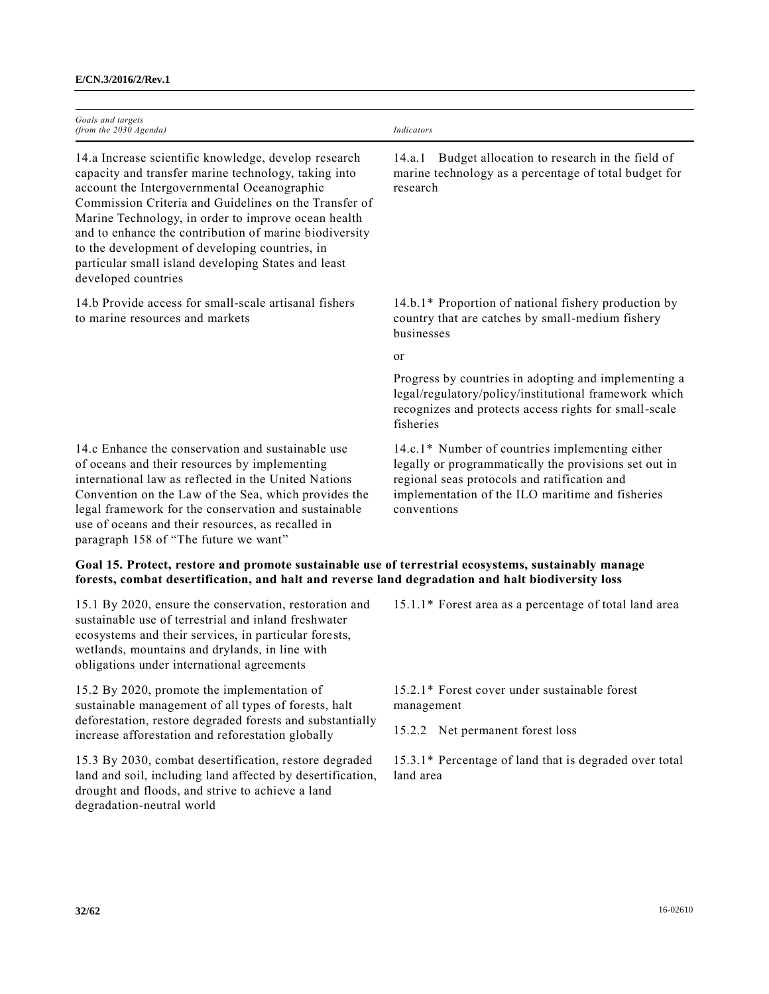| Goals and targets<br>(from the 2030 Agenda)                                                                                                                                                                                                                                                                                                                                                                                                                           | Indicators                                                                                                                                                                                                                  |
|-----------------------------------------------------------------------------------------------------------------------------------------------------------------------------------------------------------------------------------------------------------------------------------------------------------------------------------------------------------------------------------------------------------------------------------------------------------------------|-----------------------------------------------------------------------------------------------------------------------------------------------------------------------------------------------------------------------------|
| 14.a Increase scientific knowledge, develop research<br>capacity and transfer marine technology, taking into<br>account the Intergovernmental Oceanographic<br>Commission Criteria and Guidelines on the Transfer of<br>Marine Technology, in order to improve ocean health<br>and to enhance the contribution of marine biodiversity<br>to the development of developing countries, in<br>particular small island developing States and least<br>developed countries | Budget allocation to research in the field of<br>14.a.1<br>marine technology as a percentage of total budget for<br>research                                                                                                |
| 14.b Provide access for small-scale artisanal fishers<br>to marine resources and markets                                                                                                                                                                                                                                                                                                                                                                              | 14.b.1* Proportion of national fishery production by<br>country that are catches by small-medium fishery<br>businesses                                                                                                      |
|                                                                                                                                                                                                                                                                                                                                                                                                                                                                       | or                                                                                                                                                                                                                          |
|                                                                                                                                                                                                                                                                                                                                                                                                                                                                       | Progress by countries in adopting and implementing a<br>legal/regulatory/policy/institutional framework which<br>recognizes and protects access rights for small-scale<br>fisheries                                         |
| 14.c Enhance the conservation and sustainable use<br>of oceans and their resources by implementing<br>international law as reflected in the United Nations<br>Convention on the Law of the Sea, which provides the<br>legal framework for the conservation and sustainable<br>use of oceans and their resources, as recalled in<br>paragraph 158 of "The future we want"                                                                                              | 14.c.1* Number of countries implementing either<br>legally or programmatically the provisions set out in<br>regional seas protocols and ratification and<br>implementation of the ILO maritime and fisheries<br>conventions |
| Goal 15. Protect, restore and promote sustainable use of terrestrial ecosystems, sustainably manage<br>forests, combat desertification, and halt and reverse land degradation and halt biodiversity loss                                                                                                                                                                                                                                                              |                                                                                                                                                                                                                             |
| 15.1 By 2020, ensure the conservation, restoration and<br>sustainable use of terrestrial and inland freshwater<br>ecosystems and their services, in particular forests,<br>wetlands, mountains and drylands, in line with<br>obligations under international agreements                                                                                                                                                                                               | 15.1.1* Forest area as a percentage of total land area                                                                                                                                                                      |

15.2 By 2020, promote the implementation of sustainable management of all types of forests, halt deforestation, restore degraded forests and substantially increase afforestation and reforestation globally

15.3 By 2030, combat desertification, restore degraded land and soil, including land affected by desertification, drought and floods, and strive to achieve a land degradation-neutral world

15.2.1\* Forest cover under sustainable forest management

15.2.2 Net permanent forest loss

15.3.1\* Percentage of land that is degraded over total land area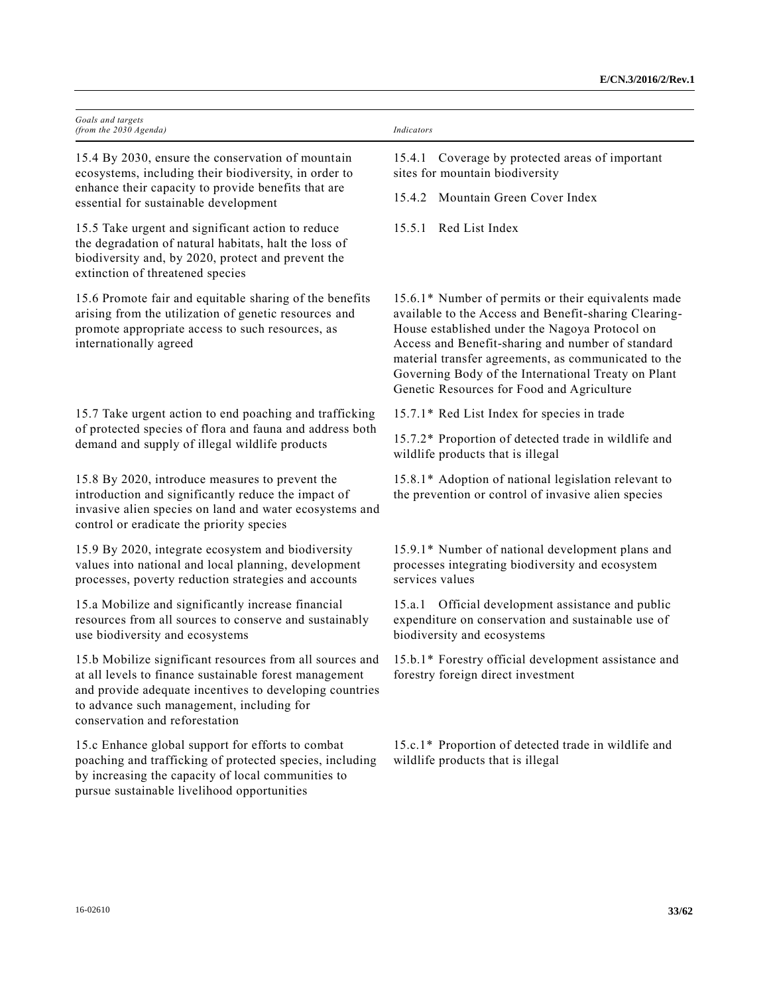| Goals and targets                                                                                                                                                                                                                                                                                                 |                                                                                                                                                                                                                                                                                                                                                                                  |
|-------------------------------------------------------------------------------------------------------------------------------------------------------------------------------------------------------------------------------------------------------------------------------------------------------------------|----------------------------------------------------------------------------------------------------------------------------------------------------------------------------------------------------------------------------------------------------------------------------------------------------------------------------------------------------------------------------------|
| (from the $2030$ Agenda)                                                                                                                                                                                                                                                                                          | Indicators                                                                                                                                                                                                                                                                                                                                                                       |
| 15.4 By 2030, ensure the conservation of mountain<br>ecosystems, including their biodiversity, in order to<br>enhance their capacity to provide benefits that are<br>essential for sustainable development                                                                                                        | Coverage by protected areas of important<br>15.4.1<br>sites for mountain biodiversity                                                                                                                                                                                                                                                                                            |
|                                                                                                                                                                                                                                                                                                                   | 15.4.2 Mountain Green Cover Index                                                                                                                                                                                                                                                                                                                                                |
| 15.5 Take urgent and significant action to reduce<br>the degradation of natural habitats, halt the loss of<br>biodiversity and, by 2020, protect and prevent the<br>extinction of threatened species                                                                                                              | 15.5.1 Red List Index                                                                                                                                                                                                                                                                                                                                                            |
| 15.6 Promote fair and equitable sharing of the benefits<br>arising from the utilization of genetic resources and<br>promote appropriate access to such resources, as<br>internationally agreed                                                                                                                    | 15.6.1* Number of permits or their equivalents made<br>available to the Access and Benefit-sharing Clearing-<br>House established under the Nagoya Protocol on<br>Access and Benefit-sharing and number of standard<br>material transfer agreements, as communicated to the<br>Governing Body of the International Treaty on Plant<br>Genetic Resources for Food and Agriculture |
| 15.7 Take urgent action to end poaching and trafficking                                                                                                                                                                                                                                                           | 15.7.1* Red List Index for species in trade                                                                                                                                                                                                                                                                                                                                      |
| of protected species of flora and fauna and address both<br>demand and supply of illegal wildlife products                                                                                                                                                                                                        | 15.7.2* Proportion of detected trade in wildlife and<br>wildlife products that is illegal                                                                                                                                                                                                                                                                                        |
| 15.8 By 2020, introduce measures to prevent the<br>introduction and significantly reduce the impact of<br>invasive alien species on land and water ecosystems and<br>control or eradicate the priority species                                                                                                    | 15.8.1* Adoption of national legislation relevant to<br>the prevention or control of invasive alien species                                                                                                                                                                                                                                                                      |
| 15.9 By 2020, integrate ecosystem and biodiversity<br>values into national and local planning, development<br>processes, poverty reduction strategies and accounts                                                                                                                                                | 15.9.1* Number of national development plans and<br>processes integrating biodiversity and ecosystem<br>services values                                                                                                                                                                                                                                                          |
| 15.a Mobilize and significantly increase financial<br>resources from all sources to conserve and sustainably<br>use biodiversity and ecosystems                                                                                                                                                                   | 15.a.1 Official development assistance and public<br>expenditure on conservation and sustainable use of<br>biodiversity and ecosystems                                                                                                                                                                                                                                           |
| 15.b Mobilize significant resources from all sources and 15.b.1* Forestry official development assistance and<br>at all levels to finance sustainable forest management<br>and provide adequate incentives to developing countries<br>to advance such management, including for<br>conservation and reforestation | forestry foreign direct investment                                                                                                                                                                                                                                                                                                                                               |
| 15.c Enhance global support for efforts to combat<br>poaching and trafficking of protected species, including<br>by increasing the capacity of local communities to<br>pursue sustainable livelihood opportunities                                                                                                | 15.c.1* Proportion of detected trade in wildlife and<br>wildlife products that is illegal                                                                                                                                                                                                                                                                                        |
|                                                                                                                                                                                                                                                                                                                   |                                                                                                                                                                                                                                                                                                                                                                                  |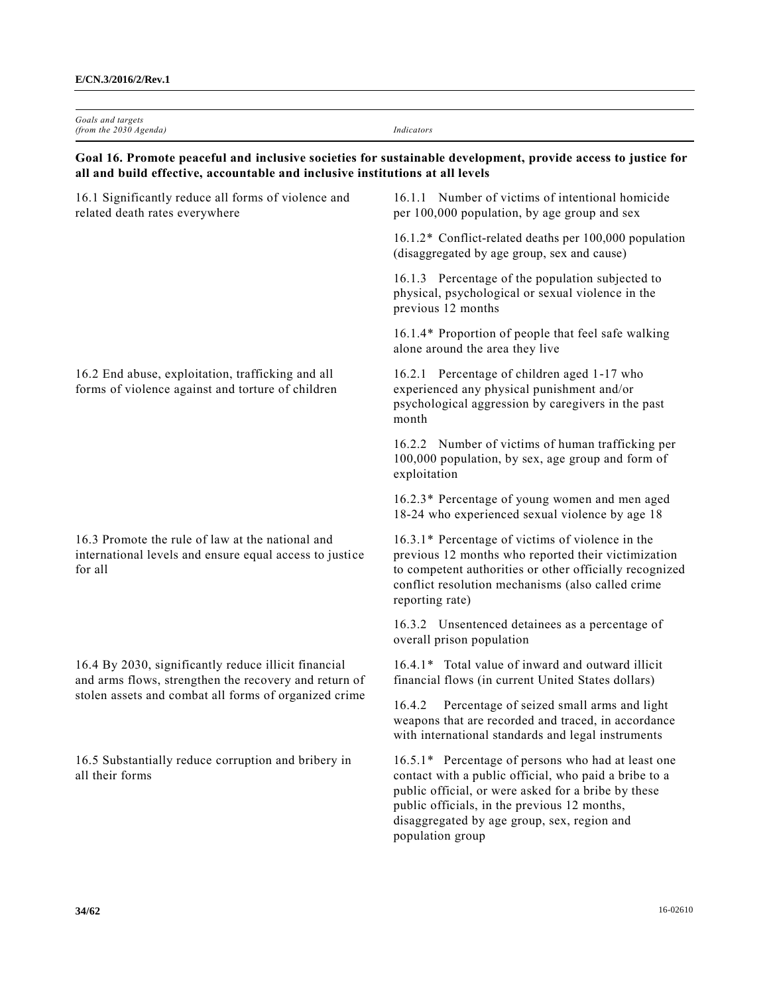| Goals and targets<br>(from the 2030 Agenda)                                                                                                                                                   | Indicators                                                                                                                                                                                                                                                                            |  |
|-----------------------------------------------------------------------------------------------------------------------------------------------------------------------------------------------|---------------------------------------------------------------------------------------------------------------------------------------------------------------------------------------------------------------------------------------------------------------------------------------|--|
| Goal 16. Promote peaceful and inclusive societies for sustainable development, provide access to justice for<br>all and build effective, accountable and inclusive institutions at all levels |                                                                                                                                                                                                                                                                                       |  |
| 16.1 Significantly reduce all forms of violence and<br>related death rates everywhere                                                                                                         | 16.1.1 Number of victims of intentional homicide<br>per 100,000 population, by age group and sex                                                                                                                                                                                      |  |
|                                                                                                                                                                                               | 16.1.2* Conflict-related deaths per 100,000 population<br>(disaggregated by age group, sex and cause)                                                                                                                                                                                 |  |
|                                                                                                                                                                                               | 16.1.3 Percentage of the population subjected to<br>physical, psychological or sexual violence in the<br>previous 12 months                                                                                                                                                           |  |
|                                                                                                                                                                                               | 16.1.4* Proportion of people that feel safe walking<br>alone around the area they live                                                                                                                                                                                                |  |
| 16.2 End abuse, exploitation, trafficking and all<br>forms of violence against and torture of children                                                                                        | 16.2.1 Percentage of children aged 1-17 who<br>experienced any physical punishment and/or<br>psychological aggression by caregivers in the past<br>month                                                                                                                              |  |
|                                                                                                                                                                                               | 16.2.2 Number of victims of human trafficking per<br>100,000 population, by sex, age group and form of<br>exploitation                                                                                                                                                                |  |
|                                                                                                                                                                                               | 16.2.3* Percentage of young women and men aged<br>18-24 who experienced sexual violence by age 18                                                                                                                                                                                     |  |
| 16.3 Promote the rule of law at the national and<br>international levels and ensure equal access to justice<br>for all                                                                        | 16.3.1* Percentage of victims of violence in the<br>previous 12 months who reported their victimization<br>to competent authorities or other officially recognized<br>conflict resolution mechanisms (also called crime<br>reporting rate)                                            |  |
|                                                                                                                                                                                               | 16.3.2 Unsentenced detainees as a percentage of<br>overall prison population                                                                                                                                                                                                          |  |
| 16.4 By 2030, significantly reduce illicit financial<br>and arms flows, strengthen the recovery and return of<br>stolen assets and combat all forms of organized crime                        | 16.4.1* Total value of inward and outward illicit<br>financial flows (in current United States dollars)                                                                                                                                                                               |  |
|                                                                                                                                                                                               | Percentage of seized small arms and light<br>16.4.2<br>weapons that are recorded and traced, in accordance<br>with international standards and legal instruments                                                                                                                      |  |
| 16.5 Substantially reduce corruption and bribery in<br>all their forms                                                                                                                        | 16.5.1* Percentage of persons who had at least one<br>contact with a public official, who paid a bribe to a<br>public official, or were asked for a bribe by these<br>public officials, in the previous 12 months,<br>disaggregated by age group, sex, region and<br>population group |  |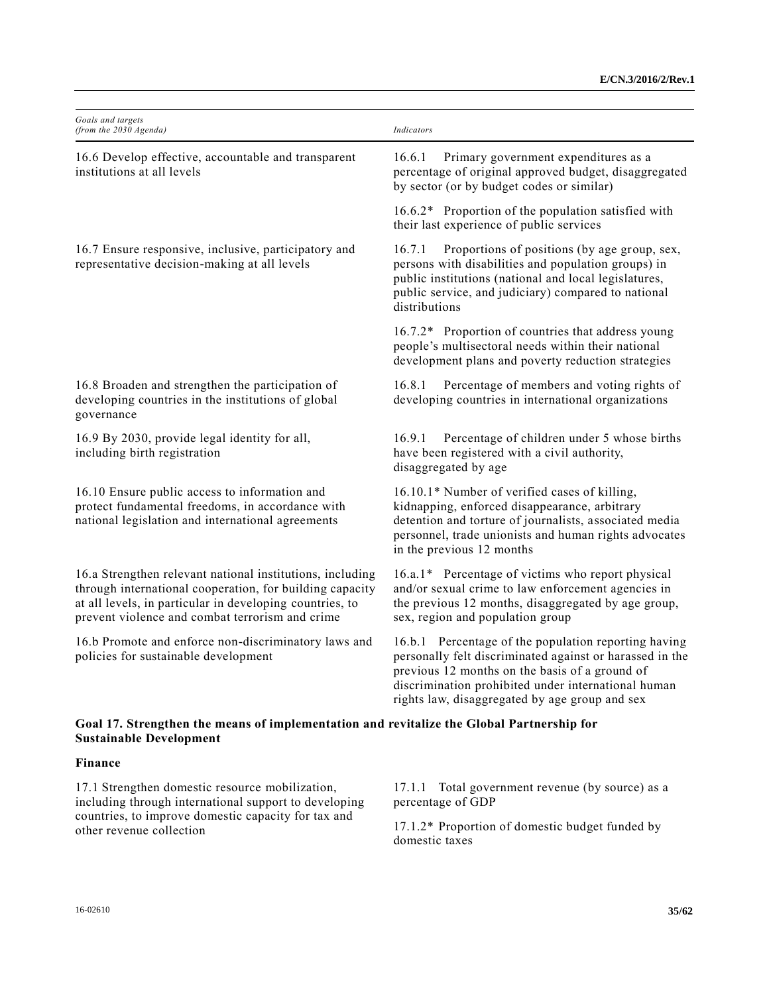| Goals and targets<br>(from the 2030 Agenda)                                                                                                                                                                                          | Indicators                                                                                                                                                                                                                                                                  |
|--------------------------------------------------------------------------------------------------------------------------------------------------------------------------------------------------------------------------------------|-----------------------------------------------------------------------------------------------------------------------------------------------------------------------------------------------------------------------------------------------------------------------------|
| 16.6 Develop effective, accountable and transparent<br>institutions at all levels                                                                                                                                                    | Primary government expenditures as a<br>16.6.1<br>percentage of original approved budget, disaggregated<br>by sector (or by budget codes or similar)                                                                                                                        |
|                                                                                                                                                                                                                                      | 16.6.2* Proportion of the population satisfied with<br>their last experience of public services                                                                                                                                                                             |
| 16.7 Ensure responsive, inclusive, participatory and<br>representative decision-making at all levels                                                                                                                                 | Proportions of positions (by age group, sex,<br>16.7.1<br>persons with disabilities and population groups) in<br>public institutions (national and local legislatures,<br>public service, and judiciary) compared to national<br>distributions                              |
|                                                                                                                                                                                                                                      | 16.7.2* Proportion of countries that address young<br>people's multisectoral needs within their national<br>development plans and poverty reduction strategies                                                                                                              |
| 16.8 Broaden and strengthen the participation of<br>developing countries in the institutions of global<br>governance                                                                                                                 | 16.8.1 Percentage of members and voting rights of<br>developing countries in international organizations                                                                                                                                                                    |
| 16.9 By 2030, provide legal identity for all,<br>including birth registration                                                                                                                                                        | 16.9.1<br>Percentage of children under 5 whose births<br>have been registered with a civil authority,<br>disaggregated by age                                                                                                                                               |
| 16.10 Ensure public access to information and<br>protect fundamental freedoms, in accordance with<br>national legislation and international agreements                                                                               | 16.10.1* Number of verified cases of killing,<br>kidnapping, enforced disappearance, arbitrary<br>detention and torture of journalists, associated media<br>personnel, trade unionists and human rights advocates<br>in the previous 12 months                              |
| 16.a Strengthen relevant national institutions, including<br>through international cooperation, for building capacity<br>at all levels, in particular in developing countries, to<br>prevent violence and combat terrorism and crime | 16.a.1* Percentage of victims who report physical<br>and/or sexual crime to law enforcement agencies in<br>the previous 12 months, disaggregated by age group,<br>sex, region and population group                                                                          |
| 16.b Promote and enforce non-discriminatory laws and<br>policies for sustainable development                                                                                                                                         | 16.b.1 Percentage of the population reporting having<br>personally felt discriminated against or harassed in the<br>previous 12 months on the basis of a ground of<br>discrimination prohibited under international human<br>rights law, disaggregated by age group and sex |
| Goal 17. Strengthen the means of implementation and revitalize the Global Partnership for<br><b>Sustainable Development</b>                                                                                                          |                                                                                                                                                                                                                                                                             |
| Finance                                                                                                                                                                                                                              |                                                                                                                                                                                                                                                                             |
| 17.1 Strengthen domestic resource mobilization,<br>including through international support to developing                                                                                                                             | Total government revenue (by source) as a<br>17.1.1<br>percentage of GDP                                                                                                                                                                                                    |
| countries, to improve domestic capacity for tax and<br>other revenue collection                                                                                                                                                      | 17.1.2* Proportion of domestic budget funded by<br>domestic taxes                                                                                                                                                                                                           |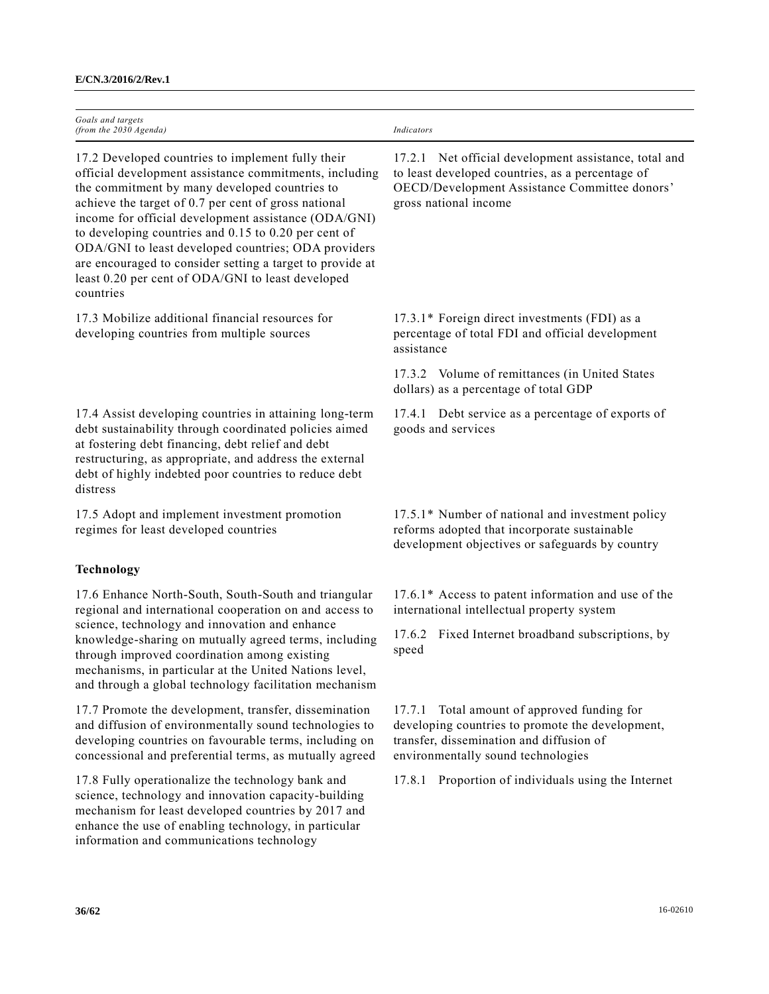| Goals and targets                                                                                                                                                                                                                                                                                                                                                                                                                                                                                                              |                                                                                                                                                                                     |
|--------------------------------------------------------------------------------------------------------------------------------------------------------------------------------------------------------------------------------------------------------------------------------------------------------------------------------------------------------------------------------------------------------------------------------------------------------------------------------------------------------------------------------|-------------------------------------------------------------------------------------------------------------------------------------------------------------------------------------|
| (from the 2030 Agenda)                                                                                                                                                                                                                                                                                                                                                                                                                                                                                                         | Indicators                                                                                                                                                                          |
| 17.2 Developed countries to implement fully their<br>official development assistance commitments, including<br>the commitment by many developed countries to<br>achieve the target of 0.7 per cent of gross national<br>income for official development assistance (ODA/GNI)<br>to developing countries and $0.15$ to $0.20$ per cent of<br>ODA/GNI to least developed countries; ODA providers<br>are encouraged to consider setting a target to provide at<br>least 0.20 per cent of ODA/GNI to least developed<br>countries | 17.2.1 Net official development assistance, total and<br>to least developed countries, as a percentage of<br>OECD/Development Assistance Committee donors'<br>gross national income |
| 17.3 Mobilize additional financial resources for<br>developing countries from multiple sources                                                                                                                                                                                                                                                                                                                                                                                                                                 | 17.3.1* Foreign direct investments (FDI) as a<br>percentage of total FDI and official development<br>assistance                                                                     |
|                                                                                                                                                                                                                                                                                                                                                                                                                                                                                                                                | 17.3.2 Volume of remittances (in United States<br>dollars) as a percentage of total GDP                                                                                             |
| 17.4 Assist developing countries in attaining long-term<br>debt sustainability through coordinated policies aimed<br>at fostering debt financing, debt relief and debt<br>restructuring, as appropriate, and address the external<br>debt of highly indebted poor countries to reduce debt<br>distress                                                                                                                                                                                                                         | 17.4.1 Debt service as a percentage of exports of<br>goods and services                                                                                                             |
| 17.5 Adopt and implement investment promotion<br>regimes for least developed countries                                                                                                                                                                                                                                                                                                                                                                                                                                         | 17.5.1* Number of national and investment policy<br>reforms adopted that incorporate sustainable<br>development objectives or safeguards by country                                 |
| Technology                                                                                                                                                                                                                                                                                                                                                                                                                                                                                                                     |                                                                                                                                                                                     |
| 17.6 Enhance North-South, South-South and triangular<br>regional and international cooperation on and access to<br>science, technology and innovation and enhance<br>knowledge-sharing on mutually agreed terms, including<br>through improved coordination among existing<br>mechanisms, in particular at the United Nations level,<br>and through a global technology facilitation mechanism                                                                                                                                 | 17.6.1* Access to patent information and use of the<br>international intellectual property system                                                                                   |
|                                                                                                                                                                                                                                                                                                                                                                                                                                                                                                                                | Fixed Internet broadband subscriptions, by<br>17.6.2<br>speed                                                                                                                       |
| 17.7 Promote the development, transfer, dissemination<br>and diffusion of environmentally sound technologies to<br>developing countries on favourable terms, including on<br>concessional and preferential terms, as mutually agreed                                                                                                                                                                                                                                                                                           | 17.7.1 Total amount of approved funding for<br>developing countries to promote the development,<br>transfer, dissemination and diffusion of<br>environmentally sound technologies   |
| 17.8 Fully operationalize the technology bank and<br>science, technology and innovation capacity-building<br>mechanism for least developed countries by 2017 and<br>enhance the use of enabling technology, in particular<br>information and communications technology                                                                                                                                                                                                                                                         | 17.8.1 Proportion of individuals using the Internet                                                                                                                                 |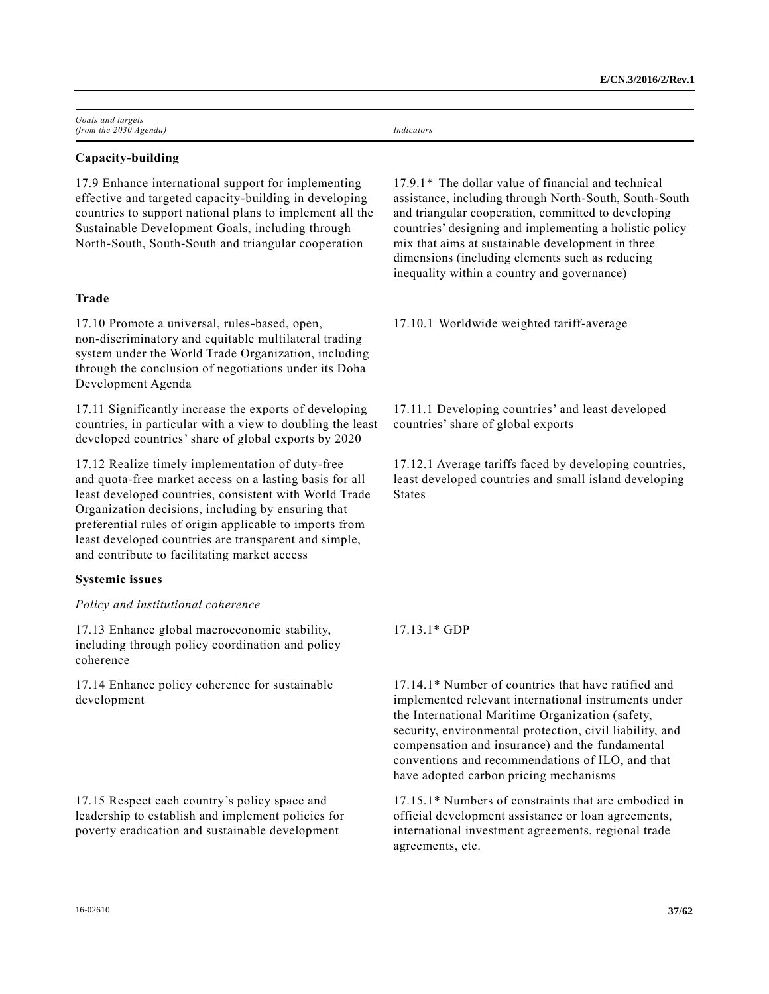| Goals and targets      |            |
|------------------------|------------|
| (from the 2030 Agenda) | Indicators |

# **Capacity-building**

17.9 Enhance international support for implementing effective and targeted capacity-building in developing countries to support national plans to implement all the Sustainable Development Goals, including through North-South, South-South and triangular cooperation

# **Trade**

17.10 Promote a universal, rules-based, open, non-discriminatory and equitable multilateral trading system under the World Trade Organization, including through the conclusion of negotiations under its Doha Development Agenda

17.11 Significantly increase the exports of developing countries, in particular with a view to doubling the least developed countries' share of global exports by 2020

17.12 Realize timely implementation of duty-free and quota-free market access on a lasting basis for all least developed countries, consistent with World Trade Organization decisions, including by ensuring that preferential rules of origin applicable to imports from least developed countries are transparent and simple, and contribute to facilitating market access

#### **Systemic issues**

#### *Policy and institutional coherence*

17.13 Enhance global macroeconomic stability, including through policy coordination and policy coherence

17.14 Enhance policy coherence for sustainable development

17.15 Respect each country's policy space and leadership to establish and implement policies for poverty eradication and sustainable development

17.9.1\* The dollar value of financial and technical assistance, including through North-South, South-South and triangular cooperation, committed to developing countries' designing and implementing a holistic policy mix that aims at sustainable development in three dimensions (including elements such as reducing inequality within a country and governance)

17.10.1 Worldwide weighted tariff-average

17.11.1 Developing countries' and least developed countries' share of global exports

17.12.1 Average tariffs faced by developing countries, least developed countries and small island developing **States** 

# 17.13.1\* GDP

17.14.1\* Number of countries that have ratified and implemented relevant international instruments under the International Maritime Organization (safety, security, environmental protection, civil liability, and compensation and insurance) and the fundamental conventions and recommendations of ILO, and that have adopted carbon pricing mechanisms

17.15.1\* Numbers of constraints that are embodied in official development assistance or loan agreements, international investment agreements, regional trade agreements, etc.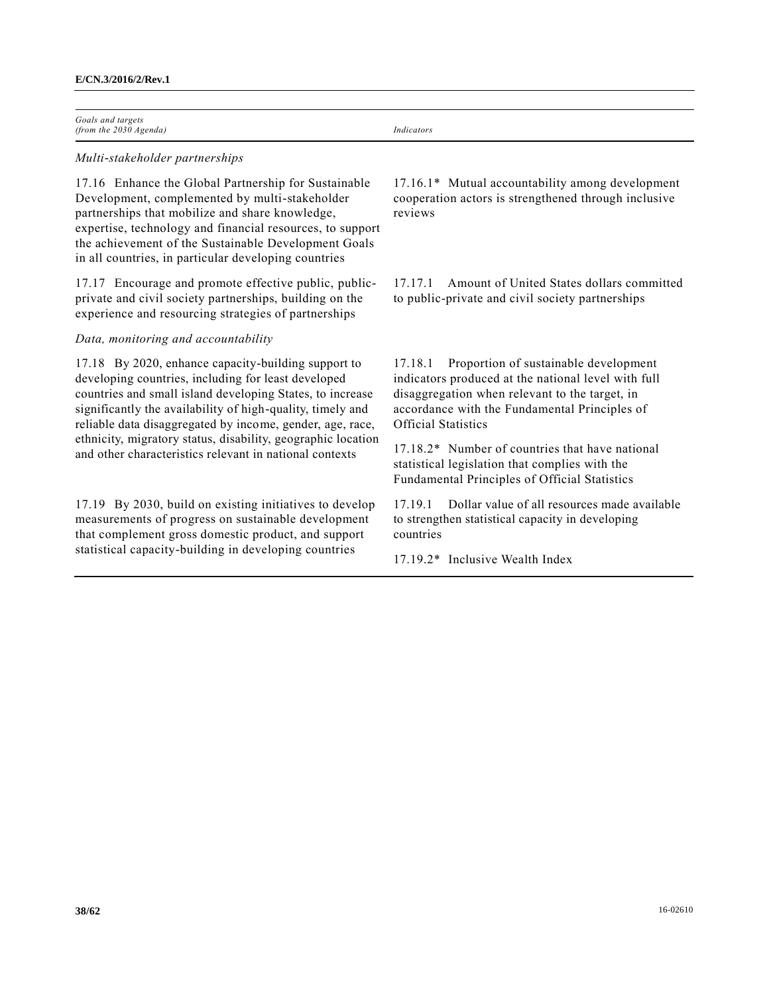| Goals and targets        |            |
|--------------------------|------------|
| (from the $2030$ Agenda) | Indicators |

#### *Multi-stakeholder partnerships*

17.16 Enhance the Global Partnership for Sustainable Development, complemented by multi-stakeholder partnerships that mobilize and share knowledge, expertise, technology and financial resources, to support the achievement of the Sustainable Development Goals in all countries, in particular developing countries

17.17 Encourage and promote effective public, publicprivate and civil society partnerships, building on the experience and resourcing strategies of partnerships

# *Data, monitoring and accountability*

17.18 By 2020, enhance capacity-building support to developing countries, including for least developed countries and small island developing States, to increase significantly the availability of high-quality, timely and reliable data disaggregated by income, gender, age, race, ethnicity, migratory status, disability, geographic location and other characteristics relevant in national contexts

17.19 By 2030, build on existing initiatives to develop measurements of progress on sustainable development that complement gross domestic product, and support statistical capacity-building in developing countries

17.16.1\* Mutual accountability among development cooperation actors is strengthened through inclusive reviews

17.17.1 Amount of United States dollars committed to public-private and civil society partnerships

17.18.1 Proportion of sustainable development indicators produced at the national level with full disaggregation when relevant to the target, in accordance with the Fundamental Principles of Official Statistics

17.18.2\* Number of countries that have national statistical legislation that complies with the Fundamental Principles of Official Statistics

17.19.1 Dollar value of all resources made available to strengthen statistical capacity in developing countries

17.19.2\* Inclusive Wealth Index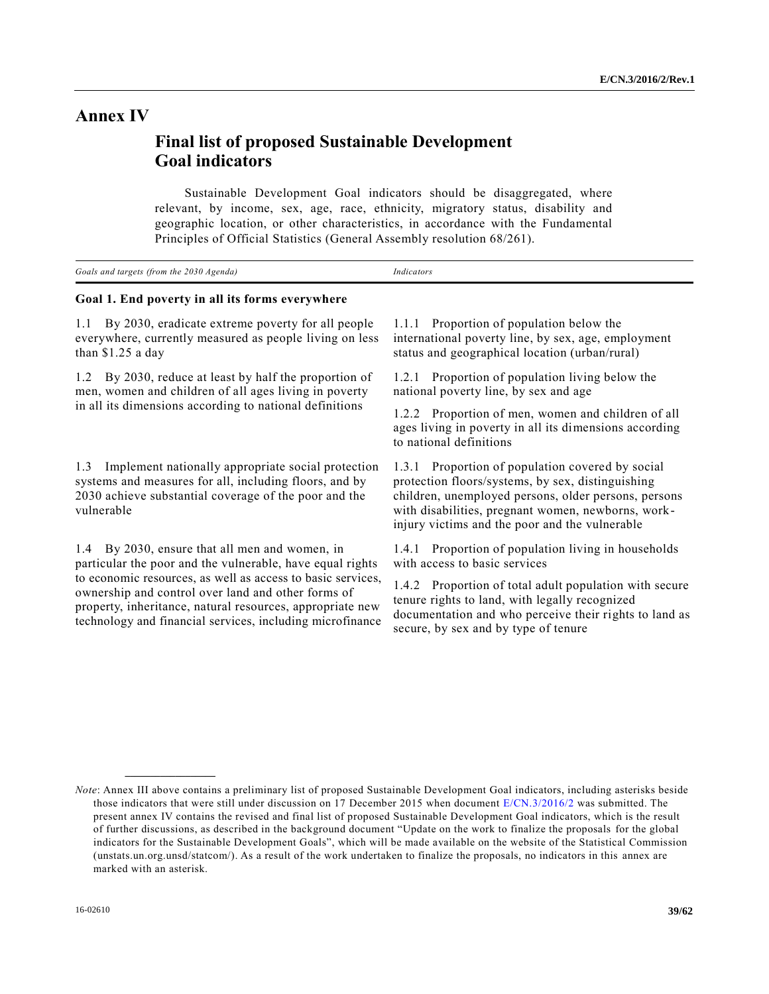# **Annex IV**

# **Final list of proposed Sustainable Development Goal indicators \***

Sustainable Development Goal indicators should be disaggregated, where relevant, by income, sex, age, race, ethnicity, migratory status, disability and geographic location, or other characteristics, in accordance with the Fundamental Principles of Official Statistics (General Assembly resolution 68/261).

| Goals and targets (from the 2030 Agenda) | 'ndicator. |
|------------------------------------------|------------|
| ------<br>__<br>____<br>__<br>______     |            |

# **Goal 1. End poverty in all its forms everywhere**

1.1 By 2030, eradicate extreme poverty for all people everywhere, currently measured as people living on less than \$1.25 a day

1.2 By 2030, reduce at least by half the proportion of men, women and children of all ages living in poverty in all its dimensions according to national definitions

1.3 Implement nationally appropriate social protection systems and measures for all, including floors, and by 2030 achieve substantial coverage of the poor and the vulnerable

1.4 By 2030, ensure that all men and women, in particular the poor and the vulnerable, have equal rights to economic resources, as well as access to basic services, ownership and control over land and other forms of property, inheritance, natural resources, appropriate new technology and financial services, including microfinance

**\_\_\_\_\_\_\_\_\_\_\_\_\_\_\_\_\_\_**

1.1.1 Proportion of population below the international poverty line, by sex, age, employment status and geographical location (urban/rural)

1.2.1 Proportion of population living below the national poverty line, by sex and age

1.2.2 Proportion of men, women and children of all ages living in poverty in all its dimensions according to national definitions

1.3.1 Proportion of population covered by social protection floors/systems, by sex, distinguishing children, unemployed persons, older persons, persons with disabilities, pregnant women, newborns, workinjury victims and the poor and the vulnerable

1.4.1 Proportion of population living in households with access to basic services

1.4.2 Proportion of total adult population with secure tenure rights to land, with legally recognized documentation and who perceive their rights to land as secure, by sex and by type of tenure

*Note*: Annex III above contains a preliminary list of proposed Sustainable Development Goal indicators, including asterisks beside those indicators that were still under discussion on 17 December 2015 when document [E/CN.3/2016/2](http://undocs.org/E/CN.3/2016/2) was submitted. The present annex IV contains the revised and final list of proposed Sustainable Development Goal indicators, which is the result of further discussions, as described in the background document "Update on the work to finalize the proposals for the global indicators for the Sustainable Development Goals", which will be made available on the website of the Statistical Commission (unstats.un.org.unsd/statcom/). As a result of the work undertaken to finalize the proposals, no indicators in this annex are marked with an asterisk.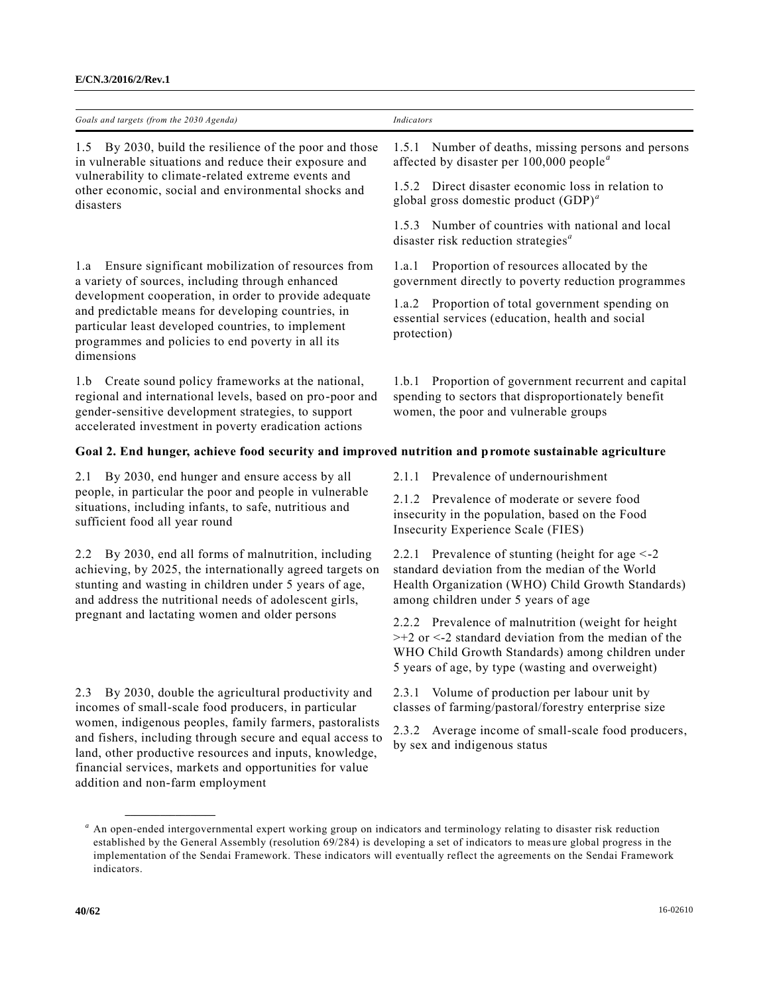| Goals and targets (from the 2030 Agenda)                                                                                                                                                                                                                                                                                                                                                           | Indicators                                                                                                                                                                                                               |
|----------------------------------------------------------------------------------------------------------------------------------------------------------------------------------------------------------------------------------------------------------------------------------------------------------------------------------------------------------------------------------------------------|--------------------------------------------------------------------------------------------------------------------------------------------------------------------------------------------------------------------------|
|                                                                                                                                                                                                                                                                                                                                                                                                    |                                                                                                                                                                                                                          |
| By 2030, build the resilience of the poor and those<br>1.5<br>in vulnerable situations and reduce their exposure and<br>vulnerability to climate-related extreme events and<br>other economic, social and environmental shocks and<br>disasters                                                                                                                                                    | Number of deaths, missing persons and persons<br>1.5.1<br>affected by disaster per $100,000$ people <sup><i>a</i></sup>                                                                                                  |
|                                                                                                                                                                                                                                                                                                                                                                                                    | 1.5.2 Direct disaster economic loss in relation to<br>global gross domestic product $(GDP)^a$                                                                                                                            |
|                                                                                                                                                                                                                                                                                                                                                                                                    | Number of countries with national and local<br>1.5.3<br>disaster risk reduction strategies <sup>a</sup>                                                                                                                  |
| 1.a Ensure significant mobilization of resources from<br>a variety of sources, including through enhanced                                                                                                                                                                                                                                                                                          | Proportion of resources allocated by the<br>1.a.1<br>government directly to poverty reduction programmes                                                                                                                 |
| development cooperation, in order to provide adequate<br>and predictable means for developing countries, in<br>particular least developed countries, to implement<br>programmes and policies to end poverty in all its<br>dimensions                                                                                                                                                               | 1.a.2 Proportion of total government spending on<br>essential services (education, health and social<br>protection)                                                                                                      |
| Create sound policy frameworks at the national,<br>l.b<br>regional and international levels, based on pro-poor and<br>gender-sensitive development strategies, to support<br>accelerated investment in poverty eradication actions                                                                                                                                                                 | Proportion of government recurrent and capital<br>1.b.1<br>spending to sectors that disproportionately benefit<br>women, the poor and vulnerable groups                                                                  |
| Goal 2. End hunger, achieve food security and improved nutrition and promote sustainable agriculture                                                                                                                                                                                                                                                                                               |                                                                                                                                                                                                                          |
| By 2030, end hunger and ensure access by all<br>2.1                                                                                                                                                                                                                                                                                                                                                | 2.1.1 Prevalence of undernourishment                                                                                                                                                                                     |
| people, in particular the poor and people in vulnerable<br>situations, including infants, to safe, nutritious and<br>sufficient food all year round                                                                                                                                                                                                                                                | 2.1.2 Prevalence of moderate or severe food<br>insecurity in the population, based on the Food<br>Insecurity Experience Scale (FIES)                                                                                     |
| By 2030, end all forms of malnutrition, including<br>2.2<br>achieving, by 2025, the internationally agreed targets on<br>stunting and wasting in children under 5 years of age,<br>and address the nutritional needs of adolescent girls,<br>pregnant and lactating women and older persons                                                                                                        | 2.2.1 Prevalence of stunting (height for age $\leq$ -2<br>standard deviation from the median of the World<br>Health Organization (WHO) Child Growth Standards)<br>among children under 5 years of age                    |
|                                                                                                                                                                                                                                                                                                                                                                                                    | 2.2.2 Prevalence of malnutrition (weight for height<br>$>+2$ or $<$ -2 standard deviation from the median of the<br>WHO Child Growth Standards) among children under<br>5 years of age, by type (wasting and overweight) |
| By 2030, double the agricultural productivity and<br>2.3<br>incomes of small-scale food producers, in particular<br>women, indigenous peoples, family farmers, pastoralists<br>and fishers, including through secure and equal access to<br>land, other productive resources and inputs, knowledge,<br>financial services, markets and opportunities for value<br>addition and non-farm employment | 2.3.1 Volume of production per labour unit by<br>classes of farming/pastoral/forestry enterprise size                                                                                                                    |
|                                                                                                                                                                                                                                                                                                                                                                                                    | 2.3.2 Average income of small-scale food producers,<br>by sex and indigenous status                                                                                                                                      |
| An open-ended intergovernmental expert working group on indicators and terminology relating to disaster risk reduction<br>established by the General Assembly (resolution 69/284) is developing a set of indicators to measure global progress in the<br>implementation of the Sendai Framework. These indicators will eventually reflect the agreements on the Sendai Framework<br>indicators.    |                                                                                                                                                                                                                          |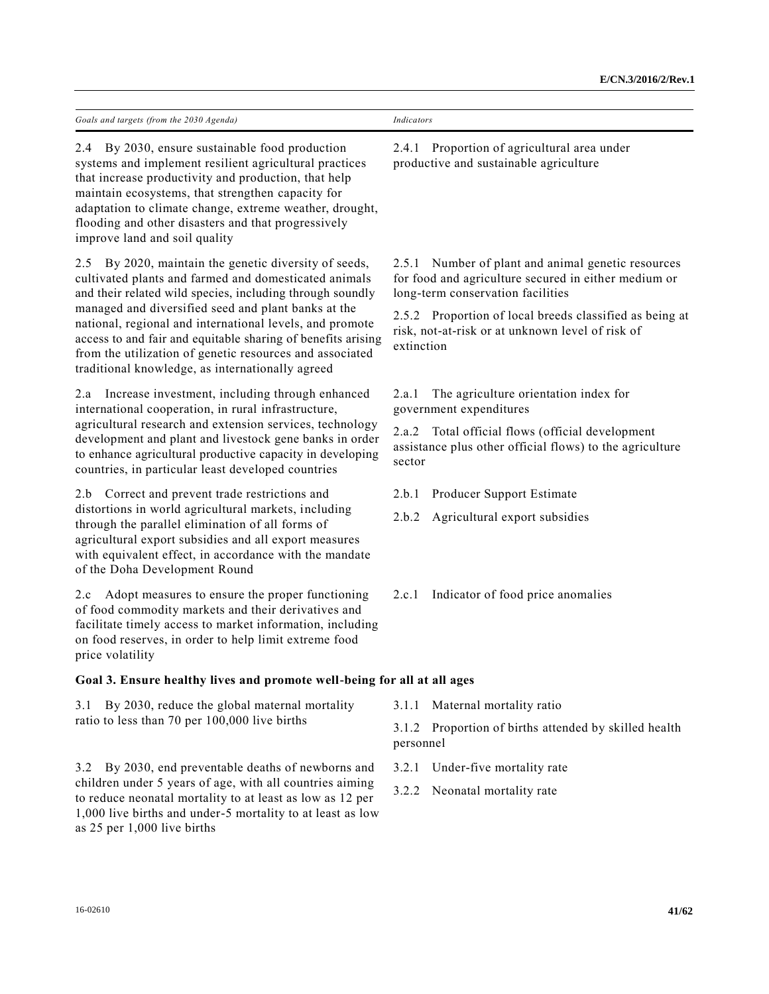| Goals and targets (from the 2030 Agenda)                                                                                                                                                                                                                                                                                                                                                                                                                                          | Indicators                                                                                                                                      |  |
|-----------------------------------------------------------------------------------------------------------------------------------------------------------------------------------------------------------------------------------------------------------------------------------------------------------------------------------------------------------------------------------------------------------------------------------------------------------------------------------|-------------------------------------------------------------------------------------------------------------------------------------------------|--|
| By 2030, ensure sustainable food production<br>2.4<br>systems and implement resilient agricultural practices<br>that increase productivity and production, that help<br>maintain ecosystems, that strengthen capacity for<br>adaptation to climate change, extreme weather, drought,<br>flooding and other disasters and that progressively<br>improve land and soil quality                                                                                                      | 2.4.1 Proportion of agricultural area under<br>productive and sustainable agriculture                                                           |  |
| By 2020, maintain the genetic diversity of seeds,<br>2.5<br>cultivated plants and farmed and domesticated animals<br>and their related wild species, including through soundly<br>managed and diversified seed and plant banks at the<br>national, regional and international levels, and promote<br>access to and fair and equitable sharing of benefits arising<br>from the utilization of genetic resources and associated<br>traditional knowledge, as internationally agreed | 2.5.1 Number of plant and animal genetic resources<br>for food and agriculture secured in either medium or<br>long-term conservation facilities |  |
|                                                                                                                                                                                                                                                                                                                                                                                                                                                                                   | 2.5.2 Proportion of local breeds classified as being at<br>risk, not-at-risk or at unknown level of risk of<br>extinction                       |  |
| Increase investment, including through enhanced<br>2.a<br>international cooperation, in rural infrastructure,                                                                                                                                                                                                                                                                                                                                                                     | The agriculture orientation index for<br>2.a.1<br>government expenditures                                                                       |  |
| agricultural research and extension services, technology<br>development and plant and livestock gene banks in order<br>to enhance agricultural productive capacity in developing<br>countries, in particular least developed countries                                                                                                                                                                                                                                            | Total official flows (official development<br>2.a.2<br>assistance plus other official flows) to the agriculture<br>sector                       |  |
| Correct and prevent trade restrictions and<br>2.b                                                                                                                                                                                                                                                                                                                                                                                                                                 | Producer Support Estimate<br>2.b.1                                                                                                              |  |
| distortions in world agricultural markets, including<br>through the parallel elimination of all forms of<br>agricultural export subsidies and all export measures<br>with equivalent effect, in accordance with the mandate<br>of the Doha Development Round                                                                                                                                                                                                                      | 2.b.2<br>Agricultural export subsidies                                                                                                          |  |
| Adopt measures to ensure the proper functioning<br>2.c<br>of food commodity markets and their derivatives and<br>facilitate timely access to market information, including<br>on food reserves, in order to help limit extreme food<br>price volatility                                                                                                                                                                                                                           | Indicator of food price anomalies<br>2.c.1                                                                                                      |  |
| Goal 3. Ensure healthy lives and promote well-being for all at all ages                                                                                                                                                                                                                                                                                                                                                                                                           |                                                                                                                                                 |  |
| By 2030, reduce the global maternal mortality<br>3.1<br>ratio to less than 70 per 100,000 live births                                                                                                                                                                                                                                                                                                                                                                             | Maternal mortality ratio<br>3.1.1                                                                                                               |  |
|                                                                                                                                                                                                                                                                                                                                                                                                                                                                                   | Proportion of births attended by skilled health<br>3.1.2<br>personnel                                                                           |  |
| By 2030, end preventable deaths of newborns and<br>3.2<br>children under 5 years of age, with all countries aiming<br>to reduce neonatal mortality to at least as low as 12 per<br>1,000 live births and under-5 mortality to at least as low<br>as 25 per 1,000 live births                                                                                                                                                                                                      | Under-five mortality rate<br>3.2.1                                                                                                              |  |
|                                                                                                                                                                                                                                                                                                                                                                                                                                                                                   | 3.2.2<br>Neonatal mortality rate                                                                                                                |  |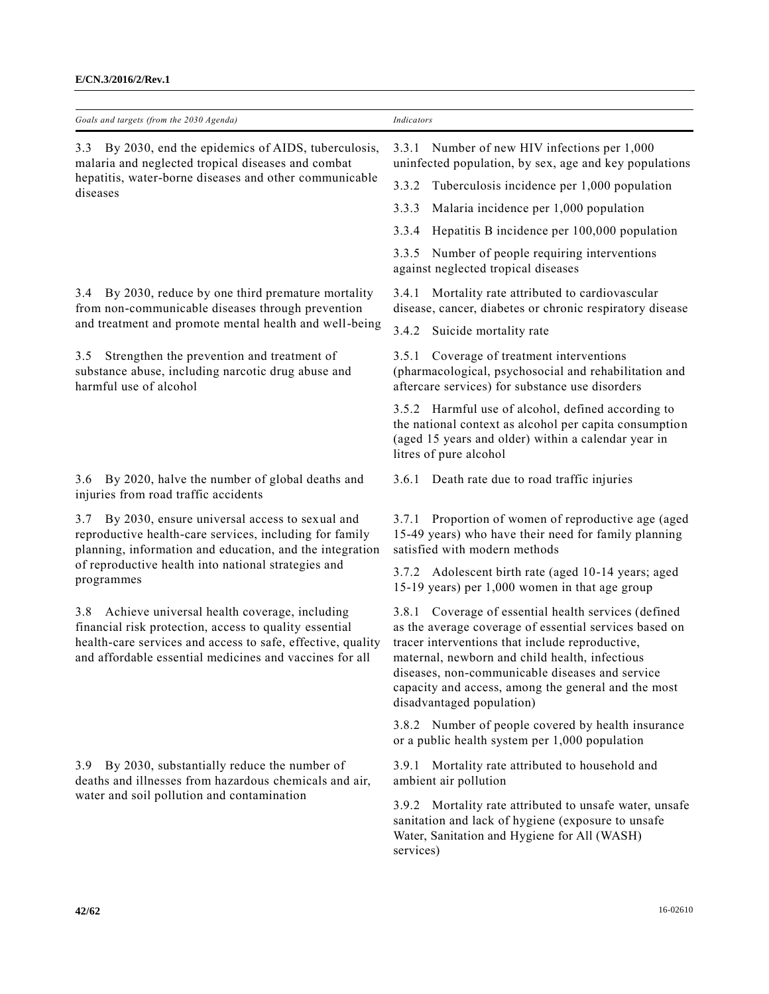| Goals and targets (from the 2030 Agenda)                                                                                                                                                                                                          | Indicators                                                                                                                                                                                                                                                                                                                                                 |
|---------------------------------------------------------------------------------------------------------------------------------------------------------------------------------------------------------------------------------------------------|------------------------------------------------------------------------------------------------------------------------------------------------------------------------------------------------------------------------------------------------------------------------------------------------------------------------------------------------------------|
| 3.3 By 2030, end the epidemics of AIDS, tuberculosis,<br>malaria and neglected tropical diseases and combat                                                                                                                                       | 3.3.1 Number of new HIV infections per 1,000<br>uninfected population, by sex, age and key populations                                                                                                                                                                                                                                                     |
| hepatitis, water-borne diseases and other communicable<br>diseases                                                                                                                                                                                | Tuberculosis incidence per 1,000 population<br>3.3.2                                                                                                                                                                                                                                                                                                       |
|                                                                                                                                                                                                                                                   | Malaria incidence per 1,000 population<br>3.3.3                                                                                                                                                                                                                                                                                                            |
|                                                                                                                                                                                                                                                   | Hepatitis B incidence per 100,000 population<br>3.3.4                                                                                                                                                                                                                                                                                                      |
|                                                                                                                                                                                                                                                   | 3.3.5 Number of people requiring interventions<br>against neglected tropical diseases                                                                                                                                                                                                                                                                      |
| 3.4 By 2030, reduce by one third premature mortality<br>from non-communicable diseases through prevention                                                                                                                                         | 3.4.1 Mortality rate attributed to cardiovascular<br>disease, cancer, diabetes or chronic respiratory disease                                                                                                                                                                                                                                              |
| and treatment and promote mental health and well-being                                                                                                                                                                                            | 3.4.2 Suicide mortality rate                                                                                                                                                                                                                                                                                                                               |
| Strengthen the prevention and treatment of<br>3.5<br>substance abuse, including narcotic drug abuse and<br>harmful use of alcohol                                                                                                                 | 3.5.1 Coverage of treatment interventions<br>(pharmacological, psychosocial and rehabilitation and<br>aftercare services) for substance use disorders                                                                                                                                                                                                      |
|                                                                                                                                                                                                                                                   | 3.5.2 Harmful use of alcohol, defined according to<br>the national context as alcohol per capita consumption<br>(aged 15 years and older) within a calendar year in<br>litres of pure alcohol                                                                                                                                                              |
| 3.6 By 2020, halve the number of global deaths and<br>injuries from road traffic accidents                                                                                                                                                        | 3.6.1 Death rate due to road traffic injuries                                                                                                                                                                                                                                                                                                              |
| By 2030, ensure universal access to sexual and<br>3.7<br>reproductive health-care services, including for family<br>planning, information and education, and the integration<br>of reproductive health into national strategies and<br>programmes | 3.7.1 Proportion of women of reproductive age (aged<br>15-49 years) who have their need for family planning<br>satisfied with modern methods                                                                                                                                                                                                               |
|                                                                                                                                                                                                                                                   | 3.7.2 Adolescent birth rate (aged 10-14 years; aged<br>15-19 years) per 1,000 women in that age group                                                                                                                                                                                                                                                      |
| Achieve universal health coverage, including<br>3.8<br>financial risk protection, access to quality essential<br>health-care services and access to safe, effective, quality<br>and affordable essential medicines and vaccines for all           | 3.8.1 Coverage of essential health services (defined<br>as the average coverage of essential services based on<br>tracer interventions that include reproductive,<br>maternal, newborn and child health, infectious<br>diseases, non-communicable diseases and service<br>capacity and access, among the general and the most<br>disadvantaged population) |
|                                                                                                                                                                                                                                                   | 3.8.2 Number of people covered by health insurance<br>or a public health system per 1,000 population                                                                                                                                                                                                                                                       |
| 3.9 By 2030, substantially reduce the number of<br>deaths and illnesses from hazardous chemicals and air,<br>water and soil pollution and contamination                                                                                           | 3.9.1 Mortality rate attributed to household and<br>ambient air pollution                                                                                                                                                                                                                                                                                  |
|                                                                                                                                                                                                                                                   | 3.9.2 Mortality rate attributed to unsafe water, unsafe<br>sanitation and lack of hygiene (exposure to unsafe<br>Water, Sanitation and Hygiene for All (WASH)<br>services)                                                                                                                                                                                 |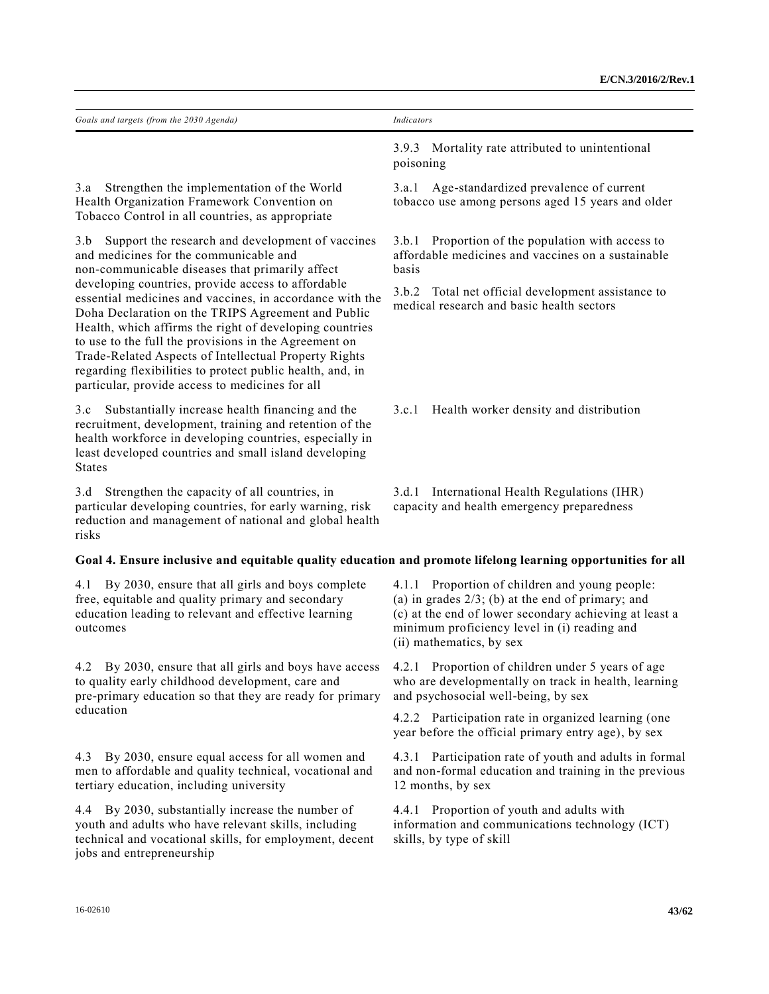| Goals and targets (from the 2030 Agenda)                                                                                                                                                                                                                                                                                                                                                                                                                                                                                                                                                                                  | Indicators                                                                                                                                                                                                                                   |
|---------------------------------------------------------------------------------------------------------------------------------------------------------------------------------------------------------------------------------------------------------------------------------------------------------------------------------------------------------------------------------------------------------------------------------------------------------------------------------------------------------------------------------------------------------------------------------------------------------------------------|----------------------------------------------------------------------------------------------------------------------------------------------------------------------------------------------------------------------------------------------|
|                                                                                                                                                                                                                                                                                                                                                                                                                                                                                                                                                                                                                           | 3.9.3 Mortality rate attributed to unintentional<br>poisoning                                                                                                                                                                                |
| Strengthen the implementation of the World<br>3.a<br>Health Organization Framework Convention on<br>Tobacco Control in all countries, as appropriate                                                                                                                                                                                                                                                                                                                                                                                                                                                                      | Age-standardized prevalence of current<br>3.a.1<br>tobacco use among persons aged 15 years and older                                                                                                                                         |
| Support the research and development of vaccines<br>3.b<br>and medicines for the communicable and<br>non-communicable diseases that primarily affect<br>developing countries, provide access to affordable<br>essential medicines and vaccines, in accordance with the<br>Doha Declaration on the TRIPS Agreement and Public<br>Health, which affirms the right of developing countries<br>to use to the full the provisions in the Agreement on<br>Trade-Related Aspects of Intellectual Property Rights<br>regarding flexibilities to protect public health, and, in<br>particular, provide access to medicines for all | Proportion of the population with access to<br>3.b.1<br>affordable medicines and vaccines on a sustainable<br><b>basis</b>                                                                                                                   |
|                                                                                                                                                                                                                                                                                                                                                                                                                                                                                                                                                                                                                           | 3.b.2 Total net official development assistance to<br>medical research and basic health sectors                                                                                                                                              |
| Substantially increase health financing and the<br>3.c<br>recruitment, development, training and retention of the<br>health workforce in developing countries, especially in<br>least developed countries and small island developing<br><b>States</b>                                                                                                                                                                                                                                                                                                                                                                    | Health worker density and distribution<br>3.c.1                                                                                                                                                                                              |
| Strengthen the capacity of all countries, in<br>3.d<br>particular developing countries, for early warning, risk<br>reduction and management of national and global health<br>risks                                                                                                                                                                                                                                                                                                                                                                                                                                        | 3.d.1 International Health Regulations (IHR)<br>capacity and health emergency preparedness                                                                                                                                                   |
| Goal 4. Ensure inclusive and equitable quality education and promote lifelong learning opportunities for all                                                                                                                                                                                                                                                                                                                                                                                                                                                                                                              |                                                                                                                                                                                                                                              |
| By 2030, ensure that all girls and boys complete<br>4.1<br>free, equitable and quality primary and secondary<br>education leading to relevant and effective learning<br>outcomes                                                                                                                                                                                                                                                                                                                                                                                                                                          | 4.1.1 Proportion of children and young people:<br>(a) in grades $2/3$ ; (b) at the end of primary; and<br>(c) at the end of lower secondary achieving at least a<br>minimum proficiency level in (i) reading and<br>(ii) mathematics, by sex |
| 4.2 By 2030, ensure that all girls and boys have access<br>to quality early childhood development, care and<br>pre-primary education so that they are ready for primary<br>education                                                                                                                                                                                                                                                                                                                                                                                                                                      | 4.2.1 Proportion of children under 5 years of age<br>who are developmentally on track in health, learning<br>and psychosocial well-being, by sex                                                                                             |
|                                                                                                                                                                                                                                                                                                                                                                                                                                                                                                                                                                                                                           | 4.2.2 Participation rate in organized learning (one<br>year before the official primary entry age), by sex                                                                                                                                   |
| By 2030, ensure equal access for all women and<br>4.3<br>men to affordable and quality technical, vocational and<br>tertiary education, including university                                                                                                                                                                                                                                                                                                                                                                                                                                                              | 4.3.1 Participation rate of youth and adults in formal<br>and non-formal education and training in the previous<br>12 months, by sex                                                                                                         |
| 4.4 By 2030, substantially increase the number of<br>youth and adults who have relevant skills, including<br>technical and vocational skills, for employment, decent<br>jobs and entrepreneurship                                                                                                                                                                                                                                                                                                                                                                                                                         | 4.4.1 Proportion of youth and adults with<br>information and communications technology (ICT)<br>skills, by type of skill                                                                                                                     |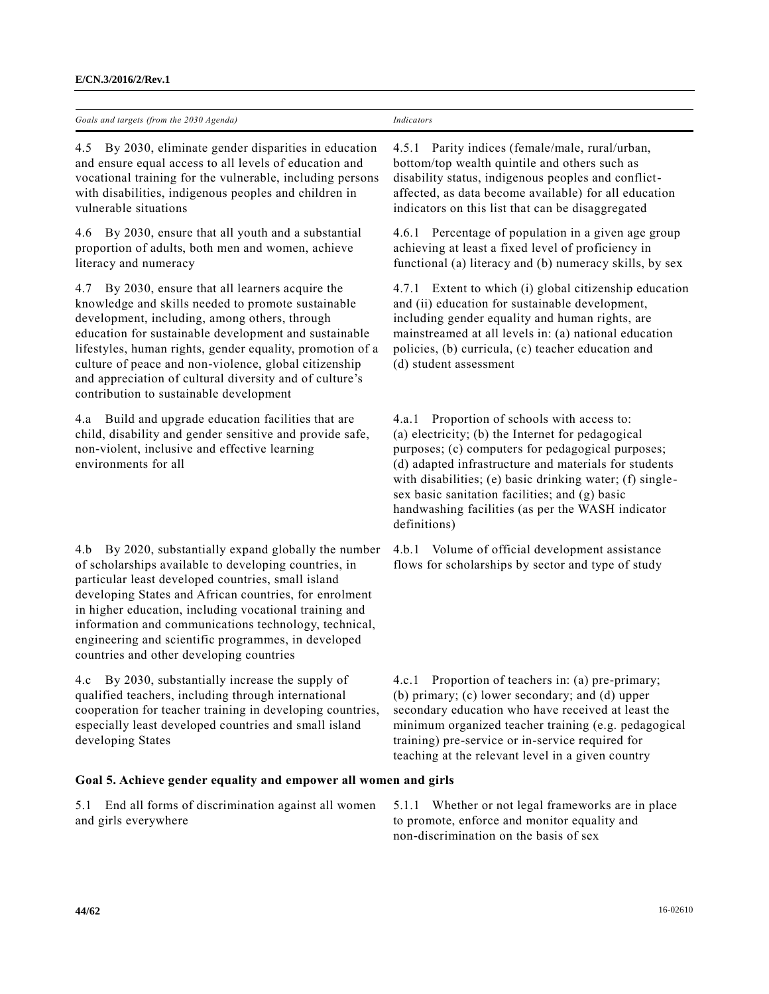| Goals<br>2030<br>s and targets (from the<br>4 genda j<br>the contract of the contract of the contract of the contract of the contract of<br>the control of the con- |  |
|---------------------------------------------------------------------------------------------------------------------------------------------------------------------|--|
|                                                                                                                                                                     |  |

4.5 By 2030, eliminate gender disparities in education and ensure equal access to all levels of education and vocational training for the vulnerable, including persons with disabilities, indigenous peoples and children in vulnerable situations

4.6 By 2030, ensure that all youth and a substantial proportion of adults, both men and women, achieve literacy and numeracy

4.7 By 2030, ensure that all learners acquire the knowledge and skills needed to promote sustainable development, including, among others, through education for sustainable development and sustainable lifestyles, human rights, gender equality, promotion of a culture of peace and non-violence, global citizenship and appreciation of cultural diversity and of culture's contribution to sustainable development

4.a Build and upgrade education facilities that are child, disability and gender sensitive and provide safe, non-violent, inclusive and effective learning environments for all

4.b By 2020, substantially expand globally the number of scholarships available to developing countries, in particular least developed countries, small island developing States and African countries, for enrolment in higher education, including vocational training and information and communications technology, technical, engineering and scientific programmes, in developed countries and other developing countries

4.c By 2030, substantially increase the supply of qualified teachers, including through international cooperation for teacher training in developing countries, especially least developed countries and small island developing States

**Goal 5. Achieve gender equality and empower all women and girls**

5.1 End all forms of discrimination against all women and girls everywhere

4.5.1 Parity indices (female/male, rural/urban, bottom/top wealth quintile and others such as disability status, indigenous peoples and conflictaffected, as data become available) for all education indicators on this list that can be disaggregated

4.6.1 Percentage of population in a given age group achieving at least a fixed level of proficiency in functional (a) literacy and (b) numeracy skills, by sex

4.7.1 Extent to which (i) global citizenship education and (ii) education for sustainable development, including gender equality and human rights, are mainstreamed at all levels in: (a) national education policies, (b) curricula, (c) teacher education and (d) student assessment

4.a.1 Proportion of schools with access to: (a) electricity; (b) the Internet for pedagogical purposes; (c) computers for pedagogical purposes; (d) adapted infrastructure and materials for students with disabilities; (e) basic drinking water; (f) singlesex basic sanitation facilities; and (g) basic handwashing facilities (as per the WASH indicator definitions)

4.b.1 Volume of official development assistance flows for scholarships by sector and type of study

4.c.1 Proportion of teachers in: (a) pre-primary; (b) primary; (c) lower secondary; and (d) upper secondary education who have received at least the minimum organized teacher training (e.g. pedagogical training) pre-service or in-service required for teaching at the relevant level in a given country

5.1.1 Whether or not legal frameworks are in place to promote, enforce and monitor equality and non-discrimination on the basis of sex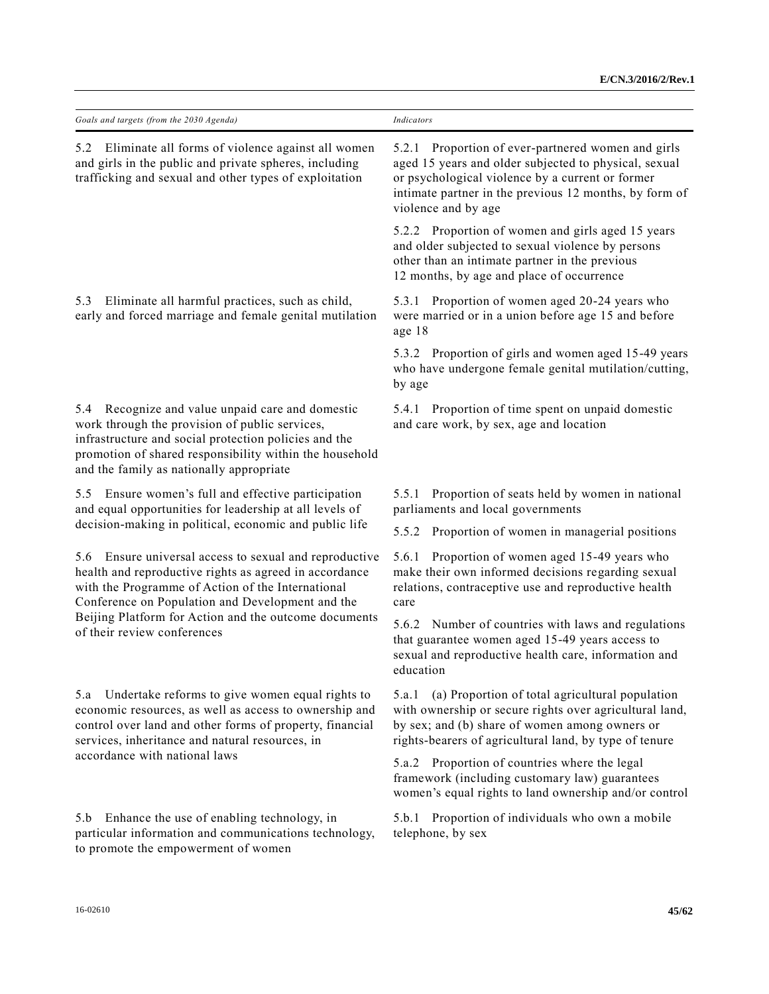| Goals and targets (from the 2030 Agenda)                                                                                                                                                                                                                                                                             | Indicators                                                                                                                                                                                                                                          |
|----------------------------------------------------------------------------------------------------------------------------------------------------------------------------------------------------------------------------------------------------------------------------------------------------------------------|-----------------------------------------------------------------------------------------------------------------------------------------------------------------------------------------------------------------------------------------------------|
| Eliminate all forms of violence against all women<br>5.2<br>and girls in the public and private spheres, including<br>trafficking and sexual and other types of exploitation                                                                                                                                         | Proportion of ever-partnered women and girls<br>5.2.1<br>aged 15 years and older subjected to physical, sexual<br>or psychological violence by a current or former<br>intimate partner in the previous 12 months, by form of<br>violence and by age |
|                                                                                                                                                                                                                                                                                                                      | 5.2.2 Proportion of women and girls aged 15 years<br>and older subjected to sexual violence by persons<br>other than an intimate partner in the previous<br>12 months, by age and place of occurrence                                               |
| Eliminate all harmful practices, such as child,<br>5.3<br>early and forced marriage and female genital mutilation                                                                                                                                                                                                    | 5.3.1 Proportion of women aged 20-24 years who<br>were married or in a union before age 15 and before<br>age 18                                                                                                                                     |
|                                                                                                                                                                                                                                                                                                                      | 5.3.2 Proportion of girls and women aged 15-49 years<br>who have undergone female genital mutilation/cutting,<br>by age                                                                                                                             |
| 5.4 Recognize and value unpaid care and domestic<br>work through the provision of public services,<br>infrastructure and social protection policies and the<br>promotion of shared responsibility within the household<br>and the family as nationally appropriate                                                   | 5.4.1 Proportion of time spent on unpaid domestic<br>and care work, by sex, age and location                                                                                                                                                        |
| Ensure women's full and effective participation<br>5.5<br>and equal opportunities for leadership at all levels of                                                                                                                                                                                                    | 5.5.1 Proportion of seats held by women in national<br>parliaments and local governments                                                                                                                                                            |
| decision-making in political, economic and public life                                                                                                                                                                                                                                                               | Proportion of women in managerial positions<br>5.5.2                                                                                                                                                                                                |
| Ensure universal access to sexual and reproductive<br>5.6<br>health and reproductive rights as agreed in accordance<br>with the Programme of Action of the International<br>Conference on Population and Development and the<br>Beijing Platform for Action and the outcome documents<br>of their review conferences | Proportion of women aged 15-49 years who<br>5.6.1<br>make their own informed decisions regarding sexual<br>relations, contraceptive use and reproductive health<br>care                                                                             |
|                                                                                                                                                                                                                                                                                                                      | Number of countries with laws and regulations<br>5.6.2<br>that guarantee women aged 15-49 years access to<br>sexual and reproductive health care, information and<br>education                                                                      |
| Undertake reforms to give women equal rights to<br>5.a<br>economic resources, as well as access to ownership and<br>control over land and other forms of property, financial<br>services, inheritance and natural resources, in<br>accordance with national laws                                                     | (a) Proportion of total agricultural population<br>5.a.1<br>with ownership or secure rights over agricultural land,<br>by sex; and (b) share of women among owners or<br>rights-bearers of agricultural land, by type of tenure                     |
|                                                                                                                                                                                                                                                                                                                      | 5.a.2 Proportion of countries where the legal<br>framework (including customary law) guarantees<br>women's equal rights to land ownership and/or control                                                                                            |
| Enhance the use of enabling technology, in<br>5.b<br>particular information and communications technology,<br>to promote the empowerment of women                                                                                                                                                                    | 5.b.1 Proportion of individuals who own a mobile<br>telephone, by sex                                                                                                                                                                               |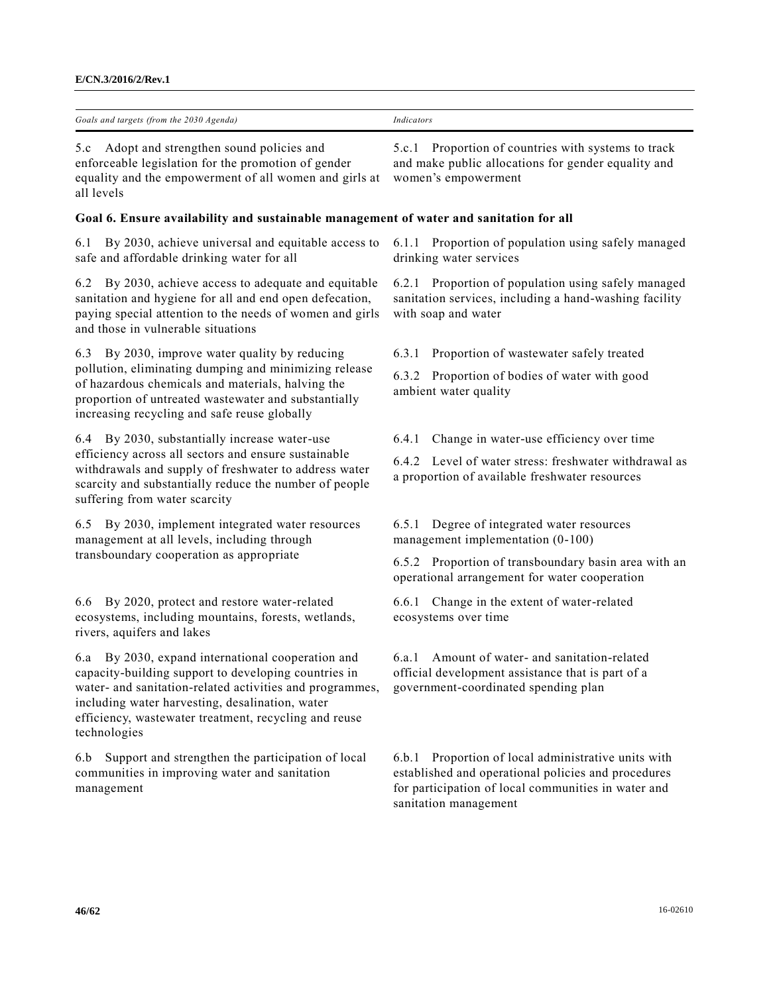5.c Adopt and strengthen sound policies and enforceable legislation for the promotion of gender equality and the empowerment of all women and girls at all levels

# **Goal 6. Ensure availability and sustainable management of water and sanitation for all**

6.1 By 2030, achieve universal and equitable access to safe and affordable drinking water for all

6.2 By 2030, achieve access to adequate and equitable sanitation and hygiene for all and end open defecation, paying special attention to the needs of women and girls and those in vulnerable situations

6.3 By 2030, improve water quality by reducing pollution, eliminating dumping and minimizing release of hazardous chemicals and materials, halving the proportion of untreated wastewater and substantially increasing recycling and safe reuse globally

6.4 By 2030, substantially increase water-use efficiency across all sectors and ensure sustainable withdrawals and supply of freshwater to address water scarcity and substantially reduce the number of people suffering from water scarcity

6.5 By 2030, implement integrated water resources management at all levels, including through transboundary cooperation as appropriate

6.6 By 2020, protect and restore water-related ecosystems, including mountains, forests, wetlands, rivers, aquifers and lakes

6.a By 2030, expand international cooperation and capacity-building support to developing countries in water- and sanitation-related activities and programmes, including water harvesting, desalination, water efficiency, wastewater treatment, recycling and reuse technologies

6.b Support and strengthen the participation of local communities in improving water and sanitation management

5.c.1 Proportion of countries with systems to track and make public allocations for gender equality and women's empowerment

6.1.1 Proportion of population using safely managed drinking water services

6.2.1 Proportion of population using safely managed sanitation services, including a hand-washing facility with soap and water

6.3.1 Proportion of wastewater safely treated

6.3.2 Proportion of bodies of water with good ambient water quality

6.4.1 Change in water-use efficiency over time

6.4.2 Level of water stress: freshwater withdrawal as a proportion of available freshwater resources

6.5.1 Degree of integrated water resources management implementation (0-100)

6.5.2 Proportion of transboundary basin area with an operational arrangement for water cooperation

6.6.1 Change in the extent of water-related ecosystems over time

6.a.1 Amount of water- and sanitation-related official development assistance that is part of a government-coordinated spending plan

6.b.1 Proportion of local administrative units with established and operational policies and procedures for participation of local communities in water and sanitation management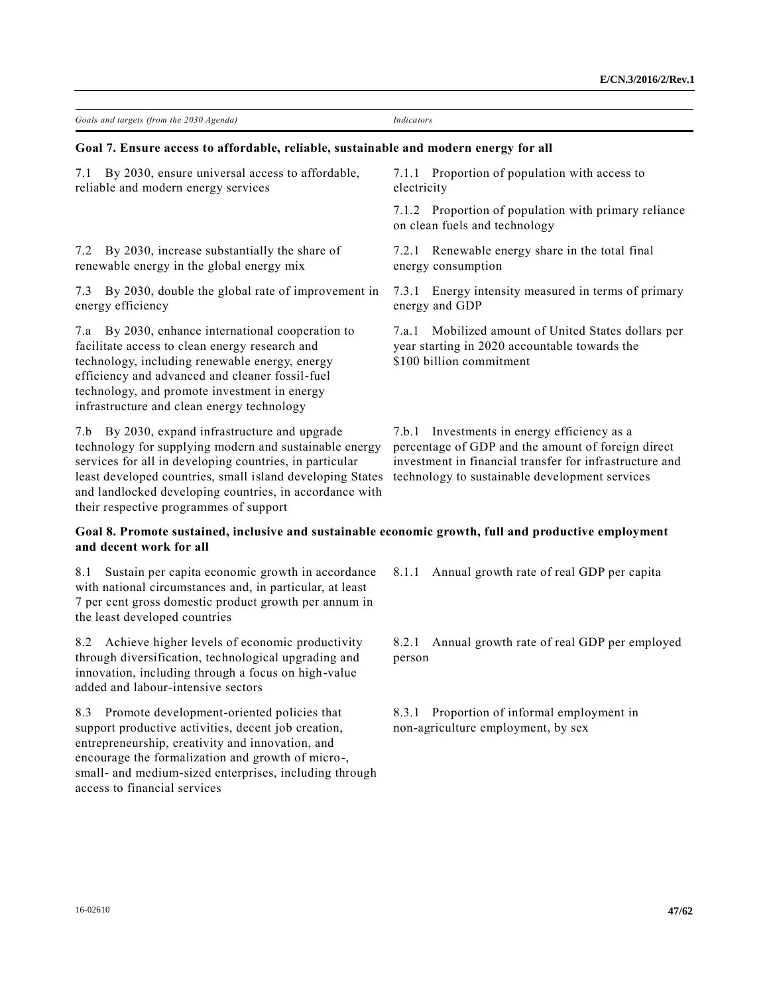| Goals and targets (from the 2030 Agenda)                                                                                                                                                                                                                                                                                              | Indicators                                                                                                                                                                                                     |  |
|---------------------------------------------------------------------------------------------------------------------------------------------------------------------------------------------------------------------------------------------------------------------------------------------------------------------------------------|----------------------------------------------------------------------------------------------------------------------------------------------------------------------------------------------------------------|--|
| Goal 7. Ensure access to affordable, reliable, sustainable and modern energy for all                                                                                                                                                                                                                                                  |                                                                                                                                                                                                                |  |
| By 2030, ensure universal access to affordable,<br>7.1<br>reliable and modern energy services                                                                                                                                                                                                                                         | 7.1.1 Proportion of population with access to<br>electricity                                                                                                                                                   |  |
|                                                                                                                                                                                                                                                                                                                                       | 7.1.2 Proportion of population with primary reliance<br>on clean fuels and technology                                                                                                                          |  |
| By 2030, increase substantially the share of<br>7.2<br>renewable energy in the global energy mix                                                                                                                                                                                                                                      | 7.2.1 Renewable energy share in the total final<br>energy consumption                                                                                                                                          |  |
| By 2030, double the global rate of improvement in<br>7.3<br>energy efficiency                                                                                                                                                                                                                                                         | 7.3.1 Energy intensity measured in terms of primary<br>energy and GDP                                                                                                                                          |  |
| 7.a By 2030, enhance international cooperation to<br>facilitate access to clean energy research and<br>technology, including renewable energy, energy<br>efficiency and advanced and cleaner fossil-fuel<br>technology, and promote investment in energy<br>infrastructure and clean energy technology                                | Mobilized amount of United States dollars per<br>7.a.1<br>year starting in 2020 accountable towards the<br>\$100 billion commitment                                                                            |  |
| 7.b By 2030, expand infrastructure and upgrade<br>technology for supplying modern and sustainable energy<br>services for all in developing countries, in particular<br>least developed countries, small island developing States<br>and landlocked developing countries, in accordance with<br>their respective programmes of support | 7.b.1 Investments in energy efficiency as a<br>percentage of GDP and the amount of foreign direct<br>investment in financial transfer for infrastructure and<br>technology to sustainable development services |  |

# **Goal 8. Promote sustained, inclusive and sustainable economic growth, full and productive employment and decent work for all**

8.1 Sustain per capita economic growth in accordance with national circumstances and, in particular, at least 7 per cent gross domestic product growth per annum in the least developed countries

8.2 Achieve higher levels of economic productivity through diversification, technological upgrading and innovation, including through a focus on high-value added and labour-intensive sectors

8.3 Promote development-oriented policies that support productive activities, decent job creation, entrepreneurship, creativity and innovation, and encourage the formalization and growth of micro-, small- and medium-sized enterprises, including through access to financial services

8.1.1 Annual growth rate of real GDP per capita

8.2.1 Annual growth rate of real GDP per employed person

8.3.1 Proportion of informal employment in non-agriculture employment, by sex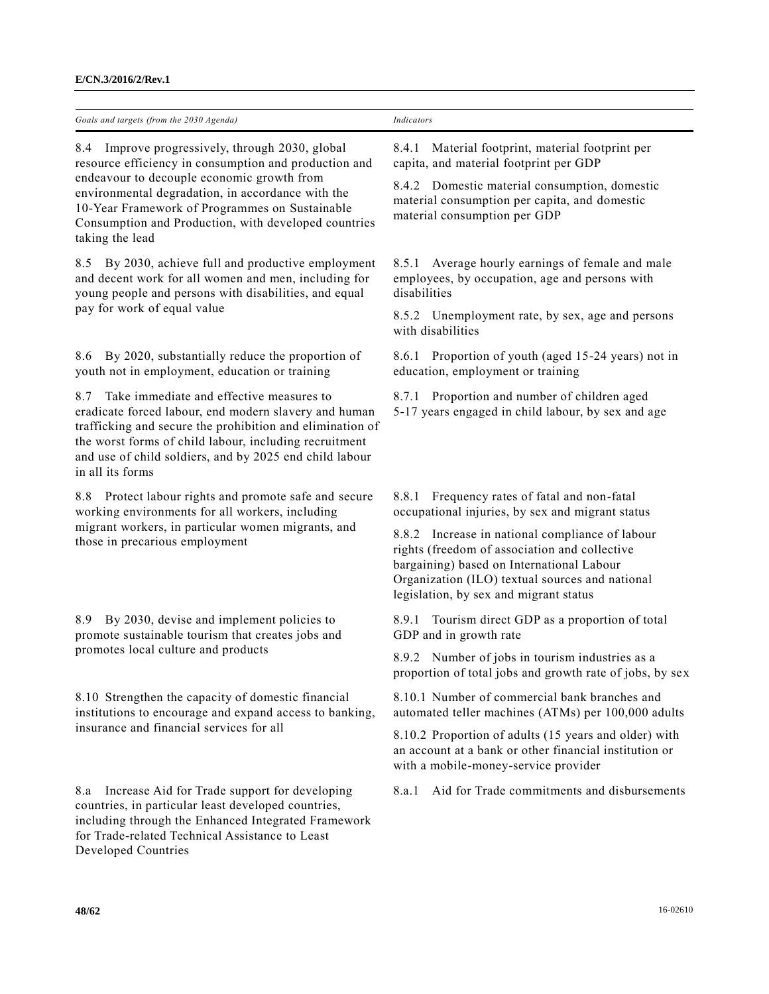| Goals and targets (from the 2030 Agenda)                                                                                                                                                                                                                                                                                                 | Indicators                                                                                                                                                                                                                                 |
|------------------------------------------------------------------------------------------------------------------------------------------------------------------------------------------------------------------------------------------------------------------------------------------------------------------------------------------|--------------------------------------------------------------------------------------------------------------------------------------------------------------------------------------------------------------------------------------------|
| 8.4 Improve progressively, through 2030, global<br>resource efficiency in consumption and production and<br>endeavour to decouple economic growth from<br>environmental degradation, in accordance with the<br>10-Year Framework of Programmes on Sustainable<br>Consumption and Production, with developed countries<br>taking the lead | Material footprint, material footprint per<br>8.4.1<br>capita, and material footprint per GDP                                                                                                                                              |
|                                                                                                                                                                                                                                                                                                                                          | 8.4.2 Domestic material consumption, domestic<br>material consumption per capita, and domestic<br>material consumption per GDP                                                                                                             |
| By 2030, achieve full and productive employment<br>8.5<br>and decent work for all women and men, including for<br>young people and persons with disabilities, and equal                                                                                                                                                                  | 8.5.1 Average hourly earnings of female and male<br>employees, by occupation, age and persons with<br>disabilities                                                                                                                         |
| pay for work of equal value                                                                                                                                                                                                                                                                                                              | 8.5.2 Unemployment rate, by sex, age and persons<br>with disabilities                                                                                                                                                                      |
| By 2020, substantially reduce the proportion of<br>8.6<br>youth not in employment, education or training                                                                                                                                                                                                                                 | 8.6.1 Proportion of youth (aged 15-24 years) not in<br>education, employment or training                                                                                                                                                   |
| Take immediate and effective measures to<br>8.7<br>eradicate forced labour, end modern slavery and human<br>trafficking and secure the prohibition and elimination of<br>the worst forms of child labour, including recruitment<br>and use of child soldiers, and by 2025 end child labour<br>in all its forms                           | 8.7.1 Proportion and number of children aged<br>5-17 years engaged in child labour, by sex and age                                                                                                                                         |
| 8.8 Protect labour rights and promote safe and secure<br>working environments for all workers, including                                                                                                                                                                                                                                 | Frequency rates of fatal and non-fatal<br>8.8.1<br>occupational injuries, by sex and migrant status                                                                                                                                        |
| migrant workers, in particular women migrants, and<br>those in precarious employment                                                                                                                                                                                                                                                     | 8.8.2 Increase in national compliance of labour<br>rights (freedom of association and collective<br>bargaining) based on International Labour<br>Organization (ILO) textual sources and national<br>legislation, by sex and migrant status |
| By 2030, devise and implement policies to<br>8.9<br>promote sustainable tourism that creates jobs and                                                                                                                                                                                                                                    | Tourism direct GDP as a proportion of total<br>8.9.1<br>GDP and in growth rate                                                                                                                                                             |
| promotes local culture and products                                                                                                                                                                                                                                                                                                      | 8.9.2 Number of jobs in tourism industries as a<br>proportion of total jobs and growth rate of jobs, by sex                                                                                                                                |
| 8.10 Strengthen the capacity of domestic financial<br>institutions to encourage and expand access to banking,<br>insurance and financial services for all                                                                                                                                                                                | 8.10.1 Number of commercial bank branches and<br>automated teller machines (ATMs) per 100,000 adults                                                                                                                                       |
|                                                                                                                                                                                                                                                                                                                                          | 8.10.2 Proportion of adults (15 years and older) with<br>an account at a bank or other financial institution or<br>with a mobile-money-service provider                                                                                    |
| Increase Aid for Trade support for developing<br>8.a<br>countries, in particular least developed countries,<br>including through the Enhanced Integrated Framework<br>for Trade-related Technical Assistance to Least<br>Developed Countries                                                                                             | Aid for Trade commitments and disbursements<br>8.a.1                                                                                                                                                                                       |
| 48/62                                                                                                                                                                                                                                                                                                                                    | 16-02610                                                                                                                                                                                                                                   |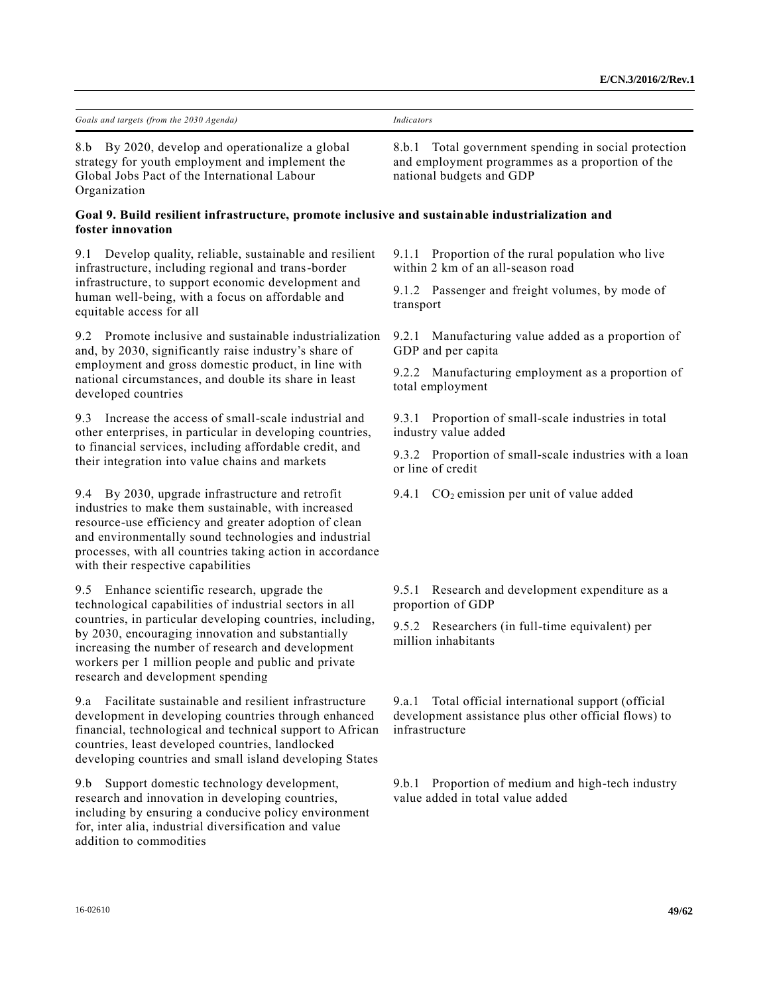| Goals and targets (from the 2030 Agenda)                                                                                                                                                                                                                                                                                     | <b>Indicators</b>                                                                                                                       |
|------------------------------------------------------------------------------------------------------------------------------------------------------------------------------------------------------------------------------------------------------------------------------------------------------------------------------|-----------------------------------------------------------------------------------------------------------------------------------------|
| 8.b By 2020, develop and operationalize a global<br>strategy for youth employment and implement the<br>Global Jobs Pact of the International Labour<br>Organization                                                                                                                                                          | Total government spending in social protection<br>8.b.1<br>and employment programmes as a proportion of the<br>national budgets and GDP |
| Goal 9. Build resilient infrastructure, promote inclusive and sustainable industrialization and<br>foster innovation                                                                                                                                                                                                         |                                                                                                                                         |
| Develop quality, reliable, sustainable and resilient<br>9.1<br>infrastructure, including regional and trans-border<br>infrastructure, to support economic development and<br>human well-being, with a focus on affordable and<br>equitable access for all                                                                    | 9.1.1 Proportion of the rural population who live<br>within 2 km of an all-season road                                                  |
|                                                                                                                                                                                                                                                                                                                              | 9.1.2 Passenger and freight volumes, by mode of<br>transport                                                                            |
| Promote inclusive and sustainable industrialization<br>9.2<br>and, by 2030, significantly raise industry's share of                                                                                                                                                                                                          | 9.2.1 Manufacturing value added as a proportion of<br>GDP and per capita                                                                |
| employment and gross domestic product, in line with<br>national circumstances, and double its share in least<br>developed countries                                                                                                                                                                                          | 9.2.2 Manufacturing employment as a proportion of<br>total employment                                                                   |
| Increase the access of small-scale industrial and<br>9.3<br>other enterprises, in particular in developing countries,                                                                                                                                                                                                        | 9.3.1 Proportion of small-scale industries in total<br>industry value added                                                             |
| to financial services, including affordable credit, and<br>their integration into value chains and markets                                                                                                                                                                                                                   | 9.3.2 Proportion of small-scale industries with a loan<br>or line of credit                                                             |
| 9.4 By 2030, upgrade infrastructure and retrofit<br>industries to make them sustainable, with increased<br>resource-use efficiency and greater adoption of clean<br>and environmentally sound technologies and industrial<br>processes, with all countries taking action in accordance<br>with their respective capabilities | 9.4.1 $CO2$ emission per unit of value added                                                                                            |
| Enhance scientific research, upgrade the<br>9.5<br>technological capabilities of industrial sectors in all                                                                                                                                                                                                                   | 9.5.1 Research and development expenditure as a<br>proportion of GDP                                                                    |
| countries, in particular developing countries, including,<br>by 2030, encouraging innovation and substantially<br>increasing the number of research and development<br>workers per 1 million people and public and private<br>research and development spending                                                              | 9.5.2 Researchers (in full-time equivalent) per<br>million inhabitants                                                                  |
| Facilitate sustainable and resilient infrastructure<br>9.a<br>development in developing countries through enhanced<br>financial, technological and technical support to African<br>countries, least developed countries, landlocked<br>developing countries and small island developing States                               | Total official international support (official<br>9.a.1<br>development assistance plus other official flows) to<br>infrastructure       |
| Support domestic technology development,<br>9.b<br>research and innovation in developing countries,<br>including by ensuring a conducive policy environment<br>for, inter alia, industrial diversification and value<br>addition to commodities                                                                              | Proportion of medium and high-tech industry<br>9.b.1<br>value added in total value added                                                |
|                                                                                                                                                                                                                                                                                                                              |                                                                                                                                         |
| 16-02610                                                                                                                                                                                                                                                                                                                     | 49/62                                                                                                                                   |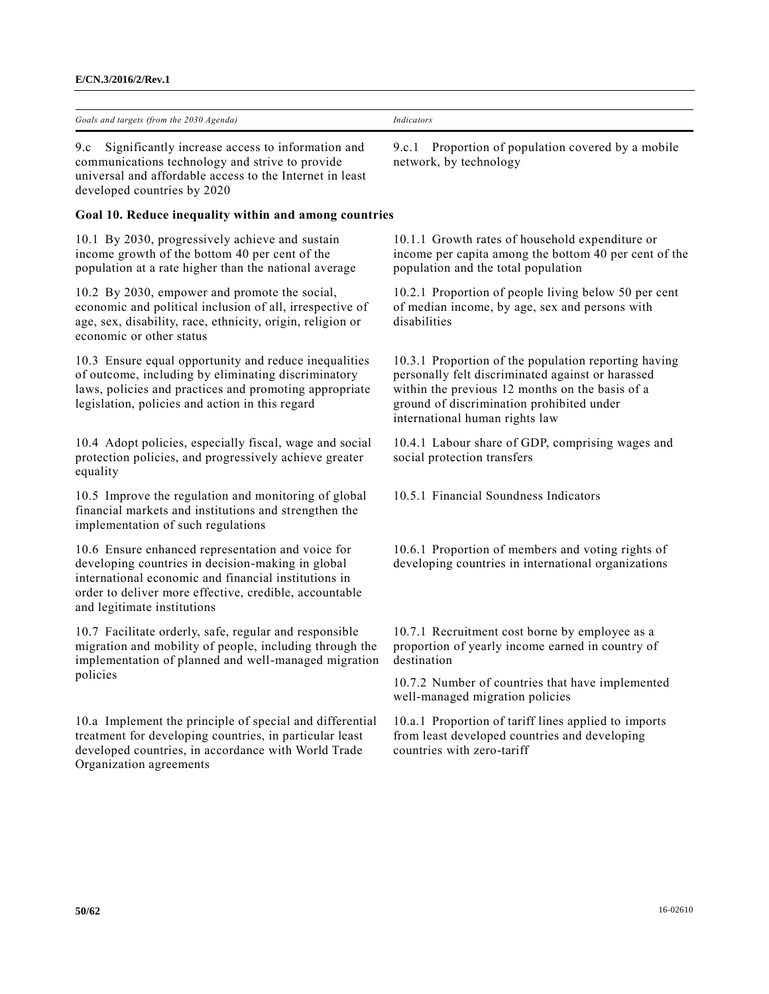| Goals and targets<br>(from the $2030$ )<br>Agenda.<br>. . | Indicators |
|-----------------------------------------------------------|------------|

9.c Significantly increase access to information and communications technology and strive to provide universal and affordable access to the Internet in least developed countries by 2020

# **Goal 10. Reduce inequality within and among countries**

10.1 By 2030, progressively achieve and sustain income growth of the bottom 40 per cent of the population at a rate higher than the national average

10.2 By 2030, empower and promote the social, economic and political inclusion of all, irrespective of age, sex, disability, race, ethnicity, origin, religion or economic or other status

10.3 Ensure equal opportunity and reduce inequalities of outcome, including by eliminating discriminatory laws, policies and practices and promoting appropriate legislation, policies and action in this regard

10.4 Adopt policies, especially fiscal, wage and social protection policies, and progressively achieve greater equality

10.5 Improve the regulation and monitoring of global financial markets and institutions and strengthen the implementation of such regulations

10.6 Ensure enhanced representation and voice for developing countries in decision-making in global international economic and financial institutions in order to deliver more effective, credible, accountable and legitimate institutions

10.7 Facilitate orderly, safe, regular and responsible migration and mobility of people, including through the implementation of planned and well-managed migration policies

10.a Implement the principle of special and differential treatment for developing countries, in particular least developed countries, in accordance with World Trade Organization agreements

9.c.1 Proportion of population covered by a mobile network, by technology

10.1.1 Growth rates of household expenditure or income per capita among the bottom 40 per cent of the population and the total population

10.2.1 Proportion of people living below 50 per cent of median income, by age, sex and persons with disabilities

10.3.1 Proportion of the population reporting having personally felt discriminated against or harassed within the previous 12 months on the basis of a ground of discrimination prohibited under international human rights law

10.4.1 Labour share of GDP, comprising wages and social protection transfers

10.5.1 Financial Soundness Indicators

10.6.1 Proportion of members and voting rights of developing countries in international organizations

10.7.1 Recruitment cost borne by employee as a proportion of yearly income earned in country of destination

10.7.2 Number of countries that have implemented well-managed migration policies

10.a.1 Proportion of tariff lines applied to imports from least developed countries and developing countries with zero-tariff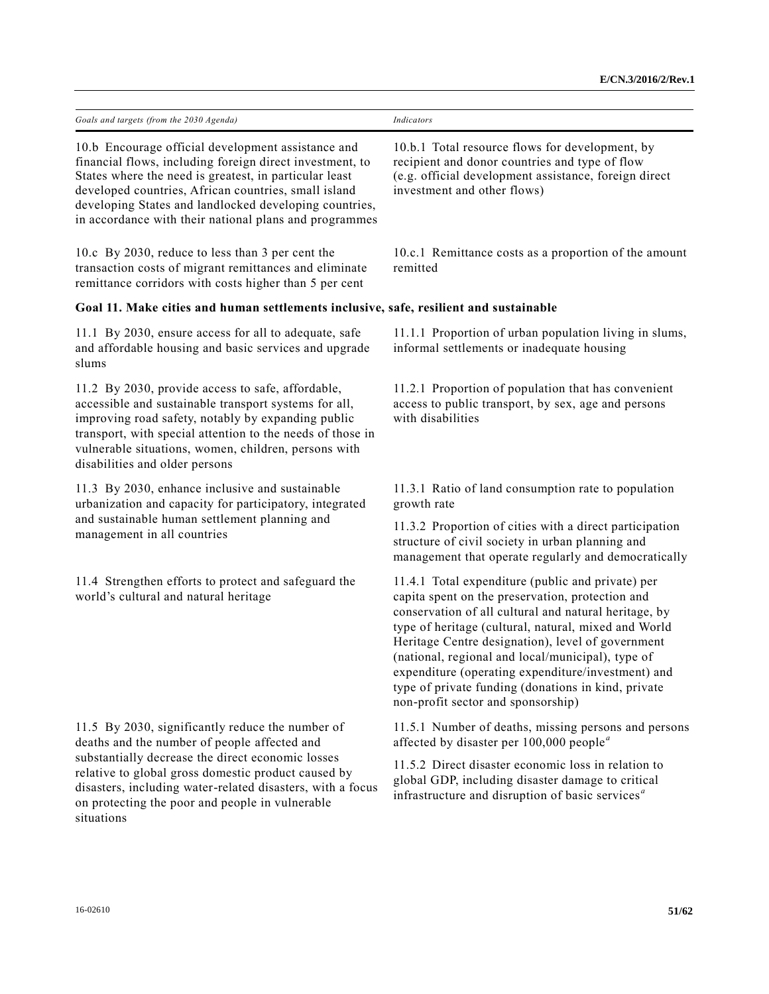| Goals and targets (from the 2030 Agenda)                                                                                                                                                                                                                                                                                                             | Indicators                                                                                                                                                                                                                                                                                                                                                                                                                                                                          |
|------------------------------------------------------------------------------------------------------------------------------------------------------------------------------------------------------------------------------------------------------------------------------------------------------------------------------------------------------|-------------------------------------------------------------------------------------------------------------------------------------------------------------------------------------------------------------------------------------------------------------------------------------------------------------------------------------------------------------------------------------------------------------------------------------------------------------------------------------|
| 10.b Encourage official development assistance and<br>financial flows, including foreign direct investment, to<br>States where the need is greatest, in particular least<br>developed countries, African countries, small island<br>developing States and landlocked developing countries,<br>in accordance with their national plans and programmes | 10.b.1 Total resource flows for development, by<br>recipient and donor countries and type of flow<br>(e.g. official development assistance, foreign direct<br>investment and other flows)                                                                                                                                                                                                                                                                                           |
| 10.c By 2030, reduce to less than 3 per cent the<br>transaction costs of migrant remittances and eliminate<br>remittance corridors with costs higher than 5 per cent                                                                                                                                                                                 | 10.c.1 Remittance costs as a proportion of the amount<br>remitted                                                                                                                                                                                                                                                                                                                                                                                                                   |
| Goal 11. Make cities and human settlements inclusive, safe, resilient and sustainable                                                                                                                                                                                                                                                                |                                                                                                                                                                                                                                                                                                                                                                                                                                                                                     |
| 11.1 By 2030, ensure access for all to adequate, safe<br>and affordable housing and basic services and upgrade<br>slums                                                                                                                                                                                                                              | 11.1.1 Proportion of urban population living in slums,<br>informal settlements or inadequate housing                                                                                                                                                                                                                                                                                                                                                                                |
| 11.2 By 2030, provide access to safe, affordable,<br>accessible and sustainable transport systems for all,<br>improving road safety, notably by expanding public<br>transport, with special attention to the needs of those in<br>vulnerable situations, women, children, persons with<br>disabilities and older persons                             | 11.2.1 Proportion of population that has convenient<br>access to public transport, by sex, age and persons<br>with disabilities                                                                                                                                                                                                                                                                                                                                                     |
| 11.3 By 2030, enhance inclusive and sustainable<br>urbanization and capacity for participatory, integrated                                                                                                                                                                                                                                           | 11.3.1 Ratio of land consumption rate to population<br>growth rate                                                                                                                                                                                                                                                                                                                                                                                                                  |
| and sustainable human settlement planning and<br>management in all countries                                                                                                                                                                                                                                                                         | 11.3.2 Proportion of cities with a direct participation<br>structure of civil society in urban planning and<br>management that operate regularly and democratically                                                                                                                                                                                                                                                                                                                 |
| 11.4 Strengthen efforts to protect and safeguard the<br>world's cultural and natural heritage                                                                                                                                                                                                                                                        | 11.4.1 Total expenditure (public and private) per<br>capita spent on the preservation, protection and<br>conservation of all cultural and natural heritage, by<br>type of heritage (cultural, natural, mixed and World<br>Heritage Centre designation), level of government<br>(national, regional and local/municipal), type of<br>expenditure (operating expenditure/investment) and<br>type of private funding (donations in kind, private<br>non-profit sector and sponsorship) |
| 11.5 By 2030, significantly reduce the number of<br>deaths and the number of people affected and<br>substantially decrease the direct economic losses<br>relative to global gross domestic product caused by<br>disasters, including water-related disasters, with a focus<br>on protecting the poor and people in vulnerable<br>situations          | 11.5.1 Number of deaths, missing persons and persons<br>affected by disaster per $100,000$ people <sup><i>a</i></sup>                                                                                                                                                                                                                                                                                                                                                               |
|                                                                                                                                                                                                                                                                                                                                                      | 11.5.2 Direct disaster economic loss in relation to<br>global GDP, including disaster damage to critical<br>infrastructure and disruption of basic services <sup>a</sup>                                                                                                                                                                                                                                                                                                            |
|                                                                                                                                                                                                                                                                                                                                                      |                                                                                                                                                                                                                                                                                                                                                                                                                                                                                     |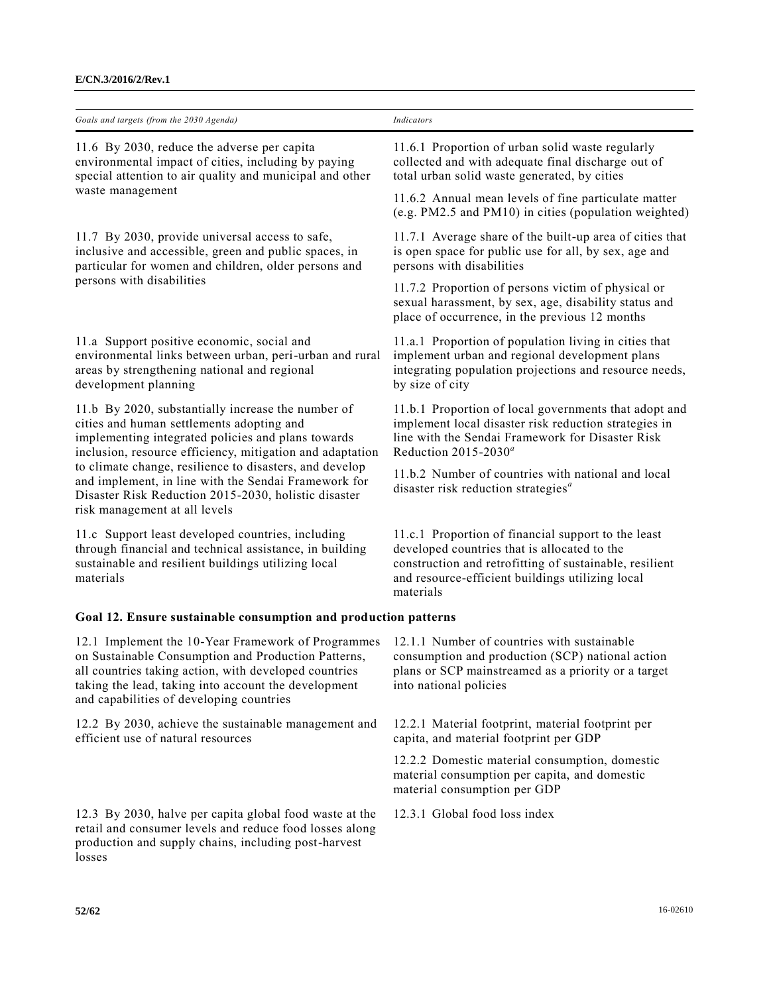| Goals and targets (from the 2030 Agenda)                                                                                                                                                                                                                                                                                                                                                                                       | Indicators                                                                                                                                                                                                                      |
|--------------------------------------------------------------------------------------------------------------------------------------------------------------------------------------------------------------------------------------------------------------------------------------------------------------------------------------------------------------------------------------------------------------------------------|---------------------------------------------------------------------------------------------------------------------------------------------------------------------------------------------------------------------------------|
| 11.6 By 2030, reduce the adverse per capita<br>environmental impact of cities, including by paying<br>special attention to air quality and municipal and other                                                                                                                                                                                                                                                                 | 11.6.1 Proportion of urban solid waste regularly<br>collected and with adequate final discharge out of<br>total urban solid waste generated, by cities                                                                          |
| waste management                                                                                                                                                                                                                                                                                                                                                                                                               | 11.6.2 Annual mean levels of fine particulate matter<br>(e.g. PM2.5 and PM10) in cities (population weighted)                                                                                                                   |
| 11.7 By 2030, provide universal access to safe,<br>inclusive and accessible, green and public spaces, in<br>particular for women and children, older persons and                                                                                                                                                                                                                                                               | 11.7.1 Average share of the built-up area of cities that<br>is open space for public use for all, by sex, age and<br>persons with disabilities                                                                                  |
| persons with disabilities                                                                                                                                                                                                                                                                                                                                                                                                      | 11.7.2 Proportion of persons victim of physical or<br>sexual harassment, by sex, age, disability status and<br>place of occurrence, in the previous 12 months                                                                   |
| 11.a Support positive economic, social and<br>environmental links between urban, peri-urban and rural<br>areas by strengthening national and regional<br>development planning                                                                                                                                                                                                                                                  | 11.a.1 Proportion of population living in cities that<br>implement urban and regional development plans<br>integrating population projections and resource needs,<br>by size of city                                            |
| 11.b By 2020, substantially increase the number of<br>cities and human settlements adopting and<br>implementing integrated policies and plans towards<br>inclusion, resource efficiency, mitigation and adaptation<br>to climate change, resilience to disasters, and develop<br>and implement, in line with the Sendai Framework for<br>Disaster Risk Reduction 2015-2030, holistic disaster<br>risk management at all levels | 11.b.1 Proportion of local governments that adopt and<br>implement local disaster risk reduction strategies in<br>line with the Sendai Framework for Disaster Risk<br>Reduction $2015 - 2030^a$                                 |
|                                                                                                                                                                                                                                                                                                                                                                                                                                | 11.b.2 Number of countries with national and local<br>disaster risk reduction strategies $a$                                                                                                                                    |
| 11.c Support least developed countries, including<br>through financial and technical assistance, in building<br>sustainable and resilient buildings utilizing local<br>materials                                                                                                                                                                                                                                               | 11.c.1 Proportion of financial support to the least<br>developed countries that is allocated to the<br>construction and retrofitting of sustainable, resilient<br>and resource-efficient buildings utilizing local<br>materials |
| Goal 12. Ensure sustainable consumption and production patterns                                                                                                                                                                                                                                                                                                                                                                |                                                                                                                                                                                                                                 |
| 12.1 Implement the 10-Year Framework of Programmes<br>on Sustainable Consumption and Production Patterns,<br>all countries taking action, with developed countries<br>taking the lead, taking into account the development<br>and capabilities of developing countries                                                                                                                                                         | 12.1.1 Number of countries with sustainable<br>consumption and production (SCP) national action<br>plans or SCP mainstreamed as a priority or a target<br>into national policies                                                |
| 12.2 By 2030, achieve the sustainable management and<br>efficient use of natural resources                                                                                                                                                                                                                                                                                                                                     | 12.2.1 Material footprint, material footprint per<br>capita, and material footprint per GDP                                                                                                                                     |
|                                                                                                                                                                                                                                                                                                                                                                                                                                | 12.2.2 Domestic material consumption, domestic<br>material consumption per capita, and domestic<br>material consumption per GDP                                                                                                 |

12.3 By 2030, halve per capita global food waste at the retail and consumer levels and reduce food losses along production and supply chains, including post-harvest losses

12.3.1 Global food loss index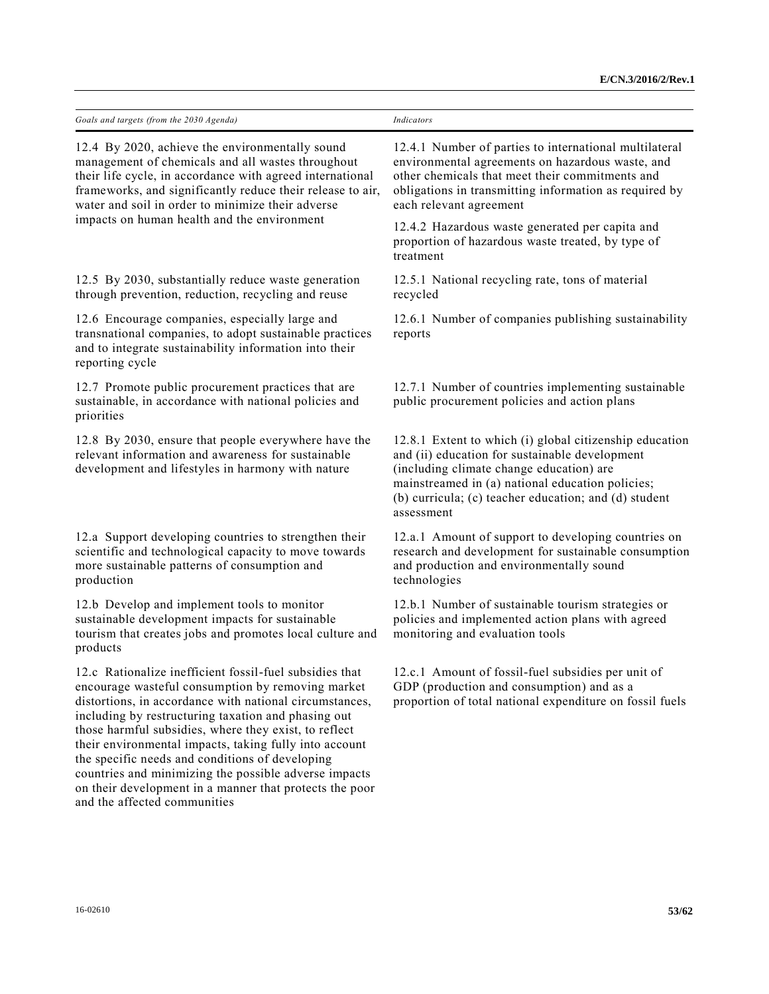| Goals and targets (from the 2030 Agenda)                                                                                                                                                                                                                                                                                                                                                                                                                                                                                                                 | <b>Indicators</b>                                                                                                                                                                                                                                                                |
|----------------------------------------------------------------------------------------------------------------------------------------------------------------------------------------------------------------------------------------------------------------------------------------------------------------------------------------------------------------------------------------------------------------------------------------------------------------------------------------------------------------------------------------------------------|----------------------------------------------------------------------------------------------------------------------------------------------------------------------------------------------------------------------------------------------------------------------------------|
| 12.4 By 2020, achieve the environmentally sound<br>management of chemicals and all wastes throughout<br>their life cycle, in accordance with agreed international<br>frameworks, and significantly reduce their release to air,<br>water and soil in order to minimize their adverse                                                                                                                                                                                                                                                                     | 12.4.1 Number of parties to international multilateral<br>environmental agreements on hazardous waste, and<br>other chemicals that meet their commitments and<br>obligations in transmitting information as required by<br>each relevant agreement                               |
| impacts on human health and the environment                                                                                                                                                                                                                                                                                                                                                                                                                                                                                                              | 12.4.2 Hazardous waste generated per capita and<br>proportion of hazardous waste treated, by type of<br>treatment                                                                                                                                                                |
| 12.5 By 2030, substantially reduce waste generation<br>through prevention, reduction, recycling and reuse                                                                                                                                                                                                                                                                                                                                                                                                                                                | 12.5.1 National recycling rate, tons of material<br>recycled                                                                                                                                                                                                                     |
| 12.6 Encourage companies, especially large and<br>transnational companies, to adopt sustainable practices<br>and to integrate sustainability information into their<br>reporting cycle                                                                                                                                                                                                                                                                                                                                                                   | 12.6.1 Number of companies publishing sustainability<br>reports                                                                                                                                                                                                                  |
| 12.7 Promote public procurement practices that are<br>sustainable, in accordance with national policies and<br>priorities                                                                                                                                                                                                                                                                                                                                                                                                                                | 12.7.1 Number of countries implementing sustainable<br>public procurement policies and action plans                                                                                                                                                                              |
| 12.8 By 2030, ensure that people everywhere have the<br>relevant information and awareness for sustainable<br>development and lifestyles in harmony with nature                                                                                                                                                                                                                                                                                                                                                                                          | 12.8.1 Extent to which (i) global citizenship education<br>and (ii) education for sustainable development<br>(including climate change education) are<br>mainstreamed in (a) national education policies;<br>(b) curricula; (c) teacher education; and (d) student<br>assessment |
| 12.a Support developing countries to strengthen their<br>scientific and technological capacity to move towards<br>more sustainable patterns of consumption and<br>production                                                                                                                                                                                                                                                                                                                                                                             | 12.a.1 Amount of support to developing countries on<br>research and development for sustainable consumption<br>and production and environmentally sound<br>technologies                                                                                                          |
| 12.b Develop and implement tools to monitor<br>sustainable development impacts for sustainable<br>tourism that creates jobs and promotes local culture and<br>products                                                                                                                                                                                                                                                                                                                                                                                   | 12.b.1 Number of sustainable tourism strategies or<br>policies and implemented action plans with agreed<br>monitoring and evaluation tools                                                                                                                                       |
| 12.c Rationalize inefficient fossil-fuel subsidies that<br>encourage wasteful consumption by removing market<br>distortions, in accordance with national circumstances,<br>including by restructuring taxation and phasing out<br>those harmful subsidies, where they exist, to reflect<br>their environmental impacts, taking fully into account<br>the specific needs and conditions of developing<br>countries and minimizing the possible adverse impacts<br>on their development in a manner that protects the poor<br>and the affected communities | 12.c.1 Amount of fossil-fuel subsidies per unit of<br>GDP (production and consumption) and as a<br>proportion of total national expenditure on fossil fuels                                                                                                                      |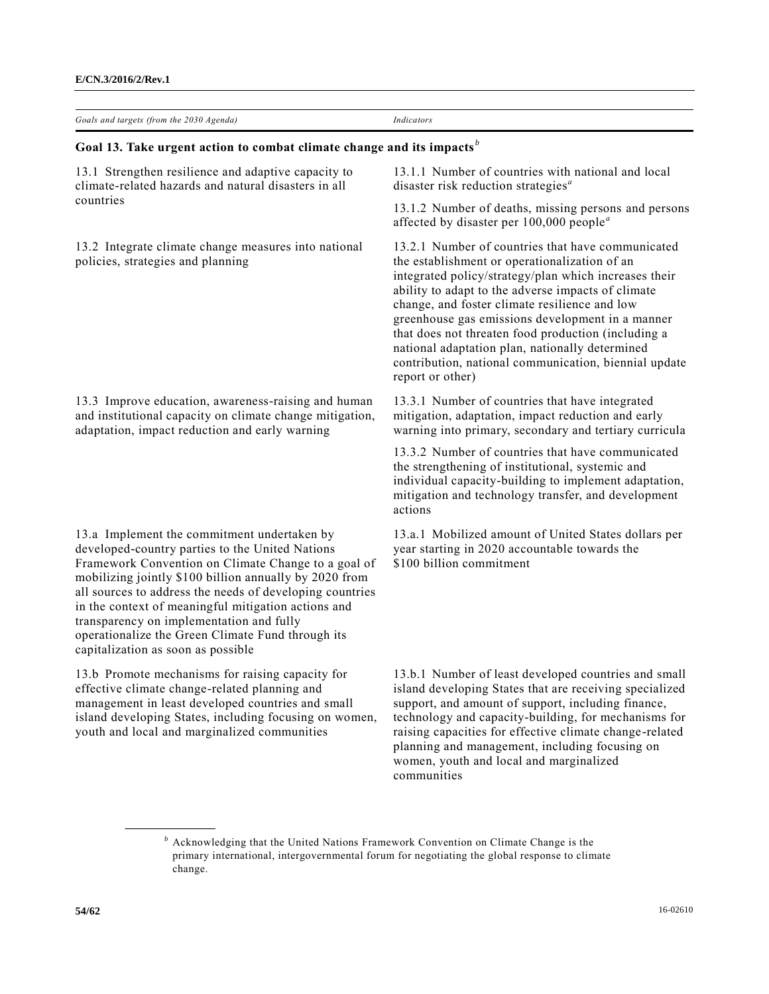| Goals and targets (from the 2030 Agenda)                                                                                                                                                                                                                                                                                                                                                                                                                                  | <b>Indicators</b>                                                                                                                                                                                                                                                                                                                                                                                                                                                                                             |
|---------------------------------------------------------------------------------------------------------------------------------------------------------------------------------------------------------------------------------------------------------------------------------------------------------------------------------------------------------------------------------------------------------------------------------------------------------------------------|---------------------------------------------------------------------------------------------------------------------------------------------------------------------------------------------------------------------------------------------------------------------------------------------------------------------------------------------------------------------------------------------------------------------------------------------------------------------------------------------------------------|
| Goal 13. Take urgent action to combat climate change and its impacts <sup>b</sup>                                                                                                                                                                                                                                                                                                                                                                                         |                                                                                                                                                                                                                                                                                                                                                                                                                                                                                                               |
| 13.1 Strengthen resilience and adaptive capacity to<br>climate-related hazards and natural disasters in all                                                                                                                                                                                                                                                                                                                                                               | 13.1.1 Number of countries with national and local<br>disaster risk reduction strategies $a$                                                                                                                                                                                                                                                                                                                                                                                                                  |
| countries                                                                                                                                                                                                                                                                                                                                                                                                                                                                 | 13.1.2 Number of deaths, missing persons and persons<br>affected by disaster per $100,000$ people <sup><i>a</i></sup>                                                                                                                                                                                                                                                                                                                                                                                         |
| 13.2 Integrate climate change measures into national<br>policies, strategies and planning                                                                                                                                                                                                                                                                                                                                                                                 | 13.2.1 Number of countries that have communicated<br>the establishment or operationalization of an<br>integrated policy/strategy/plan which increases their<br>ability to adapt to the adverse impacts of climate<br>change, and foster climate resilience and low<br>greenhouse gas emissions development in a manner<br>that does not threaten food production (including a<br>national adaptation plan, nationally determined<br>contribution, national communication, biennial update<br>report or other) |
| 13.3 Improve education, awareness-raising and human<br>and institutional capacity on climate change mitigation,<br>adaptation, impact reduction and early warning                                                                                                                                                                                                                                                                                                         | 13.3.1 Number of countries that have integrated<br>mitigation, adaptation, impact reduction and early<br>warning into primary, secondary and tertiary curricula                                                                                                                                                                                                                                                                                                                                               |
|                                                                                                                                                                                                                                                                                                                                                                                                                                                                           | 13.3.2 Number of countries that have communicated<br>the strengthening of institutional, systemic and<br>individual capacity-building to implement adaptation,<br>mitigation and technology transfer, and development<br>actions                                                                                                                                                                                                                                                                              |
| 13.a Implement the commitment undertaken by<br>developed-country parties to the United Nations<br>Framework Convention on Climate Change to a goal of<br>mobilizing jointly \$100 billion annually by 2020 from<br>all sources to address the needs of developing countries<br>in the context of meaningful mitigation actions and<br>transparency on implementation and fully<br>operationalize the Green Climate Fund through its<br>capitalization as soon as possible | 13.a.1 Mobilized amount of United States dollars per<br>year starting in 2020 accountable towards the<br>\$100 billion commitment                                                                                                                                                                                                                                                                                                                                                                             |
| 13.b Promote mechanisms for raising capacity for<br>effective climate change-related planning and<br>management in least developed countries and small<br>island developing States, including focusing on women,<br>youth and local and marginalized communities                                                                                                                                                                                                          | 13.b.1 Number of least developed countries and small<br>island developing States that are receiving specialized<br>support, and amount of support, including finance,<br>technology and capacity-building, for mechanisms for<br>raising capacities for effective climate change-related<br>planning and management, including focusing on<br>women, youth and local and marginalized<br>communities                                                                                                          |

*<sup>b</sup>* Acknowledging that the United Nations Framework Convention on Climate Change is the primary international, intergovernmental forum for negotiating the global response to climate change.

**\_\_\_\_\_\_\_\_\_\_\_\_\_\_\_\_\_\_**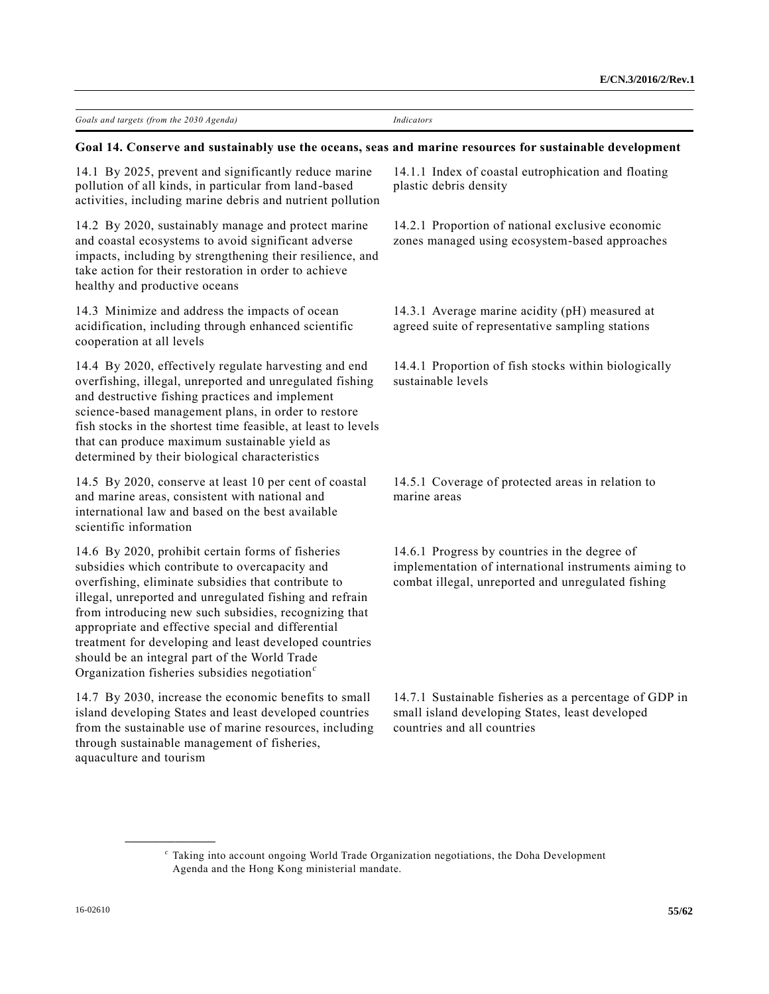| Goals and targets (from the 2030 Agenda) | Indicators |
|------------------------------------------|------------|

#### **Goal 14. Conserve and sustainably use the oceans, seas and marine resources for sustainable development**

14.1 By 2025, prevent and significantly reduce marine pollution of all kinds, in particular from land-based activities, including marine debris and nutrient pollution

14.2 By 2020, sustainably manage and protect marine and coastal ecosystems to avoid significant adverse impacts, including by strengthening their resilience, and take action for their restoration in order to achieve healthy and productive oceans

14.3 Minimize and address the impacts of ocean acidification, including through enhanced scientific cooperation at all levels

14.4 By 2020, effectively regulate harvesting and end overfishing, illegal, unreported and unregulated fishing and destructive fishing practices and implement science-based management plans, in order to restore fish stocks in the shortest time feasible, at least to levels that can produce maximum sustainable yield as determined by their biological characteristics

14.5 By 2020, conserve at least 10 per cent of coastal and marine areas, consistent with national and international law and based on the best available scientific information

14.6 By 2020, prohibit certain forms of fisheries subsidies which contribute to overcapacity and overfishing, eliminate subsidies that contribute to illegal, unreported and unregulated fishing and refrain from introducing new such subsidies, recognizing that appropriate and effective special and differential treatment for developing and least developed countries should be an integral part of the World Trade Organization fisheries subsidies negotiation*<sup>c</sup>*

14.7 By 2030, increase the economic benefits to small island developing States and least developed countries from the sustainable use of marine resources, including through sustainable management of fisheries, aquaculture and tourism

**\_\_\_\_\_\_\_\_\_\_\_\_\_\_\_\_\_\_**

14.1.1 Index of coastal eutrophication and floating plastic debris density

14.2.1 Proportion of national exclusive economic zones managed using ecosystem-based approaches

14.3.1 Average marine acidity (pH) measured at agreed suite of representative sampling stations

14.4.1 Proportion of fish stocks within biologically sustainable levels

14.5.1 Coverage of protected areas in relation to marine areas

14.6.1 Progress by countries in the degree of implementation of international instruments aiming to combat illegal, unreported and unregulated fishing

14.7.1 Sustainable fisheries as a percentage of GDP in small island developing States, least developed countries and all countries

*c* Taking into account ongoing World Trade Organization negotiations, the Doha Development Agenda and the Hong Kong ministerial mandate.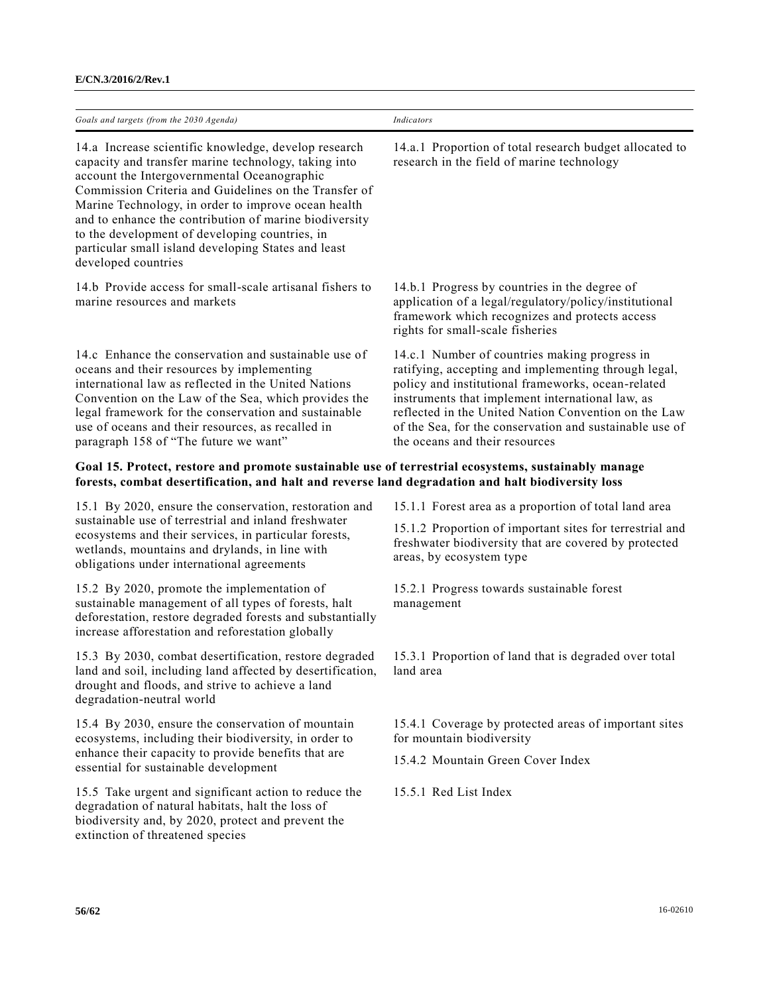| E/CN.3/2016/2/Rev.1 |  |
|---------------------|--|
|---------------------|--|

| Goals and targets (from the 2030 Agenda)                                                                                                                                                                                                                                                                                                                                                                                                                              | Indicators                                                                                                                                                                                                                                                                                                                                                           |
|-----------------------------------------------------------------------------------------------------------------------------------------------------------------------------------------------------------------------------------------------------------------------------------------------------------------------------------------------------------------------------------------------------------------------------------------------------------------------|----------------------------------------------------------------------------------------------------------------------------------------------------------------------------------------------------------------------------------------------------------------------------------------------------------------------------------------------------------------------|
| 14.a Increase scientific knowledge, develop research<br>capacity and transfer marine technology, taking into<br>account the Intergovernmental Oceanographic<br>Commission Criteria and Guidelines on the Transfer of<br>Marine Technology, in order to improve ocean health<br>and to enhance the contribution of marine biodiversity<br>to the development of developing countries, in<br>particular small island developing States and least<br>developed countries | 14.a.1 Proportion of total research budget allocated to<br>research in the field of marine technology                                                                                                                                                                                                                                                                |
| 14.b Provide access for small-scale artisanal fishers to<br>marine resources and markets                                                                                                                                                                                                                                                                                                                                                                              | 14.b.1 Progress by countries in the degree of<br>application of a legal/regulatory/policy/institutional<br>framework which recognizes and protects access<br>rights for small-scale fisheries                                                                                                                                                                        |
| 14.c Enhance the conservation and sustainable use of<br>oceans and their resources by implementing<br>international law as reflected in the United Nations<br>Convention on the Law of the Sea, which provides the<br>legal framework for the conservation and sustainable<br>use of oceans and their resources, as recalled in<br>paragraph 158 of "The future we want"                                                                                              | 14.c.1 Number of countries making progress in<br>ratifying, accepting and implementing through legal,<br>policy and institutional frameworks, ocean-related<br>instruments that implement international law, as<br>reflected in the United Nation Convention on the Law<br>of the Sea, for the conservation and sustainable use of<br>the oceans and their resources |
| Goal 15. Protect, restore and promote sustainable use of terrestrial ecosystems, sustainably manage<br>forests, combat desertification, and halt and reverse land degradation and halt biodiversity loss                                                                                                                                                                                                                                                              |                                                                                                                                                                                                                                                                                                                                                                      |
| 15.1 By 2020, ensure the conservation, restoration and                                                                                                                                                                                                                                                                                                                                                                                                                | 15.1.1 Forest area as a proportion of total land area                                                                                                                                                                                                                                                                                                                |
| sustainable use of terrestrial and inland freshwater<br>ecosystems and their services, in particular forests,<br>wetlands, mountains and drylands, in line with<br>obligations under international agreements                                                                                                                                                                                                                                                         | 15.1.2 Proportion of important sites for terrestrial and<br>freshwater biodiversity that are covered by protected<br>areas, by ecosystem type                                                                                                                                                                                                                        |
| 15.2 By 2020, promote the implementation of<br>sustainable management of all types of forests, halt<br>deforestation, restore degraded forests and substantially<br>increase afforestation and reforestation globally                                                                                                                                                                                                                                                 | 15.2.1 Progress towards sustainable forest<br>management                                                                                                                                                                                                                                                                                                             |
| 15.3 By 2030, combat desertification, restore degraded<br>land and soil, including land affected by desertification,<br>drought and floods, and strive to achieve a land<br>degradation-neutral world                                                                                                                                                                                                                                                                 | 15.3.1 Proportion of land that is degraded over total<br>land area                                                                                                                                                                                                                                                                                                   |
| 15.4 By 2030, ensure the conservation of mountain<br>ecosystems, including their biodiversity, in order to                                                                                                                                                                                                                                                                                                                                                            | 15.4.1 Coverage by protected areas of important sites<br>for mountain biodiversity                                                                                                                                                                                                                                                                                   |
| enhance their capacity to provide benefits that are<br>essential for sustainable development                                                                                                                                                                                                                                                                                                                                                                          | 15.4.2 Mountain Green Cover Index                                                                                                                                                                                                                                                                                                                                    |
| 15.5 Take urgent and significant action to reduce the<br>degradation of natural habitats, halt the loss of<br>biodiversity and, by 2020, protect and prevent the<br>extinction of threatened species                                                                                                                                                                                                                                                                  | 15.5.1 Red List Index                                                                                                                                                                                                                                                                                                                                                |
|                                                                                                                                                                                                                                                                                                                                                                                                                                                                       |                                                                                                                                                                                                                                                                                                                                                                      |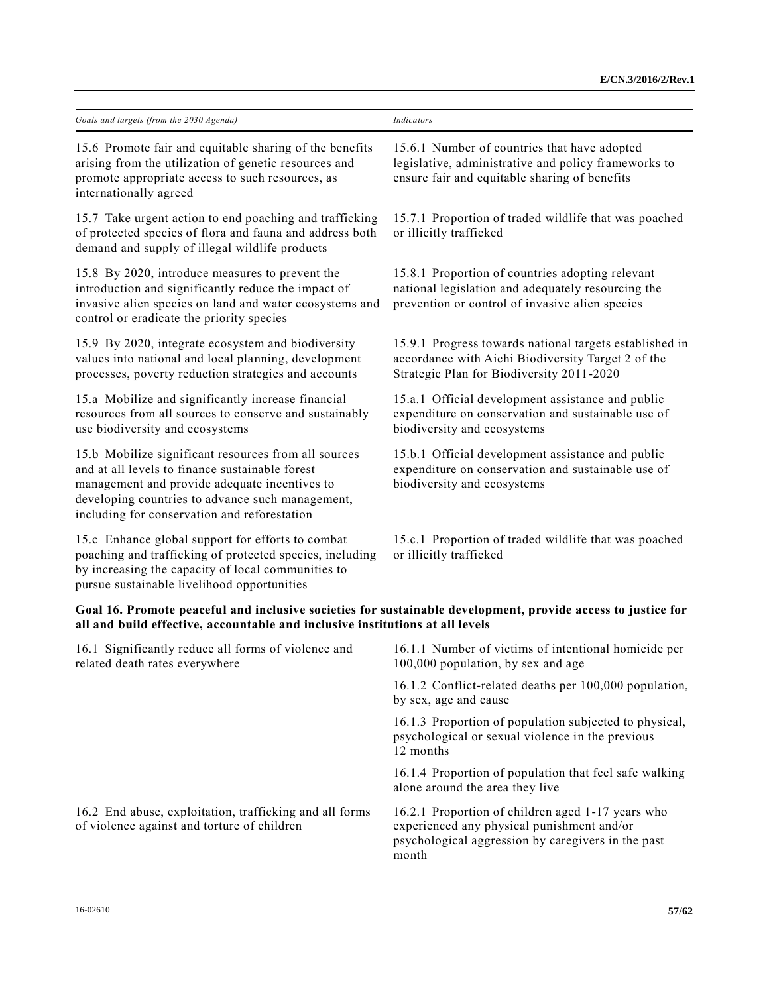| Goals and targets (from the 2030 Agenda)                                                                                                                                                                                                                     | Indicators                                                                                                                                                     |
|--------------------------------------------------------------------------------------------------------------------------------------------------------------------------------------------------------------------------------------------------------------|----------------------------------------------------------------------------------------------------------------------------------------------------------------|
| 15.6 Promote fair and equitable sharing of the benefits<br>arising from the utilization of genetic resources and<br>promote appropriate access to such resources, as<br>internationally agreed                                                               | 15.6.1 Number of countries that have adopted<br>legislative, administrative and policy frameworks to<br>ensure fair and equitable sharing of benefits          |
| 15.7 Take urgent action to end poaching and trafficking<br>of protected species of flora and fauna and address both<br>demand and supply of illegal wildlife products                                                                                        | 15.7.1 Proportion of traded wildlife that was poached<br>or illicitly trafficked                                                                               |
| 15.8 By 2020, introduce measures to prevent the<br>introduction and significantly reduce the impact of<br>invasive alien species on land and water ecosystems and<br>control or eradicate the priority species                                               | 15.8.1 Proportion of countries adopting relevant<br>national legislation and adequately resourcing the<br>prevention or control of invasive alien species      |
| 15.9 By 2020, integrate ecosystem and biodiversity<br>values into national and local planning, development<br>processes, poverty reduction strategies and accounts                                                                                           | 15.9.1 Progress towards national targets established in<br>accordance with Aichi Biodiversity Target 2 of the<br>Strategic Plan for Biodiversity 2011-2020     |
| 15.a Mobilize and significantly increase financial<br>resources from all sources to conserve and sustainably<br>use biodiversity and ecosystems                                                                                                              | 15.a.1 Official development assistance and public<br>expenditure on conservation and sustainable use of<br>biodiversity and ecosystems                         |
| 15.b Mobilize significant resources from all sources<br>and at all levels to finance sustainable forest<br>management and provide adequate incentives to<br>developing countries to advance such management,<br>including for conservation and reforestation | 15.b.1 Official development assistance and public<br>expenditure on conservation and sustainable use of<br>biodiversity and ecosystems                         |
| 15.c Enhance global support for efforts to combat<br>poaching and trafficking of protected species, including<br>by increasing the capacity of local communities to<br>pursue sustainable livelihood opportunities                                           | 15.c.1 Proportion of traded wildlife that was poached<br>or illicitly trafficked                                                                               |
| Goal 16. Promote peaceful and inclusive societies for sustainable development, provide access to justice for<br>all and build effective, accountable and inclusive institutions at all levels                                                                |                                                                                                                                                                |
| 16.1 Significantly reduce all forms of violence and<br>related death rates everywhere                                                                                                                                                                        | 16.1.1 Number of victims of intentional homicide per<br>100,000 population, by sex and age                                                                     |
|                                                                                                                                                                                                                                                              | 16.1.2 Conflict-related deaths per 100,000 population,<br>by sex, age and cause                                                                                |
|                                                                                                                                                                                                                                                              | 16.1.3 Proportion of population subjected to physical,<br>psychological or sexual violence in the previous<br>12 months                                        |
|                                                                                                                                                                                                                                                              | 16.1.4 Proportion of population that feel safe walking<br>alone around the area they live                                                                      |
| 16.2 End abuse, exploitation, trafficking and all forms<br>of violence against and torture of children                                                                                                                                                       | 16.2.1 Proportion of children aged 1-17 years who<br>experienced any physical punishment and/or<br>psychological aggression by caregivers in the past<br>month |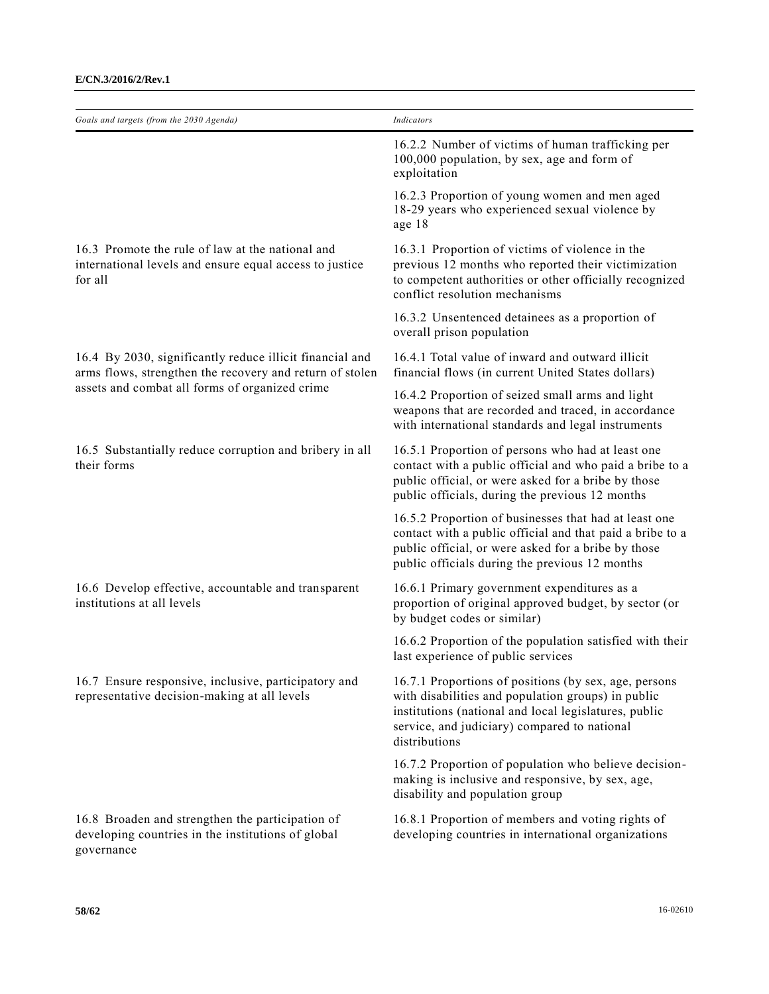| Goals and targets (from the 2030 Agenda)                                                                               | <b>Indicators</b>                                                                                                                                                                                                                     |
|------------------------------------------------------------------------------------------------------------------------|---------------------------------------------------------------------------------------------------------------------------------------------------------------------------------------------------------------------------------------|
|                                                                                                                        | 16.2.2 Number of victims of human trafficking per<br>100,000 population, by sex, age and form of<br>exploitation                                                                                                                      |
|                                                                                                                        | 16.2.3 Proportion of young women and men aged<br>18-29 years who experienced sexual violence by<br>age 18                                                                                                                             |
| 16.3 Promote the rule of law at the national and<br>international levels and ensure equal access to justice<br>for all | 16.3.1 Proportion of victims of violence in the<br>previous 12 months who reported their victimization<br>to competent authorities or other officially recognized<br>conflict resolution mechanisms                                   |
|                                                                                                                        | 16.3.2 Unsentenced detainees as a proportion of<br>overall prison population                                                                                                                                                          |
| 16.4 By 2030, significantly reduce illicit financial and<br>arms flows, strengthen the recovery and return of stolen   | 16.4.1 Total value of inward and outward illicit<br>financial flows (in current United States dollars)                                                                                                                                |
| assets and combat all forms of organized crime                                                                         | 16.4.2 Proportion of seized small arms and light<br>weapons that are recorded and traced, in accordance<br>with international standards and legal instruments                                                                         |
| 16.5 Substantially reduce corruption and bribery in all<br>their forms                                                 | 16.5.1 Proportion of persons who had at least one<br>contact with a public official and who paid a bribe to a<br>public official, or were asked for a bribe by those<br>public officials, during the previous 12 months               |
|                                                                                                                        | 16.5.2 Proportion of businesses that had at least one<br>contact with a public official and that paid a bribe to a<br>public official, or were asked for a bribe by those<br>public officials during the previous 12 months           |
| 16.6 Develop effective, accountable and transparent<br>institutions at all levels                                      | 16.6.1 Primary government expenditures as a<br>proportion of original approved budget, by sector (or<br>by budget codes or similar)                                                                                                   |
|                                                                                                                        | 16.6.2 Proportion of the population satisfied with their<br>last experience of public services                                                                                                                                        |
| 16.7 Ensure responsive, inclusive, participatory and<br>representative decision-making at all levels                   | 16.7.1 Proportions of positions (by sex, age, persons<br>with disabilities and population groups) in public<br>institutions (national and local legislatures, public<br>service, and judiciary) compared to national<br>distributions |
|                                                                                                                        | 16.7.2 Proportion of population who believe decision-<br>making is inclusive and responsive, by sex, age,<br>disability and population group                                                                                          |
| 16.8 Broaden and strengthen the participation of<br>developing countries in the institutions of global<br>governance   | 16.8.1 Proportion of members and voting rights of<br>developing countries in international organizations                                                                                                                              |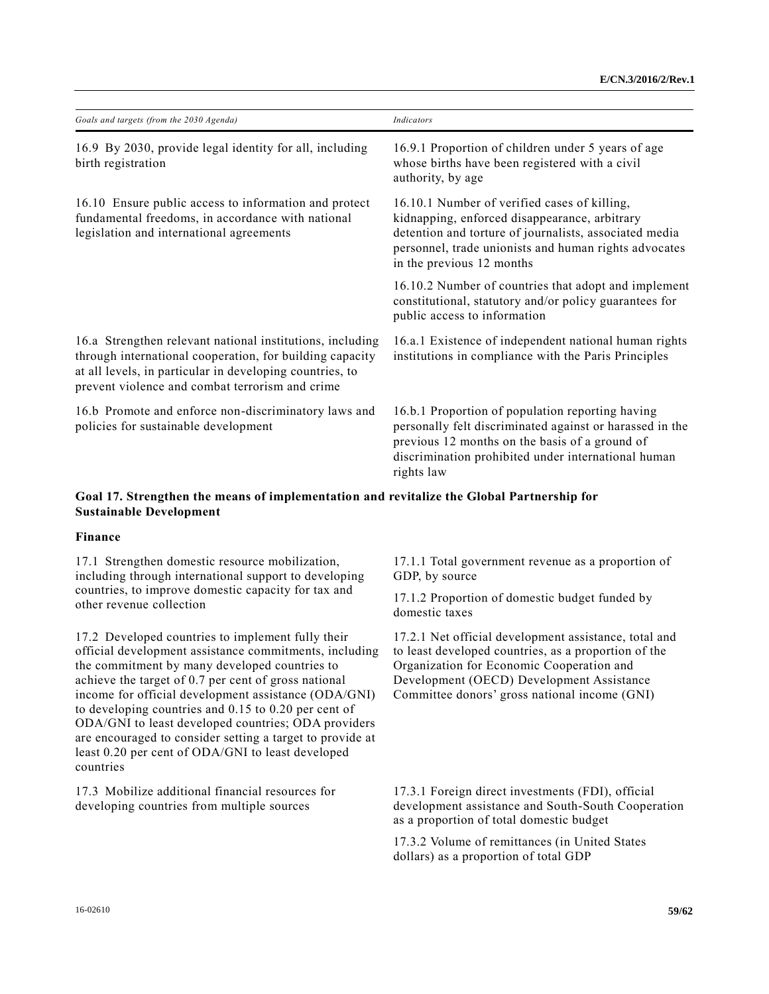| Goals and targets (from the 2030 Agenda)                                                                                                                                                                                             | Indicators                                                                                                                                                                                                                                    |
|--------------------------------------------------------------------------------------------------------------------------------------------------------------------------------------------------------------------------------------|-----------------------------------------------------------------------------------------------------------------------------------------------------------------------------------------------------------------------------------------------|
| 16.9 By 2030, provide legal identity for all, including<br>birth registration                                                                                                                                                        | 16.9.1 Proportion of children under 5 years of age<br>whose births have been registered with a civil<br>authority, by age                                                                                                                     |
| 16.10 Ensure public access to information and protect<br>fundamental freedoms, in accordance with national<br>legislation and international agreements                                                                               | 16.10.1 Number of verified cases of killing,<br>kidnapping, enforced disappearance, arbitrary<br>detention and torture of journalists, associated media<br>personnel, trade unionists and human rights advocates<br>in the previous 12 months |
|                                                                                                                                                                                                                                      | 16.10.2 Number of countries that adopt and implement<br>constitutional, statutory and/or policy guarantees for<br>public access to information                                                                                                |
| 16.a Strengthen relevant national institutions, including<br>through international cooperation, for building capacity<br>at all levels, in particular in developing countries, to<br>prevent violence and combat terrorism and crime | 16.a.1 Existence of independent national human rights<br>institutions in compliance with the Paris Principles                                                                                                                                 |
| 16.b Promote and enforce non-discriminatory laws and<br>policies for sustainable development                                                                                                                                         | 16.b.1 Proportion of population reporting having<br>personally felt discriminated against or harassed in the<br>previous 12 months on the basis of a ground of<br>discrimination prohibited under international human<br>rights law           |
| Goal 17. Strengthen the means of implementation and revitalize the Global Partnership for<br><b>Sustainable Development</b>                                                                                                          |                                                                                                                                                                                                                                               |

# **Finance**

17.1 Strengthen domestic resource mobilization, including through international support to developing countries, to improve domestic capacity for tax and other revenue collection

17.2 Developed countries to implement fully their official development assistance commitments, including the commitment by many developed countries to achieve the target of 0.7 per cent of gross national income for official development assistance (ODA/GNI) to developing countries and 0.15 to 0.20 per cent of ODA/GNI to least developed countries; ODA providers are encouraged to consider setting a target to provide at least 0.20 per cent of ODA/GNI to least developed countries

17.3 Mobilize additional financial resources for developing countries from multiple sources

17.1.1 Total government revenue as a proportion of GDP, by source

17.1.2 Proportion of domestic budget funded by domestic taxes

17.2.1 Net official development assistance, total and to least developed countries, as a proportion of the Organization for Economic Cooperation and Development (OECD) Development Assistance Committee donors' gross national income (GNI)

17.3.1 Foreign direct investments (FDI), official development assistance and South-South Cooperation as a proportion of total domestic budget

17.3.2 Volume of remittances (in United States dollars) as a proportion of total GDP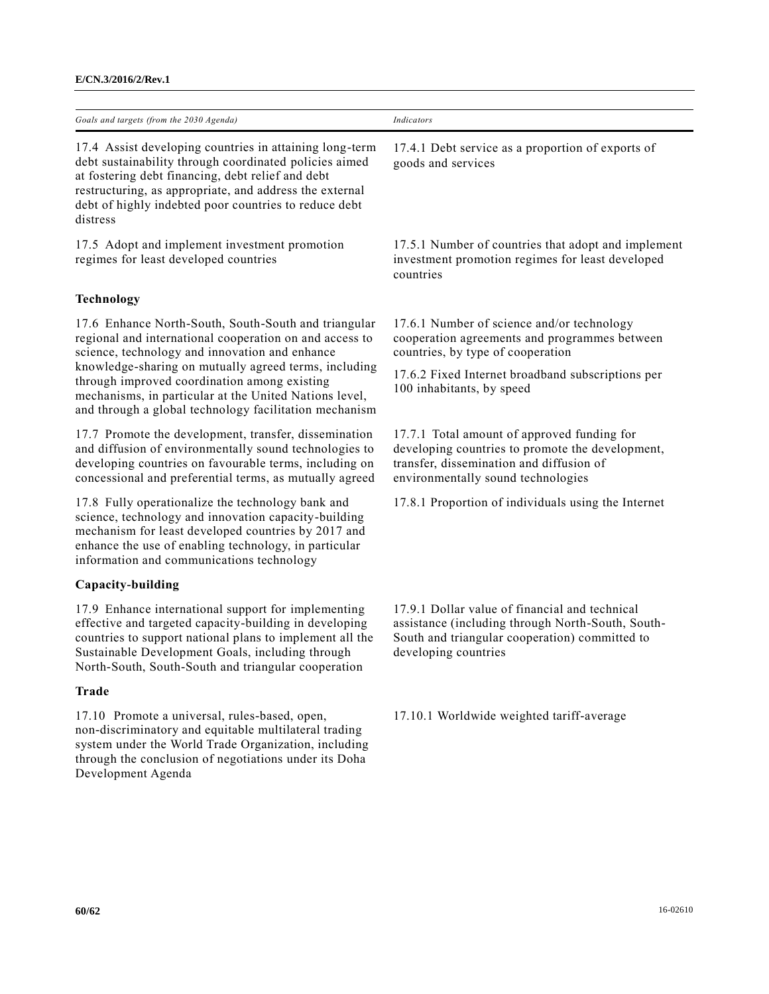| Goals and targets (from the 2030 Agenda)                                                                                                                                                                                                                                                               | Indicators                                                                                                                                                                        |
|--------------------------------------------------------------------------------------------------------------------------------------------------------------------------------------------------------------------------------------------------------------------------------------------------------|-----------------------------------------------------------------------------------------------------------------------------------------------------------------------------------|
| 17.4 Assist developing countries in attaining long-term<br>debt sustainability through coordinated policies aimed<br>at fostering debt financing, debt relief and debt<br>restructuring, as appropriate, and address the external<br>debt of highly indebted poor countries to reduce debt<br>distress | 17.4.1 Debt service as a proportion of exports of<br>goods and services                                                                                                           |
| 17.5 Adopt and implement investment promotion<br>regimes for least developed countries                                                                                                                                                                                                                 | 17.5.1 Number of countries that adopt and implement<br>investment promotion regimes for least developed<br>countries                                                              |
| <b>Technology</b>                                                                                                                                                                                                                                                                                      |                                                                                                                                                                                   |
| 17.6 Enhance North-South, South-South and triangular<br>regional and international cooperation on and access to<br>science, technology and innovation and enhance                                                                                                                                      | 17.6.1 Number of science and/or technology<br>cooperation agreements and programmes between<br>countries, by type of cooperation                                                  |
| knowledge-sharing on mutually agreed terms, including<br>through improved coordination among existing<br>mechanisms, in particular at the United Nations level,<br>and through a global technology facilitation mechanism                                                                              | 17.6.2 Fixed Internet broadband subscriptions per<br>100 inhabitants, by speed                                                                                                    |
| 17.7 Promote the development, transfer, dissemination<br>and diffusion of environmentally sound technologies to<br>developing countries on favourable terms, including on<br>concessional and preferential terms, as mutually agreed                                                                   | 17.7.1 Total amount of approved funding for<br>developing countries to promote the development,<br>transfer, dissemination and diffusion of<br>environmentally sound technologies |
| 17.8 Fully operationalize the technology bank and<br>science, technology and innovation capacity-building<br>mechanism for least developed countries by 2017 and<br>enhance the use of enabling technology, in particular<br>information and communications technology                                 | 17.8.1 Proportion of individuals using the Internet                                                                                                                               |
| Capacity-building                                                                                                                                                                                                                                                                                      |                                                                                                                                                                                   |
| 17.9 Enhance international support for implementing<br>effective and targeted capacity-building in developing<br>countries to support national plans to implement all the<br>Sustainable Development Goals, including through                                                                          | 17.9.1 Dollar value of financial and technical<br>assistance (including through North-South, South-<br>South and triangular cooperation) committed to<br>developing countries     |

# **Trade**

17.10 Promote a universal, rules-based, open, non-discriminatory and equitable multilateral trading system under the World Trade Organization, including through the conclusion of negotiations under its Doha Development Agenda

North-South, South-South and triangular cooperation

17.10.1 Worldwide weighted tariff-average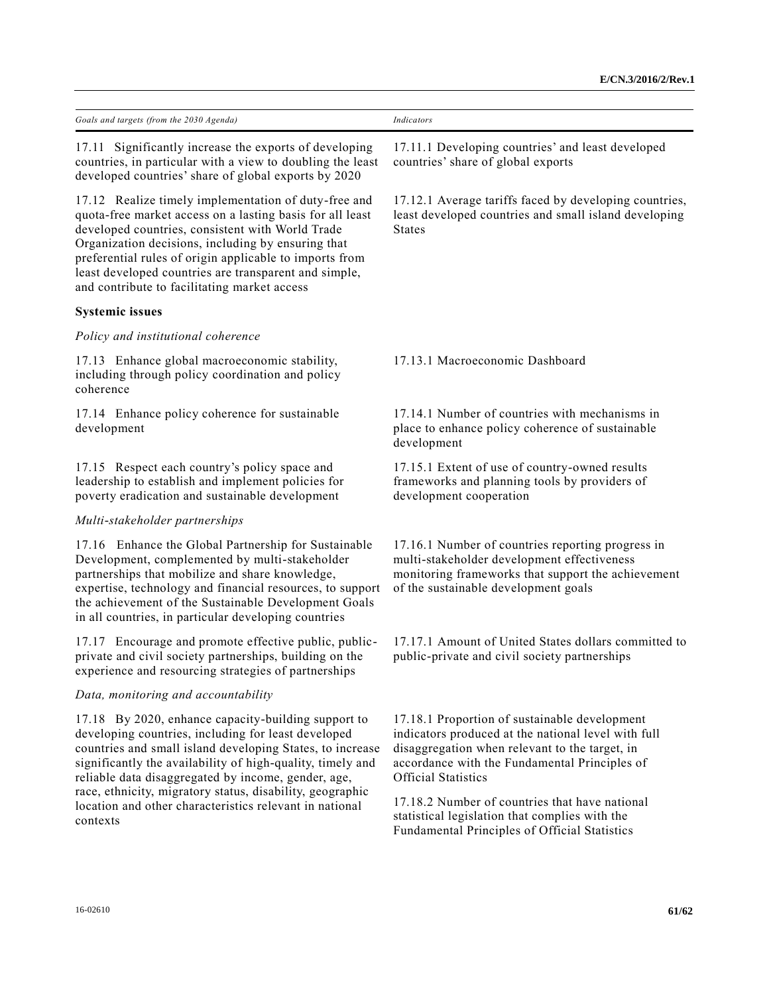| Goals and targets (from the 2030 Agenda)                                                                                                                                                                                                                                                                                                                                                                                         | <b>Indicators</b>                                                                                                                                                                                                                     |
|----------------------------------------------------------------------------------------------------------------------------------------------------------------------------------------------------------------------------------------------------------------------------------------------------------------------------------------------------------------------------------------------------------------------------------|---------------------------------------------------------------------------------------------------------------------------------------------------------------------------------------------------------------------------------------|
| 17.11 Significantly increase the exports of developing<br>countries, in particular with a view to doubling the least<br>developed countries' share of global exports by 2020                                                                                                                                                                                                                                                     | 17.11.1 Developing countries' and least developed<br>countries' share of global exports                                                                                                                                               |
| 17.12 Realize timely implementation of duty-free and<br>quota-free market access on a lasting basis for all least<br>developed countries, consistent with World Trade<br>Organization decisions, including by ensuring that<br>preferential rules of origin applicable to imports from<br>least developed countries are transparent and simple,<br>and contribute to facilitating market access                                  | 17.12.1 Average tariffs faced by developing countries,<br>least developed countries and small island developing<br><b>States</b>                                                                                                      |
| <b>Systemic issues</b>                                                                                                                                                                                                                                                                                                                                                                                                           |                                                                                                                                                                                                                                       |
| Policy and institutional coherence                                                                                                                                                                                                                                                                                                                                                                                               |                                                                                                                                                                                                                                       |
| 17.13 Enhance global macroeconomic stability,<br>including through policy coordination and policy<br>coherence                                                                                                                                                                                                                                                                                                                   | 17.13.1 Macroeconomic Dashboard                                                                                                                                                                                                       |
| 17.14 Enhance policy coherence for sustainable<br>development                                                                                                                                                                                                                                                                                                                                                                    | 17.14.1 Number of countries with mechanisms in<br>place to enhance policy coherence of sustainable<br>development                                                                                                                     |
| 17.15 Respect each country's policy space and<br>leadership to establish and implement policies for<br>poverty eradication and sustainable development                                                                                                                                                                                                                                                                           | 17.15.1 Extent of use of country-owned results<br>frameworks and planning tools by providers of<br>development cooperation                                                                                                            |
| Multi-stakeholder partnerships                                                                                                                                                                                                                                                                                                                                                                                                   |                                                                                                                                                                                                                                       |
| 17.16 Enhance the Global Partnership for Sustainable<br>Development, complemented by multi-stakeholder<br>partnerships that mobilize and share knowledge,<br>expertise, technology and financial resources, to support<br>the achievement of the Sustainable Development Goals<br>in all countries, in particular developing countries                                                                                           | 17.16.1 Number of countries reporting progress in<br>multi-stakeholder development effectiveness<br>monitoring frameworks that support the achievement<br>of the sustainable development goals                                        |
| 17.17 Encourage and promote effective public, public-<br>private and civil society partnerships, building on the<br>experience and resourcing strategies of partnerships                                                                                                                                                                                                                                                         | 17.17.1 Amount of United States dollars committed to<br>public-private and civil society partnerships                                                                                                                                 |
| Data, monitoring and accountability                                                                                                                                                                                                                                                                                                                                                                                              |                                                                                                                                                                                                                                       |
| 17.18 By 2020, enhance capacity-building support to<br>developing countries, including for least developed<br>countries and small island developing States, to increase<br>significantly the availability of high-quality, timely and<br>reliable data disaggregated by income, gender, age,<br>race, ethnicity, migratory status, disability, geographic<br>location and other characteristics relevant in national<br>contexts | 17.18.1 Proportion of sustainable development<br>indicators produced at the national level with full<br>disaggregation when relevant to the target, in<br>accordance with the Fundamental Principles of<br><b>Official Statistics</b> |
|                                                                                                                                                                                                                                                                                                                                                                                                                                  | 17.18.2 Number of countries that have national<br>statistical legislation that complies with the<br>Fundamental Principles of Official Statistics                                                                                     |